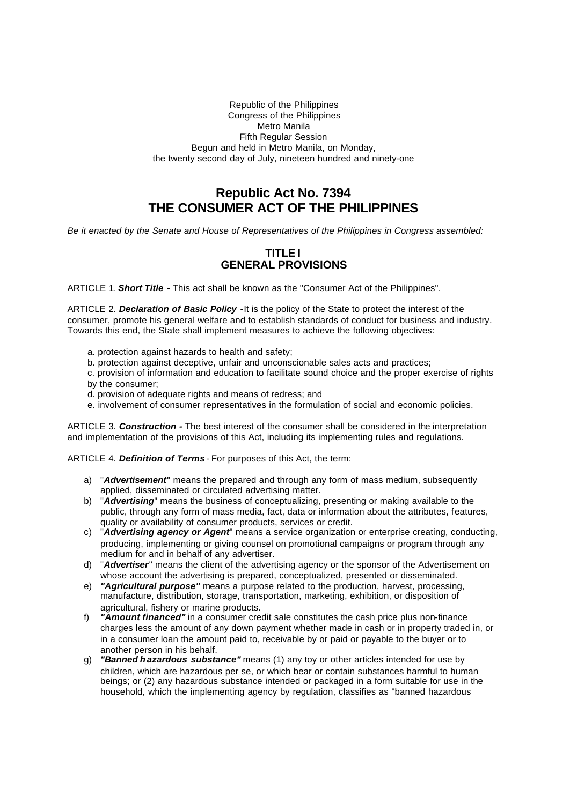#### Republic of the Philippines Congress of the Philippines Metro Manila Fifth Regular Session Begun and held in Metro Manila, on Monday, the twenty second day of July, nineteen hundred and ninety-one

# **Republic Act No. 7394 THE CONSUMER ACT OF THE PHILIPPINES**

*Be it enacted by the Senate and House of Representatives of the Philippines in Congress assembled:* 

## **TITLE I GENERAL PROVISIONS**

ARTICLE 1*. Short Title* - This act shall be known as the "Consumer Act of the Philippines".

ARTICLE 2. *Declaration of Basic Policy* -It is the policy of the State to protect the interest of the consumer, promote his general welfare and to establish standards of conduct for business and industry. Towards this end, the State shall implement measures to achieve the following objectives:

- a. protection against hazards to health and safety;
- b. protection against deceptive, unfair and unconscionable sales acts and practices;
- c. provision of information and education to facilitate sound choice and the proper exercise of rights by the consumer;
- d. provision of adequate rights and means of redress; and
- e. involvement of consumer representatives in the formulation of social and economic policies.

ARTICLE 3. *Construction -* The best interest of the consumer shall be considered in the interpretation and implementation of the provisions of this Act, including its implementing rules and regulations.

ARTICLE 4. *Definition of Terms* - For purposes of this Act, the term:

- a) "*Advertisement*" means the prepared and through any form of mass medium, subsequently applied, disseminated or circulated advertising matter.
- b) "*Advertising*" means the business of conceptualizing, presenting or making available to the public, through any form of mass media, fact, data or information about the attributes, features, quality or availability of consumer products, services or credit.
- c) "*Advertising agency or Agent*" means a service organization or enterprise creating, conducting, producing, implementing or giving counsel on promotional campaigns or program through any medium for and in behalf of any advertiser.
- d) "*Advertiser*" means the client of the advertising agency or the sponsor of the Advertisement on whose account the advertising is prepared, conceptualized, presented or disseminated.
- e) *"Agricultural purpose"* means a purpose related to the production, harvest, processing, manufacture, distribution, storage, transportation, marketing, exhibition, or disposition of agricultural, fishery or marine products.
- f) *"Amount financed"* in a consumer credit sale constitutes the cash price plus non-finance charges less the amount of any down payment whether made in cash or in property traded in, or in a consumer loan the amount paid to, receivable by or paid or payable to the buyer or to another person in his behalf.
- g) *"Banned h azardous substance"* means (1) any toy or other articles intended for use by children, which are hazardous per se, or which bear or contain substances harmful to human beings; or (2) any hazardous substance intended or packaged in a form suitable for use in the household, which the implementing agency by regulation, classifies as "banned hazardous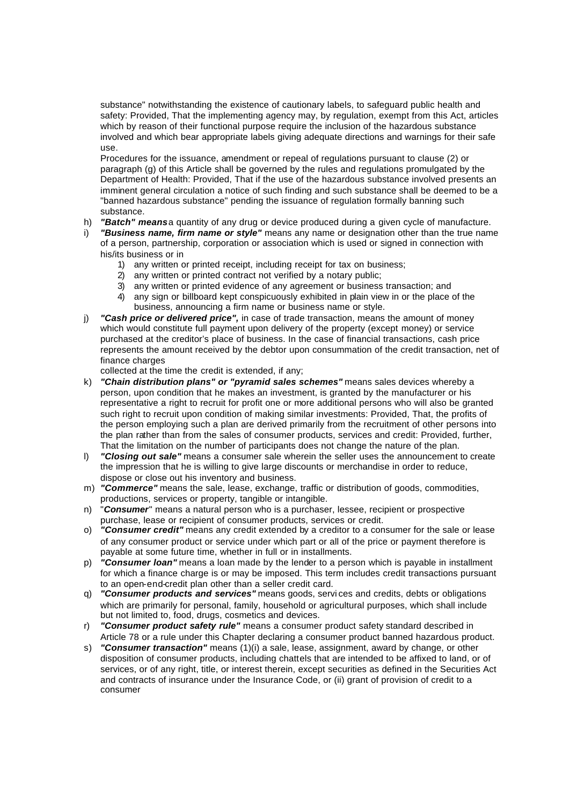substance" notwithstanding the existence of cautionary labels, to safeguard public health and safety: Provided, That the implementing agency may, by regulation, exempt from this Act, articles which by reason of their functional purpose require the inclusion of the hazardous substance involved and which bear appropriate labels giving adequate directions and warnings for their safe use.

Procedures for the issuance, amendment or repeal of regulations pursuant to clause (2) or paragraph (g) of this Article shall be governed by the rules and regulations promulgated by the Department of Health: Provided, That if the use of the hazardous substance involved presents an imminent general circulation a notice of such finding and such substance shall be deemed to be a "banned hazardous substance" pending the issuance of regulation formally banning such substance.

- h) *"Batch" means* a quantity of any drug or device produced during a given cycle of manufacture.
- i) *"Business name, firm name or style"* means any name or designation other than the true name of a person, partnership, corporation or association which is used or signed in connection with his/its business or in
	- 1) any written or printed receipt, including receipt for tax on business;
	- 2) any written or printed contract not verified by a notary public;
	- 3) any written or printed evidence of any agreement or business transaction; and
	- 4) any sign or billboard kept conspicuously exhibited in plain view in or the place of the business, announcing a firm name or business name or style.
- j) *"Cash price or delivered price",* in case of trade transaction, means the amount of money which would constitute full payment upon delivery of the property (except money) or service purchased at the creditor's place of business. In the case of financial transactions, cash price represents the amount received by the debtor upon consummation of the credit transaction, net of finance charges

collected at the time the credit is extended, if any;

- k) *"Chain distribution plans" or "pyramid sales schemes"* means sales devices whereby a person, upon condition that he makes an investment, is granted by the manufacturer or his representative a right to recruit for profit one or more additional persons who will also be granted such right to recruit upon condition of making similar investments: Provided, That, the profits of the person employing such a plan are derived primarily from the recruitment of other persons into the plan rather than from the sales of consumer products, services and credit: Provided, further, That the limitation on the number of participants does not change the nature of the plan.
- l) *"Closing out sale"* means a consumer sale wherein the seller uses the announcement to create the impression that he is willing to give large discounts or merchandise in order to reduce, dispose or close out his inventory and business.
- m) *"Commerce"* means the sale, lease, exchange, traffic or distribution of goods, commodities, productions, services or property, tangible or intangible.
- n) "*Consumer*" means a natural person who is a purchaser, lessee, recipient or prospective purchase, lease or recipient of consumer products, services or credit.
- o) *"Consumer credit"* means any credit extended by a creditor to a consumer for the sale or lease of any consumer product or service under which part or all of the price or payment therefore is payable at some future time, whether in full or in installments.
- p) *"Consumer loan"* means a loan made by the lender to a person which is payable in installment for which a finance charge is or may be imposed. This term includes credit transactions pursuant to an open-end-credit plan other than a seller credit card.
- q) *"Consumer products and services"* means goods, servi ces and credits, debts or obligations which are primarily for personal, family, household or agricultural purposes, which shall include but not limited to, food, drugs, cosmetics and devices.
- r) *"Consumer product safety rule"* means a consumer product safety standard described in Article 78 or a rule under this Chapter declaring a consumer product banned hazardous product.
- s) *"Consumer transaction"* means (1)(i) a sale, lease, assignment, award by change, or other disposition of consumer products, including chattels that are intended to be affixed to land, or of services, or of any right, title, or interest therein, except securities as defined in the Securities Act and contracts of insurance under the Insurance Code, or (ii) grant of provision of credit to a consumer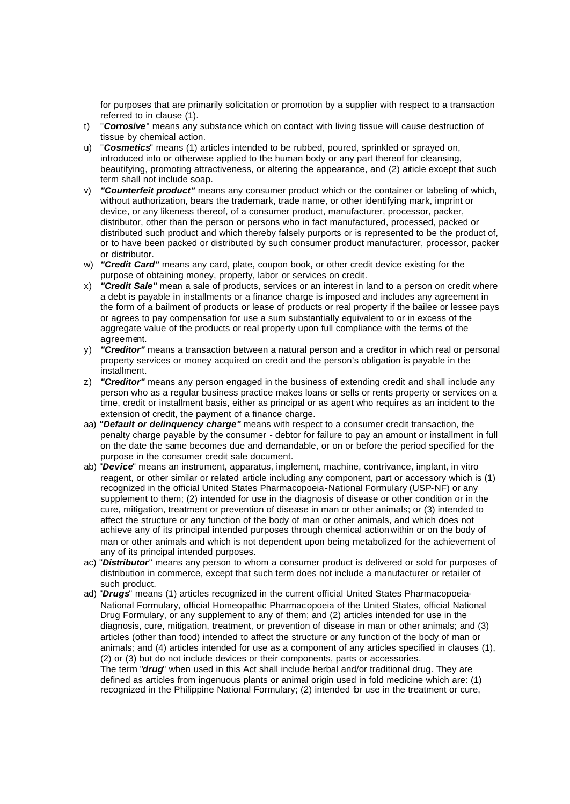for purposes that are primarily solicitation or promotion by a supplier with respect to a transaction referred to in clause (1).

- t) "*Corrosive*" means any substance which on contact with living tissue will cause destruction of tissue by chemical action.
- u) "*Cosmetics*" means (1) articles intended to be rubbed, poured, sprinkled or sprayed on, introduced into or otherwise applied to the human body or any part thereof for cleansing, beautifying, promoting attractiveness, or altering the appearance, and (2) atticle except that such term shall not include soap.
- v) *"Counterfeit product"* means any consumer product which or the container or labeling of which, without authorization, bears the trademark, trade name, or other identifying mark, imprint or device, or any likeness thereof, of a consumer product, manufacturer, processor, packer, distributor, other than the person or persons who in fact manufactured, processed, packed or distributed such product and which thereby falsely purports or is represented to be the product of, or to have been packed or distributed by such consumer product manufacturer, processor, packer or distributor.
- w) *"Credit Card"* means any card, plate, coupon book, or other credit device existing for the purpose of obtaining money, property, labor or services on credit.
- x) *"Credit Sale"* mean a sale of products, services or an interest in land to a person on credit where a debt is payable in installments or a finance charge is imposed and includes any agreement in the form of a bailment of products or lease of products or real property if the bailee or lessee pays or agrees to pay compensation for use a sum substantially equivalent to or in excess of the aggregate value of the products or real property upon full compliance with the terms of the agreement.
- y) *"Creditor"* means a transaction between a natural person and a creditor in which real or personal property services or money acquired on credit and the person's obligation is payable in the installment.
- z) *"Creditor"* means any person engaged in the business of extending credit and shall include any person who as a regular business practice makes loans or sells or rents property or services on a time, credit or installment basis, either as principal or as agent who requires as an incident to the extension of credit, the payment of a finance charge.
- aa) *"Default or delinquency charge"* means with respect to a consumer credit transaction, the penalty charge payable by the consumer - debtor for failure to pay an amount or installment in full on the date the same becomes due and demandable, or on or before the period specified for the purpose in the consumer credit sale document.
- ab) "*Device*" means an instrument, apparatus, implement, machine, contrivance, implant, in vitro reagent, or other similar or related article including any component, part or accessory which is (1) recognized in the official United States Pharmacopoeia-National Formulary (USP-NF) or any supplement to them; (2) intended for use in the diagnosis of disease or other condition or in the cure, mitigation, treatment or prevention of disease in man or other animals; or (3) intended to affect the structure or any function of the body of man or other animals, and which does not achieve any of its principal intended purposes through chemical action within or on the body of man or other animals and which is not dependent upon being metabolized for the achievement of any of its principal intended purposes.
- ac) "*Distributor*" means any person to whom a consumer product is delivered or sold for purposes of distribution in commerce, except that such term does not include a manufacturer or retailer of such product.
- ad) "*Drugs*" means (1) articles recognized in the current official United States Pharmacopoeia-National Formulary, official Homeopathic Pharmacopoeia of the United States, official National Drug Formulary, or any supplement to any of them; and (2) articles intended for use in the diagnosis, cure, mitigation, treatment, or prevention of disease in man or other animals; and (3) articles (other than food) intended to affect the structure or any function of the body of man or animals; and (4) articles intended for use as a component of any articles specified in clauses (1), (2) or (3) but do not include devices or their components, parts or accessories. The term "*drug*" when used in this Act shall include herbal and/or traditional drug. They are defined as articles from ingenuous plants or animal origin used in fold medicine which are: (1)

recognized in the Philippine National Formulary; (2) intended for use in the treatment or cure,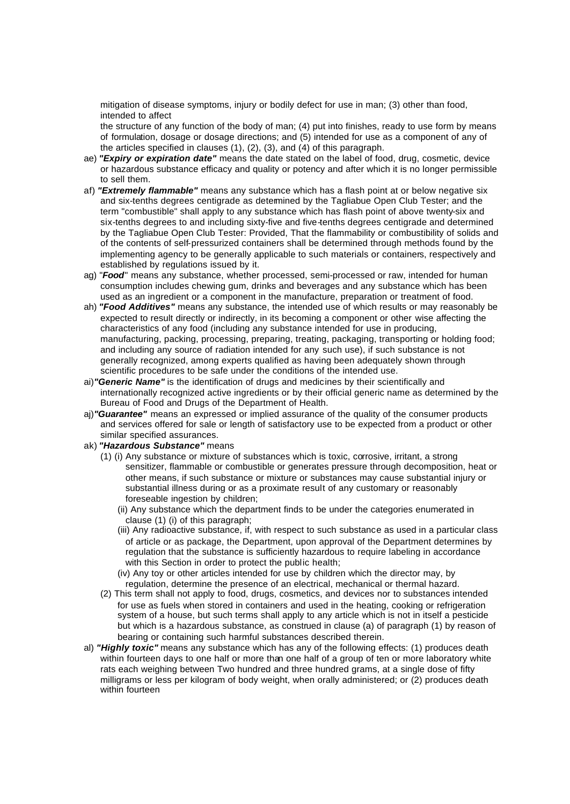mitigation of disease symptoms, injury or bodily defect for use in man; (3) other than food, intended to affect

the structure of any function of the body of man; (4) put into finishes, ready to use form by means of formulation, dosage or dosage directions; and (5) intended for use as a component of any of the articles specified in clauses (1), (2), (3), and (4) of this paragraph.

- ae) *"Expiry or expiration date"* means the date stated on the label of food, drug, cosmetic, device or hazardous substance efficacy and quality or potency and after which it is no longer permissible to sell them.
- af) *"Extremely flammable"* means any substance which has a flash point at or below negative six and six-tenths degrees centigrade as determined by the Tagliabue Open Club Tester; and the term "combustible" shall apply to any substance which has flash point of above twenty-six and six-tenths degrees to and including sixty-five and five-tenths degrees centigrade and determined by the Tagliabue Open Club Tester: Provided, That the flammability or combustibility of solids and of the contents of self-pressurized containers shall be determined through methods found by the implementing agency to be generally applicable to such materials or containers, respectively and established by regulations issued by it.
- ag) "*Food*" means any substance, whether processed, semi-processed or raw, intended for human consumption includes chewing gum, drinks and beverages and any substance which has been used as an ingredient or a component in the manufacture, preparation or treatment of food.
- ah) *"Food Additives"* means any substance, the intended use of which results or may reasonably be expected to result directly or indirectly, in its becoming a component or other wise affecting the characteristics of any food (including any substance intended for use in producing, manufacturing, packing, processing, preparing, treating, packaging, transporting or holding food; and including any source of radiation intended for any such use), if such substance is not generally recognized, among experts qualified as having been adequately shown through scientific procedures to be safe under the conditions of the intended use.
- ai)*"Generic Name"* is the identification of drugs and medicines by their scientifically and internationally recognized active ingredients or by their official generic name as determined by the Bureau of Food and Drugs of the Department of Health.
- aj)*"Guarantee"* means an expressed or implied assurance of the quality of the consumer products and services offered for sale or length of satisfactory use to be expected from a product or other similar specified assurances.
- ak) *"Hazardous Substance"* means
	- (1) (i) Any substance or mixture of substances which is toxic, corrosive, irritant, a strong sensitizer, flammable or combustible or generates pressure through decomposition, heat or other means, if such substance or mixture or substances may cause substantial injury or substantial illness during or as a proximate result of any customary or reasonably foreseable ingestion by children;
		- (ii) Any substance which the department finds to be under the categories enumerated in clause (1) (i) of this paragraph;
		- (iii) Any radioactive substance, if, with respect to such substance as used in a particular class of article or as package, the Department, upon approval of the Department determines by regulation that the substance is sufficiently hazardous to require labeling in accordance with this Section in order to protect the public health;
		- (iv) Any toy or other articles intended for use by children which the director may, by regulation, determine the presence of an electrical, mechanical or thermal hazard.
	- (2) This term shall not apply to food, drugs, cosmetics, and devices nor to substances intended for use as fuels when stored in containers and used in the heating, cooking or refrigeration system of a house, but such terms shall apply to any article which is not in itself a pesticide but which is a hazardous substance, as construed in clause (a) of paragraph (1) by reason of bearing or containing such harmful substances described therein.
- al) *"Highly toxic"* means any substance which has any of the following effects: (1) produces death within fourteen days to one half or more than one half of a group of ten or more laboratory white rats each weighing between Two hundred and three hundred grams, at a single dose of fifty milligrams or less per kilogram of body weight, when orally administered; or (2) produces death within fourteen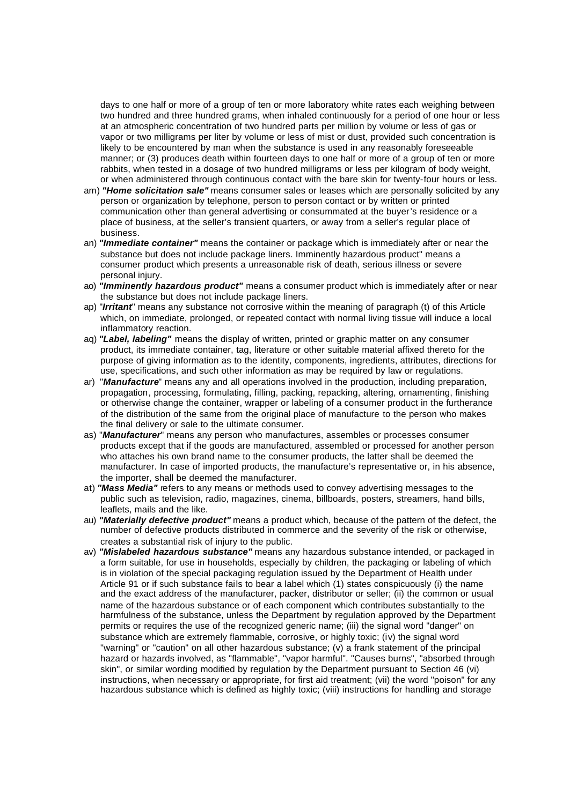days to one half or more of a group of ten or more laboratory white rates each weighing between two hundred and three hundred grams, when inhaled continuously for a period of one hour or less at an atmospheric concentration of two hundred parts per million by volume or less of gas or vapor or two milligrams per liter by volume or less of mist or dust, provided such concentration is likely to be encountered by man when the substance is used in any reasonably foreseeable manner; or (3) produces death within fourteen days to one half or more of a group of ten or more rabbits, when tested in a dosage of two hundred milligrams or less per kilogram of body weight, or when administered through continuous contact with the bare skin for twenty-four hours or less.

- am) *"Home solicitation sale"* means consumer sales or leases which are personally solicited by any person or organization by telephone, person to person contact or by written or printed communication other than general advertising or consummated at the buyer's residence or a place of business, at the seller's transient quarters, or away from a seller's regular place of business.
- an) *"Immediate container"* means the container or package which is immediately after or near the substance but does not include package liners. Imminently hazardous product" means a consumer product which presents a unreasonable risk of death, serious illness or severe personal injury.
- ao) *"Imminently hazardous product"* means a consumer product which is immediately after or near the substance but does not include package liners.
- ap) "*Irritant*" means any substance not corrosive within the meaning of paragraph (t) of this Article which, on immediate, prolonged, or repeated contact with normal living tissue will induce a local inflammatory reaction.
- aq) *"Label, labeling"* means the display of written, printed or graphic matter on any consumer product, its immediate container, tag, literature or other suitable material affixed thereto for the purpose of giving information as to the identity, components, ingredients, attributes, directions for use, specifications, and such other information as may be required by law or regulations.
- ar) "*Manufacture*" means any and all operations involved in the production, including preparation, propagation, processing, formulating, filling, packing, repacking, altering, ornamenting, finishing or otherwise change the container, wrapper or labeling of a consumer product in the furtherance of the distribution of the same from the original place of manufacture to the person who makes the final delivery or sale to the ultimate consumer.
- as) "*Manufacturer*" means any person who manufactures, assembles or processes consumer products except that if the goods are manufactured, assembled or processed for another person who attaches his own brand name to the consumer products, the latter shall be deemed the manufacturer. In case of imported products, the manufacture's representative or, in his absence, the importer, shall be deemed the manufacturer.
- at) *"Mass Media"* refers to any means or methods used to convey advertising messages to the public such as television, radio, magazines, cinema, billboards, posters, streamers, hand bills, leaflets, mails and the like.
- au) *"Materially defective product"* means a product which, because of the pattern of the defect, the number of defective products distributed in commerce and the severity of the risk or otherwise, creates a substantial risk of injury to the public.
- av) *"Mislabeled hazardous substance"* means any hazardous substance intended, or packaged in a form suitable, for use in households, especially by children, the packaging or labeling of which is in violation of the special packaging regulation issued by the Department of Health under Article 91 or if such substance fails to bear a label which (1) states conspicuously (i) the name and the exact address of the manufacturer, packer, distributor or seller; (ii) the common or usual name of the hazardous substance or of each component which contributes substantially to the harmfulness of the substance, unless the Department by regulation approved by the Department permits or requires the use of the recognized generic name; (iii) the signal word "danger" on substance which are extremely flammable, corrosive, or highly toxic; (iv) the signal word "warning" or "caution" on all other hazardous substance; (v) a frank statement of the principal hazard or hazards involved, as "flammable", "vapor harmful". "Causes burns", "absorbed through skin", or similar wording modified by regulation by the Department pursuant to Section 46 (vi) instructions, when necessary or appropriate, for first aid treatment; (vii) the word "poison" for any hazardous substance which is defined as highly toxic; (viii) instructions for handling and storage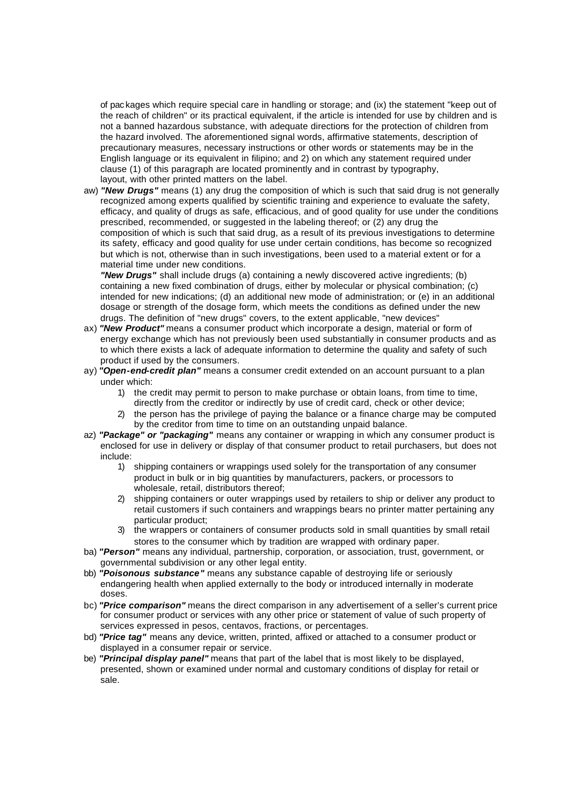of pac kages which require special care in handling or storage; and (ix) the statement "keep out of the reach of children" or its practical equivalent, if the article is intended for use by children and is not a banned hazardous substance, with adequate directions for the protection of children from the hazard involved. The aforementioned signal words, affirmative statements, description of precautionary measures, necessary instructions or other words or statements may be in the English language or its equivalent in filipino; and 2) on which any statement required under clause (1) of this paragraph are located prominently and in contrast by typography, layout, with other printed matters on the label.

aw) *"New Drugs"* means (1) any drug the composition of which is such that said drug is not generally recognized among experts qualified by scientific training and experience to evaluate the safety, efficacy, and quality of drugs as safe, efficacious, and of good quality for use under the conditions prescribed, recommended, or suggested in the labeling thereof; or (2) any drug the composition of which is such that said drug, as a result of its previous investigations to determine its safety, efficacy and good quality for use under certain conditions, has become so recognized but which is not, otherwise than in such investigations, been used to a material extent or for a material time under new conditions.

*"New Drugs"* shall include drugs (a) containing a newly discovered active ingredients; (b) containing a new fixed combination of drugs, either by molecular or physical combination; (c) intended for new indications; (d) an additional new mode of administration; or (e) in an additional dosage or strength of the dosage form, which meets the conditions as defined under the new drugs. The definition of "new drugs" covers, to the extent applicable, "new devices"

- ax) *"New Product"* means a consumer product which incorporate a design, material or form of energy exchange which has not previously been used substantially in consumer products and as to which there exists a lack of adequate information to determine the quality and safety of such product if used by the consumers.
- ay) *"Open-end-credit plan"* means a consumer credit extended on an account pursuant to a plan under which:
	- 1) the credit may permit to person to make purchase or obtain loans, from time to time, directly from the creditor or indirectly by use of credit card, check or other device;
	- 2) the person has the privilege of paying the balance or a finance charge may be computed by the creditor from time to time on an outstanding unpaid balance.
- az) *"Package" or "packaging"* means any container or wrapping in which any consumer product is enclosed for use in delivery or display of that consumer product to retail purchasers, but does not include:
	- 1) shipping containers or wrappings used solely for the transportation of any consumer product in bulk or in big quantities by manufacturers, packers, or processors to wholesale, retail, distributors thereof;
	- 2) shipping containers or outer wrappings used by retailers to ship or deliver any product to retail customers if such containers and wrappings bears no printer matter pertaining any particular product;
	- 3) the wrappers or containers of consumer products sold in small quantities by small retail stores to the consumer which by tradition are wrapped with ordinary paper.
- ba) *"Person"* means any individual, partnership, corporation, or association, trust, government, or governmental subdivision or any other legal entity.
- bb) *"Poisonous substance"* means any substance capable of destroying life or seriously endangering health when applied externally to the body or introduced internally in moderate doses.
- bc) *"Price comparison"* means the direct comparison in any advertisement of a seller's current price for consumer product or services with any other price or statement of value of such property of services expressed in pesos, centavos, fractions, or percentages.
- bd) *"Price tag"* means any device, written, printed, affixed or attached to a consumer product or displayed in a consumer repair or service.
- be) *"Principal display panel"* means that part of the label that is most likely to be displayed, presented, shown or examined under normal and customary conditions of display for retail or sale.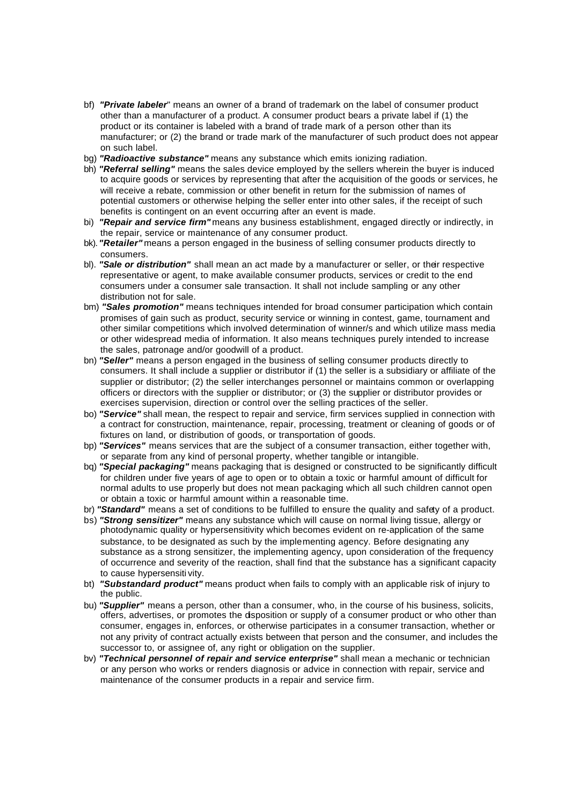- bf) *"Private labeler*" means an owner of a brand of trademark on the label of consumer product other than a manufacturer of a product. A consumer product bears a private label if (1) the product or its container is labeled with a brand of trade mark of a person other than its manufacturer; or (2) the brand or trade mark of the manufacturer of such product does not appear on such label.
- bg) *"Radioactive substance"* means any substance which emits ionizing radiation.
- bh) *"Referral selling"* means the sales device employed by the sellers wherein the buyer is induced to acquire goods or services by representing that after the acquisition of the goods or services, he will receive a rebate, commission or other benefit in return for the submission of names of potential customers or otherwise helping the seller enter into other sales, if the receipt of such benefits is contingent on an event occurring after an event is made.
- bi) *"Repair and service firm"* means any business establishment, engaged directly or indirectly, in the repair, service or maintenance of any consumer product.
- bk). *"Retailer"* means a person engaged in the business of selling consumer products directly to consumers.
- bl). *"Sale or distribution"* shall mean an act made by a manufacturer or seller, or their respective representative or agent, to make available consumer products, services or credit to the end consumers under a consumer sale transaction. It shall not include sampling or any other distribution not for sale.
- bm) *"Sales promotion"* means techniques intended for broad consumer participation which contain promises of gain such as product, security service or winning in contest, game, tournament and other similar competitions which involved determination of winner/s and which utilize mass media or other widespread media of information. It also means techniques purely intended to increase the sales, patronage and/or goodwill of a product.
- bn) *"Seller"* means a person engaged in the business of selling consumer products directly to consumers. It shall include a supplier or distributor if (1) the seller is a subsidiary or affiliate of the supplier or distributor; (2) the seller interchanges personnel or maintains common or overlapping officers or directors with the supplier or distributor; or (3) the supplier or distributor provides or exercises supervision, direction or control over the selling practices of the seller.
- bo) *"Service"* shall mean, the respect to repair and service, firm services supplied in connection with a contract for construction, maintenance, repair, processing, treatment or cleaning of goods or of fixtures on land, or distribution of goods, or transportation of goods.
- bp) "Services" means services that are the subject of a consumer transaction, either together with. or separate from any kind of personal property, whether tangible or intangible.
- bq) *"Special packaging"* means packaging that is designed or constructed to be significantly difficult for children under five years of age to open or to obtain a toxic or harmful amount of difficult for normal adults to use properly but does not mean packaging which all such children cannot open or obtain a toxic or harmful amount within a reasonable time.
- br) *"Standard"* means a set of conditions to be fulfilled to ensure the quality and safety of a product.
- bs) *"Strong sensitizer"* means any substance which will cause on normal living tissue, allergy or photodynamic quality or hypersensitivity which becomes evident on re-application of the same substance, to be designated as such by the implementing agency. Before designating any substance as a strong sensitizer, the implementing agency, upon consideration of the frequency of occurrence and severity of the reaction, shall find that the substance has a significant capacity to cause hypersensiti vity.
- bt) *"Substandard product"* means product when fails to comply with an applicable risk of injury to the public.
- bu) *"Supplier"* means a person, other than a consumer, who, in the course of his business, solicits, offers, advertises, or promotes the disposition or supply of a consumer product or who other than consumer, engages in, enforces, or otherwise participates in a consumer transaction, whether or not any privity of contract actually exists between that person and the consumer, and includes the successor to, or assignee of, any right or obligation on the supplier.
- bv) *"Technical personnel of repair and service enterprise"* shall mean a mechanic or technician or any person who works or renders diagnosis or advice in connection with repair, service and maintenance of the consumer products in a repair and service firm.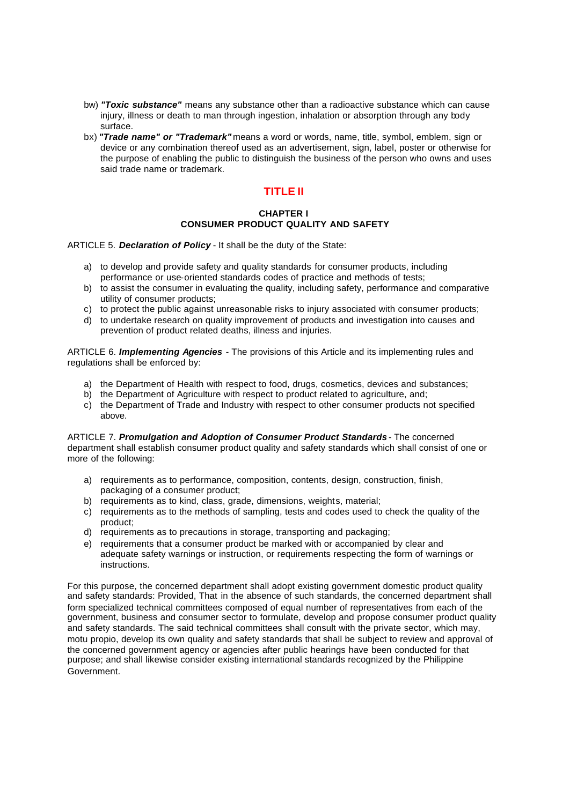- bw) *"Toxic substance"* means any substance other than a radioactive substance which can cause injury, illness or death to man through ingestion, inhalation or absorption through any body surface.
- bx) *"Trade name" or "Trademark"* means a word or words, name, title, symbol, emblem, sign or device or any combination thereof used as an advertisement, sign, label, poster or otherwise for the purpose of enabling the public to distinguish the business of the person who owns and uses said trade name or trademark.

## **TITLE II**

#### **CHAPTER I CONSUMER PRODUCT QUALITY AND SAFETY**

ARTICLE 5. *Declaration of Policy* - It shall be the duty of the State:

- a) to develop and provide safety and quality standards for consumer products, including performance or use-oriented standards codes of practice and methods of tests;
- b) to assist the consumer in evaluating the quality, including safety, performance and comparative utility of consumer products;
- c) to protect the public against unreasonable risks to injury associated with consumer products;
- d) to undertake research on quality improvement of products and investigation into causes and prevention of product related deaths, illness and injuries.

ARTICLE 6. *Implementing Agencies* - The provisions of this Article and its implementing rules and regulations shall be enforced by:

- a) the Department of Health with respect to food, drugs, cosmetics, devices and substances;
- b) the Department of Agriculture with respect to product related to agriculture, and:
- c) the Department of Trade and Industry with respect to other consumer products not specified above.

ARTICLE 7. *Promulgation and Adoption of Consumer Product Standards* - The concerned department shall establish consumer product quality and safety standards which shall consist of one or more of the following:

- a) requirements as to performance, composition, contents, design, construction, finish, packaging of a consumer product;
- b) requirements as to kind, class, grade, dimensions, weights, material;
- c) requirements as to the methods of sampling, tests and codes used to check the quality of the product;
- d) requirements as to precautions in storage, transporting and packaging;
- e) requirements that a consumer product be marked with or accompanied by clear and adequate safety warnings or instruction, or requirements respecting the form of warnings or instructions.

For this purpose, the concerned department shall adopt existing government domestic product quality and safety standards: Provided, That in the absence of such standards, the concerned department shall form specialized technical committees composed of equal number of representatives from each of the government, business and consumer sector to formulate, develop and propose consumer product quality and safety standards. The said technical committees shall consult with the private sector, which may, motu propio, develop its own quality and safety standards that shall be subject to review and approval of the concerned government agency or agencies after public hearings have been conducted for that purpose; and shall likewise consider existing international standards recognized by the Philippine Government.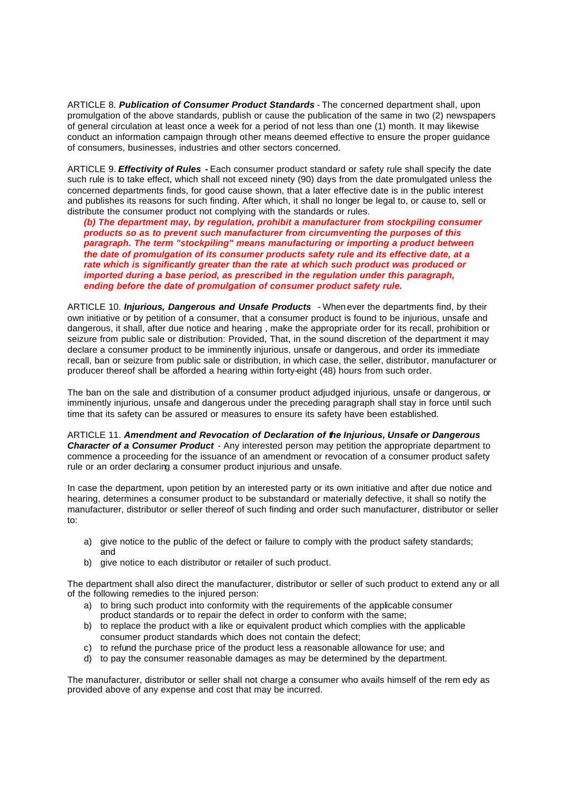ARTICLE 8. *Publication of Consumer Product Standards* - The concerned department shall, upon promulgation of the above standards, publish or cause the publication of the same in two (2) newspapers of general circulation at least once a week for a period of not less than one (1) month. It may likewise conduct an information campaign through other means deemed effective to ensure the proper guidance of consumers, businesses, industries and other sectors concerned.

ARTICLE 9. *Effectivity of Rules -* Each consumer product standard or safety rule shall specify the date such rule is to take effect, which shall not exceed ninety (90) days from the date promulgated unless the concerned departments finds, for good cause shown, that a later effective date is in the public interest and publishes its reasons for such finding. After which, it shall no longer be legal to, or cause to, sell or distribute the consumer product not complying with the standards or rules.

*(b) The department may, by regulation, prohibit a manufacturer from stockpiling consumer products so as to prevent such manufacturer from circumventing the purposes of this paragraph. The term "stockpiling" means manufacturing or importing a product between the date of promulgation of its consumer products safety rule and its effective date, at a rate which is significantly greater than the rate at which such product was produced or imported during a base period, as prescribed in the regulation under this paragraph, ending before the date of promulgation of consumer product safety rule.*

ARTICLE 10. *Injurious, Dangerous and Unsafe Products* - When ever the departments find, by their own initiative or by petition of a consumer, that a consumer product is found to be injurious, unsafe and dangerous, it shall, after due notice and hearing , make the appropriate order for its recall, prohibition or seizure from public sale or distribution: Provided, That, in the sound discretion of the department it may declare a consumer product to be imminently injurious, unsafe or dangerous, and order its immediate recall, ban or seizure from public sale or distribution, in which case, the seller, distributor, manufacturer or producer thereof shall be afforded a hearing within forty-eight (48) hours from such order.

The ban on the sale and distribution of a consumer product adjudged injurious, unsafe or dangerous, or imminently injurious, unsafe and dangerous under the preceding paragraph shall stay in force until such time that its safety can be assured or measures to ensure its safety have been established.

ARTICLE 11. *Amendment and Revocation of Declaration of the Injurious, Unsafe or Dangerous Character of a Consumer Product* - Any interested person may petition the appropriate department to commence a proceeding for the issuance of an amendment or revocation of a consumer product safety rule or an order declaring a consumer product injurious and unsafe.

In case the department, upon petition by an interested party or its own initiative and after due notice and hearing, determines a consumer product to be substandard or materially defective, it shall so notify the manufacturer, distributor or seller thereof of such finding and order such manufacturer, distributor or seller  $t^{\circ}$ 

- a) give notice to the public of the defect or failure to comply with the product safety standards; and
- b) give notice to each distributor or retailer of such product.

The department shall also direct the manufacturer, distributor or seller of such product to extend any or all of the following remedies to the injured person:

- a) to bring such product into conformity with the requirements of the applicable consumer product standards or to repair the defect in order to conform with the same;
- b) to replace the product with a like or equivalent product which complies with the applicable consumer product standards which does not contain the defect;
- c) to refund the purchase price of the product less a reasonable allowance for use; and
- d) to pay the consumer reasonable damages as may be determined by the department.

The manufacturer, distributor or seller shall not charge a consumer who avails himself of the rem edy as provided above of any expense and cost that may be incurred.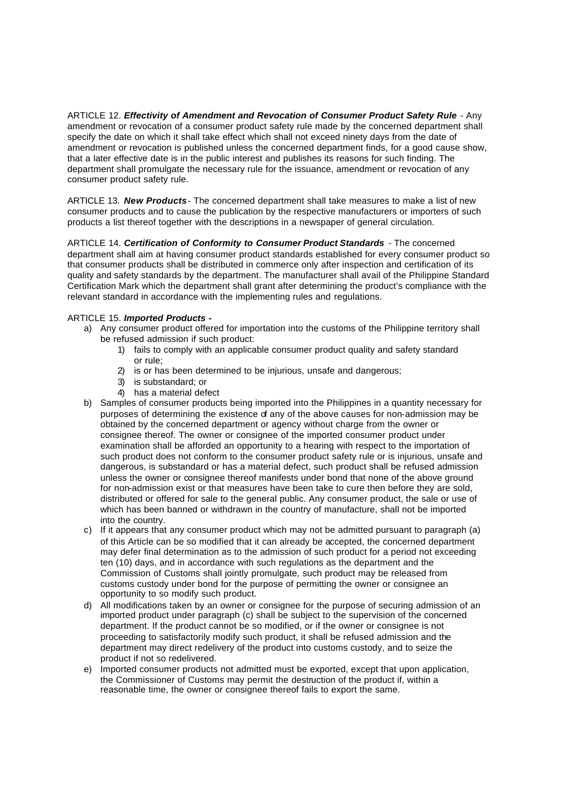ARTICLE 12. *Effectivity of Amendment and Revocation of Consumer Product Safety Rule - Anv* amendment or revocation of a consumer product safety rule made by the concerned department shall specify the date on which it shall take effect which shall not exceed ninety days from the date of amendment or revocation is published unless the concerned department finds, for a good cause show, that a later effective date is in the public interest and publishes its reasons for such finding. The department shall promulgate the necessary rule for the issuance, amendment or revocation of any consumer product safety rule.

ARTICLE 13. *New Products*- The concerned department shall take measures to make a list of new consumer products and to cause the publication by the respective manufacturers or importers of such products a list thereof together with the descriptions in a newspaper of general circulation.

ARTICLE 14. *Certification of Conformity to Consumer Product Standards* - The concerned department shall aim at having consumer product standards established for every consumer product so that consumer products shall be distributed in commerce only after inspection and certification of its quality and safety standards by the department. The manufacturer shall avail of the Philippine Standard Certification Mark which the department shall grant after determining the product's compliance with the relevant standard in accordance with the implementing rules and regulations.

#### ARTICLE 15. *Imported Products -*

- a) Any consumer product offered for importation into the customs of the Philippine territory shall be refused admission if such product:
	- 1) fails to comply with an applicable consumer product quality and safety standard or rule;
	- 2) is or has been determined to be injurious, unsafe and dangerous;
	- 3) is substandard; or
	- 4) has a material defect
- b) Samples of consumer products being imported into the Philippines in a quantity necessary for purposes of determining the existence of any of the above causes for non-admission may be obtained by the concerned department or agency without charge from the owner or consignee thereof. The owner or consignee of the imported consumer product under examination shall be afforded an opportunity to a hearing with respect to the importation of such product does not conform to the consumer product safety rule or is injurious, unsafe and dangerous, is substandard or has a material defect, such product shall be refused admission unless the owner or consignee thereof manifests under bond that none of the above ground for non-admission exist or that measures have been take to cure then before they are sold, distributed or offered for sale to the general public. Any consumer product, the sale or use of which has been banned or withdrawn in the country of manufacture, shall not be imported into the country.
- c) If it appears that any consumer product which may not be admitted pursuant to paragraph (a) of this Article can be so modified that it can already be accepted, the concerned department may defer final determination as to the admission of such product for a period not exceeding ten (10) days, and in accordance with such regulations as the department and the Commission of Customs shall jointly promulgate, such product may be released from customs custody under bond for the purpose of permitting the owner or consignee an opportunity to so modify such product.
- d) All modifications taken by an owner or consignee for the purpose of securing admission of an imported product under paragraph (c) shall be subject to the supervision of the concerned department. If the product cannot be so modified, or if the owner or consignee is not proceeding to satisfactorily modify such product, it shall be refused admission and the department may direct redelivery of the product into customs custody, and to seize the product if not so redelivered.
- e) Imported consumer products not admitted must be exported, except that upon application, the Commissioner of Customs may permit the destruction of the product if, within a reasonable time, the owner or consignee thereof fails to export the same.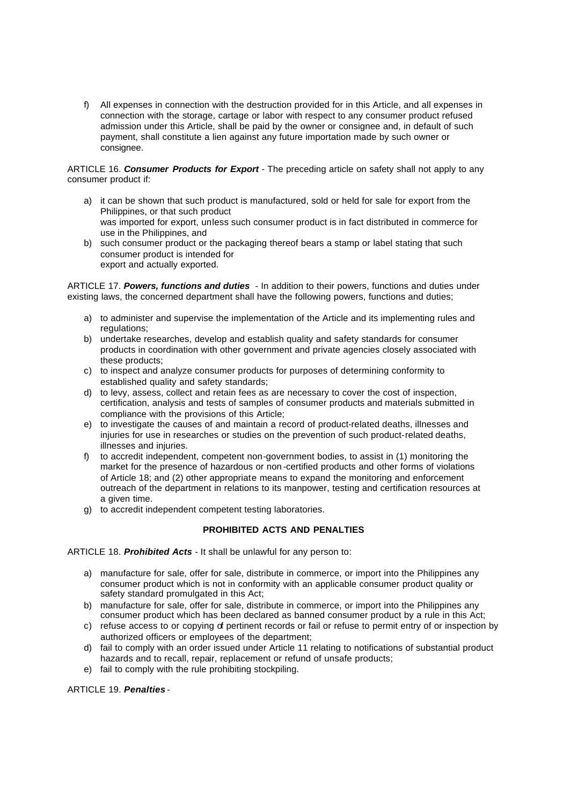f) All expenses in connection with the destruction provided for in this Article, and all expenses in connection with the storage, cartage or labor with respect to any consumer product refused admission under this Article, shall be paid by the owner or consignee and, in default of such payment, shall constitute a lien against any future importation made by such owner or consignee.

ARTICLE 16. *Consumer Products for Export* - The preceding article on safety shall not apply to any consumer product if:

- a) it can be shown that such product is manufactured, sold or held for sale for export from the Philippines, or that such product was imported for export, unless such consumer product is in fact distributed in commerce for use in the Philippines, and
- b) such consumer product or the packaging thereof bears a stamp or label stating that such consumer product is intended for export and actually exported.

ARTICLE 17. *Powers, functions and duties* - In addition to their powers, functions and duties under existing laws, the concerned department shall have the following powers, functions and duties;

- a) to administer and supervise the implementation of the Article and its implementing rules and regulations;
- b) undertake researches, develop and establish quality and safety standards for consumer products in coordination with other government and private agencies closely associated with these products;
- c) to inspect and analyze consumer products for purposes of determining conformity to established quality and safety standards;
- d) to levy, assess, collect and retain fees as are necessary to cover the cost of inspection, certification, analysis and tests of samples of consumer products and materials submitted in compliance with the provisions of this Article;
- e) to investigate the causes of and maintain a record of product-related deaths, illnesses and injuries for use in researches or studies on the prevention of such product-related deaths, illnesses and injuries.
- f) to accredit independent, competent non-government bodies, to assist in (1) monitoring the market for the presence of hazardous or non -certified products and other forms of violations of Article 18; and (2) other appropriate means to expand the monitoring and enforcement outreach of the department in relations to its manpower, testing and certification resources at a given time.
- g) to accredit independent competent testing laboratories.

#### **PROHIBITED ACTS AND PENALTIES**

ARTICLE 18. *Prohibited Acts* - It shall be unlawful for any person to:

- a) manufacture for sale, offer for sale, distribute in commerce, or import into the Philippines any consumer product which is not in conformity with an applicable consumer product quality or safety standard promulgated in this Act;
- b) manufacture for sale, offer for sale, distribute in commerce, or import into the Philippines any consumer product which has been declared as banned consumer product by a rule in this Act;
- c) refuse access to or copying of pertinent records or fail or refuse to permit entry of or inspection by authorized officers or employees of the department;
- d) fail to comply with an order issued under Article 11 relating to notifications of substantial product hazards and to recall, repair, replacement or refund of unsafe products;
- e) fail to comply with the rule prohibiting stockpiling.

ARTICLE 19. *Penalties* -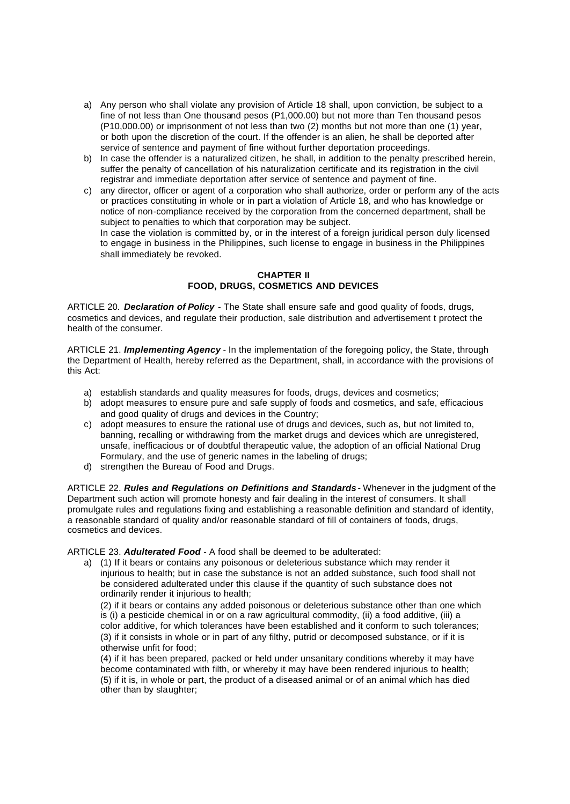- a) Any person who shall violate any provision of Article 18 shall, upon conviction, be subject to a fine of not less than One thousand pesos (P1,000.00) but not more than Ten thousand pesos (P10,000.00) or imprisonment of not less than two (2) months but not more than one (1) year, or both upon the discretion of the court. If the offender is an alien, he shall be deported after service of sentence and payment of fine without further deportation proceedings.
- b) In case the offender is a naturalized citizen, he shall, in addition to the penalty prescribed herein, suffer the penalty of cancellation of his naturalization certificate and its registration in the civil registrar and immediate deportation after service of sentence and payment of fine.
- c) any director, officer or agent of a corporation who shall authorize, order or perform any of the acts or practices constituting in whole or in part a violation of Article 18, and who has knowledge or notice of non-compliance received by the corporation from the concerned department, shall be subject to penalties to which that corporation may be subject. In case the violation is committed by, or in the interest of a foreign juridical person duly licensed to engage in business in the Philippines, such license to engage in business in the Philippines

#### **CHAPTER II FOOD, DRUGS, COSMETICS AND DEVICES**

ARTICLE 20. *Declaration of Policy* - The State shall ensure safe and good quality of foods, drugs, cosmetics and devices, and regulate their production, sale distribution and advertisement t protect the health of the consumer.

ARTICLE 21. *Implementing Agency* - In the implementation of the foregoing policy, the State, through the Department of Health, hereby referred as the Department, shall, in accordance with the provisions of this Act:

- a) establish standards and quality measures for foods, drugs, devices and cosmetics;
- b) adopt measures to ensure pure and safe supply of foods and cosmetics, and safe, efficacious and good quality of drugs and devices in the Country;
- c) adopt measures to ensure the rational use of drugs and devices, such as, but not limited to, banning, recalling or withdrawing from the market drugs and devices which are unregistered, unsafe, inefficacious or of doubtful therapeutic value, the adoption of an official National Drug Formulary, and the use of generic names in the labeling of drugs;
- d) strengthen the Bureau of Food and Drugs.

shall immediately be revoked.

ARTICLE 22. *Rules and Regulations on Definitions and Standards* - Whenever in the judgment of the Department such action will promote honesty and fair dealing in the interest of consumers. It shall promulgate rules and regulations fixing and establishing a reasonable definition and standard of identity, a reasonable standard of quality and/or reasonable standard of fill of containers of foods, drugs, cosmetics and devices.

ARTICLE 23. *Adulterated Food* - A food shall be deemed to be adulterated:

a) (1) If it bears or contains any poisonous or deleterious substance which may render it injurious to health; but in case the substance is not an added substance, such food shall not be considered adulterated under this clause if the quantity of such substance does not ordinarily render it injurious to health;

(2) if it bears or contains any added poisonous or deleterious substance other than one which is (i) a pesticide chemical in or on a raw agricultural commodity, (ii) a food additive, (iii) a color additive, for which tolerances have been established and it conform to such tolerances; (3) if it consists in whole or in part of any filthy, putrid or decomposed substance, or if it is otherwise unfit for food;

(4) if it has been prepared, packed or held under unsanitary conditions whereby it may have become contaminated with filth, or whereby it may have been rendered injurious to health; (5) if it is, in whole or part, the product of a diseased animal or of an animal which has died other than by slaughter;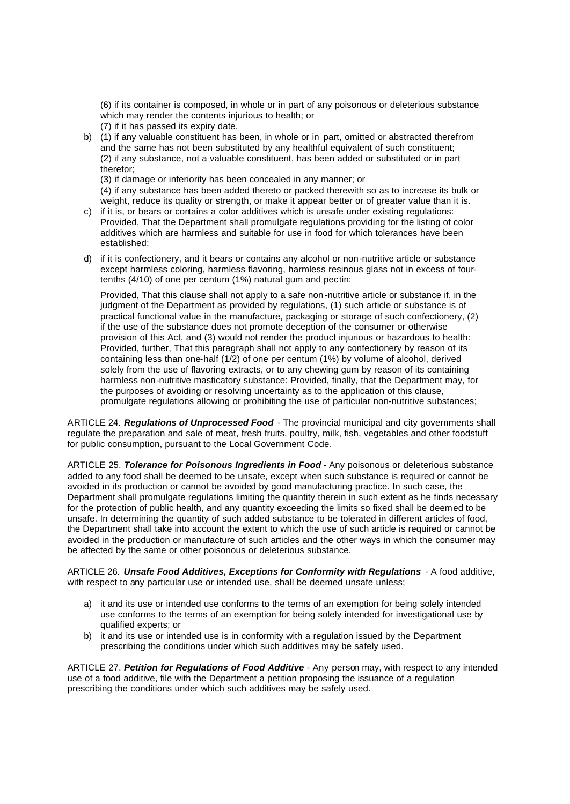(6) if its container is composed, in whole or in part of any poisonous or deleterious substance which may render the contents injurious to health; or

- (7) if it has passed its expiry date.
- b) (1) if any valuable constituent has been, in whole or in part, omitted or abstracted therefrom and the same has not been substituted by any healthful equivalent of such constituent; (2) if any substance, not a valuable constituent, has been added or substituted or in part therefor;

(3) if damage or inferiority has been concealed in any manner; or

(4) if any substance has been added thereto or packed therewith so as to increase its bulk or weight, reduce its quality or strength, or make it appear better or of greater value than it is.

- c) if it is, or bears or contains a color additives which is unsafe under existing regulations: Provided, That the Department shall promulgate regulations providing for the listing of color additives which are harmless and suitable for use in food for which tolerances have been established;
- d) if it is confectionery, and it bears or contains any alcohol or non-nutritive article or substance except harmless coloring, harmless flavoring, harmless resinous glass not in excess of fourtenths (4/10) of one per centum (1%) natural gum and pectin:

Provided, That this clause shall not apply to a safe non -nutritive article or substance if, in the judgment of the Department as provided by regulations, (1) such article or substance is of practical functional value in the manufacture, packaging or storage of such confectionery, (2) if the use of the substance does not promote deception of the consumer or otherwise provision of this Act, and (3) would not render the product injurious or hazardous to health: Provided, further, That this paragraph shall not apply to any confectionery by reason of its containing less than one-half (1/2) of one per centum (1%) by volume of alcohol, derived solely from the use of flavoring extracts, or to any chewing gum by reason of its containing harmless non-nutritive masticatory substance: Provided, finally, that the Department may, for the purposes of avoiding or resolving uncertainty as to the application of this clause, promulgate regulations allowing or prohibiting the use of particular non-nutritive substances;

ARTICLE 24. *Regulations of Unprocessed Food* - The provincial municipal and city governments shall regulate the preparation and sale of meat, fresh fruits, poultry, milk, fish, vegetables and other foodstuff for public consumption, pursuant to the Local Government Code.

ARTICLE 25. *Tolerance for Poisonous Ingredients in Food* - Any poisonous or deleterious substance added to any food shall be deemed to be unsafe, except when such substance is required or cannot be avoided in its production or cannot be avoided by good manufacturing practice. In such case, the Department shall promulgate regulations limiting the quantity therein in such extent as he finds necessary for the protection of public health, and any quantity exceeding the limits so fixed shall be deemed to be unsafe. In determining the quantity of such added substance to be tolerated in different articles of food, the Department shall take into account the extent to which the use of such article is required or cannot be avoided in the production or manufacture of such articles and the other ways in which the consumer may be affected by the same or other poisonous or deleterious substance.

ARTICLE 26. Unsafe Food Additives, Exceptions for Conformity with Requlations - A food additive, with respect to any particular use or intended use, shall be deemed unsafe unless;

- a) it and its use or intended use conforms to the terms of an exemption for being solely intended use conforms to the terms of an exemption for being solely intended for investigational use by qualified experts; or
- b) it and its use or intended use is in conformity with a regulation issued by the Department prescribing the conditions under which such additives may be safely used.

ARTICLE 27. *Petition for Regulations of Food Additive* - Any person may, with respect to any intended use of a food additive, file with the Department a petition proposing the issuance of a regulation prescribing the conditions under which such additives may be safely used.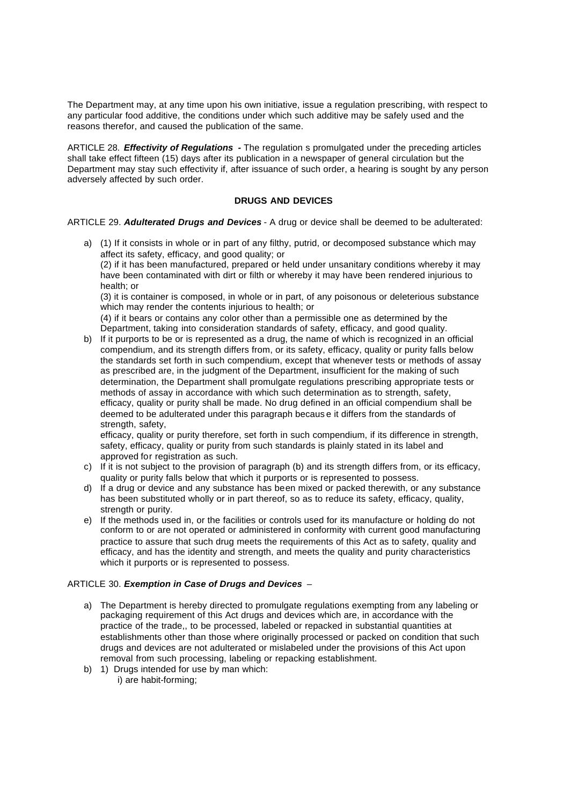The Department may, at any time upon his own initiative, issue a regulation prescribing, with respect to any particular food additive, the conditions under which such additive may be safely used and the reasons therefor, and caused the publication of the same.

ARTICLE 28. *Effectivity of Regulations -* The regulation s promulgated under the preceding articles shall take effect fifteen (15) days after its publication in a newspaper of general circulation but the Department may stay such effectivity if, after issuance of such order, a hearing is sought by any person adversely affected by such order.

## **DRUGS AND DEVICES**

ARTICLE 29. *Adulterated Drugs and Devices* - A drug or device shall be deemed to be adulterated:

a) (1) If it consists in whole or in part of any filthy, putrid, or decomposed substance which may affect its safety, efficacy, and good quality; or

(2) if it has been manufactured, prepared or held under unsanitary conditions whereby it may have been contaminated with dirt or filth or whereby it may have been rendered injurious to health; or

(3) it is container is composed, in whole or in part, of any poisonous or deleterious substance which may render the contents injurious to health; or

(4) if it bears or contains any color other than a permissible one as determined by the Department, taking into consideration standards of safety, efficacy, and good quality.

b) If it purports to be or is represented as a drug, the name of which is recognized in an official compendium, and its strength differs from, or its safety, efficacy, quality or purity falls below the standards set forth in such compendium, except that whenever tests or methods of assay as prescribed are, in the judgment of the Department, insufficient for the making of such determination, the Department shall promulgate regulations prescribing appropriate tests or methods of assay in accordance with which such determination as to strength, safety, efficacy, quality or purity shall be made. No drug defined in an official compendium shall be deemed to be adulterated under this paragraph becaus e it differs from the standards of strength, safety,

efficacy, quality or purity therefore, set forth in such compendium, if its difference in strength, safety, efficacy, quality or purity from such standards is plainly stated in its label and approved for registration as such.

- c) If it is not subject to the provision of paragraph (b) and its strength differs from, or its efficacy, quality or purity falls below that which it purports or is represented to possess.
- d) If a drug or device and any substance has been mixed or packed therewith, or any substance has been substituted wholly or in part thereof, so as to reduce its safety, efficacy, quality, strength or purity.
- e) If the methods used in, or the facilities or controls used for its manufacture or holding do not conform to or are not operated or administered in conformity with current good manufacturing practice to assure that such drug meets the requirements of this Act as to safety, quality and efficacy, and has the identity and strength, and meets the quality and purity characteristics which it purports or is represented to possess.

#### ARTICLE 30. *Exemption in Case of Drugs and Devices* –

- a) The Department is hereby directed to promulgate regulations exempting from any labeling or packaging requirement of this Act drugs and devices which are, in accordance with the practice of the trade,, to be processed, labeled or repacked in substantial quantities at establishments other than those where originally processed or packed on condition that such drugs and devices are not adulterated or mislabeled under the provisions of this Act upon removal from such processing, labeling or repacking establishment.
- b) 1) Drugs intended for use by man which: i) are habit-forming;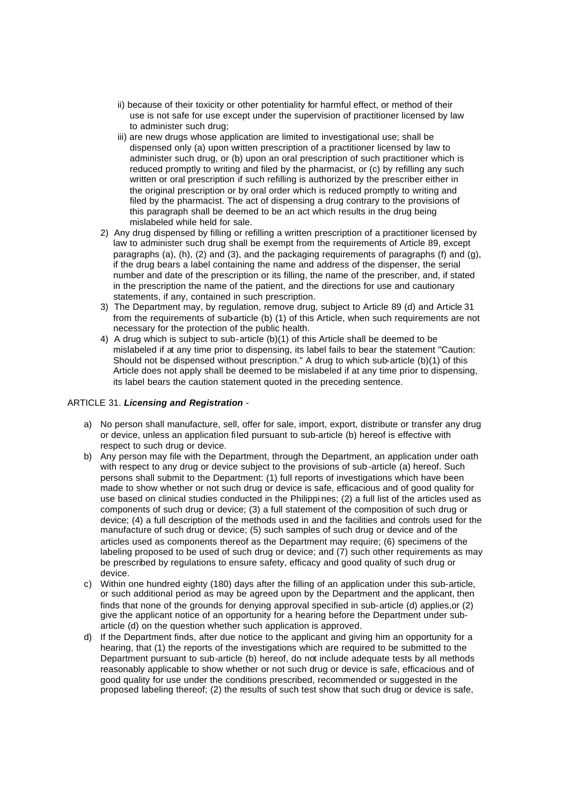- ii) because of their toxicity or other potentiality for harmful effect, or method of their use is not safe for use except under the supervision of practitioner licensed by law to administer such drug;
- iii) are new drugs whose application are limited to investigational use; shall be dispensed only (a) upon written prescription of a practitioner licensed by law to administer such drug, or (b) upon an oral prescription of such practitioner which is reduced promptly to writing and filed by the pharmacist, or (c) by refilling any such written or oral prescription if such refilling is authorized by the prescriber either in the original prescription or by oral order which is reduced promptly to writing and filed by the pharmacist. The act of dispensing a drug contrary to the provisions of this paragraph shall be deemed to be an act which results in the drug being mislabeled while held for sale.
- 2) Any drug dispensed by filling or refilling a written prescription of a practitioner licensed by law to administer such drug shall be exempt from the requirements of Article 89, except paragraphs (a), (h), (2) and (3), and the packaging requirements of paragraphs (f) and (g), if the drug bears a label containing the name and address of the dispenser, the serial number and date of the prescription or its filling, the name of the prescriber, and, if stated in the prescription the name of the patient, and the directions for use and cautionary statements, if any, contained in such prescription.
- 3) The Department may, by regulation, remove drug, subject to Article 89 (d) and Article 31 from the requirements of sub-article (b) (1) of this Article, when such requirements are not necessary for the protection of the public health.
- 4) A drug which is subject to sub-article (b)(1) of this Article shall be deemed to be mislabeled if at any time prior to dispensing, its label fails to bear the statement "Caution: Should not be dispensed without prescription." A drug to which sub-article (b)(1) of this Article does not apply shall be deemed to be mislabeled if at any time prior to dispensing, its label bears the caution statement quoted in the preceding sentence.

#### ARTICLE 31. *Licensing and Registration* -

- a) No person shall manufacture, sell, offer for sale, import, export, distribute or transfer any drug or device, unless an application filed pursuant to sub-article (b) hereof is effective with respect to such drug or device.
- b) Any person may file with the Department, through the Department, an application under oath with respect to any drug or device subject to the provisions of sub -article (a) hereof. Such persons shall submit to the Department: (1) full reports of investigations which have been made to show whether or not such drug or device is safe, efficacious and of good quality for use based on clinical studies conducted in the Philippi nes; (2) a full list of the articles used as components of such drug or device; (3) a full statement of the composition of such drug or device; (4) a full description of the methods used in and the facilities and controls used for the manufacture of such drug or device; (5) such samples of such drug or device and of the articles used as components thereof as the Department may require; (6) specimens of the labeling proposed to be used of such drug or device; and (7) such other requirements as may be prescribed by regulations to ensure safety, efficacy and good quality of such drug or device.
- c) Within one hundred eighty (180) days after the filling of an application under this sub-article, or such additional period as may be agreed upon by the Department and the applicant, then finds that none of the grounds for denying approval specified in sub-article (d) applies,or (2) give the applicant notice of an opportunity for a hearing before the Department under subarticle (d) on the question whether such application is approved.
- d) If the Department finds, after due notice to the applicant and giving him an opportunity for a hearing, that (1) the reports of the investigations which are required to be submitted to the Department pursuant to sub-article (b) hereof, do not include adequate tests by all methods reasonably applicable to show whether or not such drug or device is safe, efficacious and of good quality for use under the conditions prescribed, recommended or suggested in the proposed labeling thereof; (2) the results of such test show that such drug or device is safe,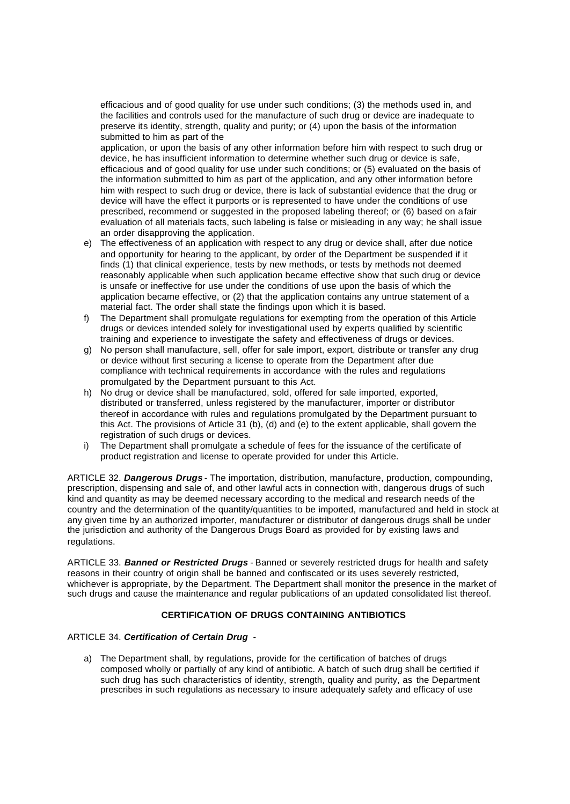efficacious and of good quality for use under such conditions; (3) the methods used in, and the facilities and controls used for the manufacture of such drug or device are inadequate to preserve its identity, strength, quality and purity; or (4) upon the basis of the information submitted to him as part of the

application, or upon the basis of any other information before him with respect to such drug or device, he has insufficient information to determine whether such drug or device is safe, efficacious and of good quality for use under such conditions; or (5) evaluated on the basis of the information submitted to him as part of the application, and any other information before him with respect to such drug or device, there is lack of substantial evidence that the drug or device will have the effect it purports or is represented to have under the conditions of use prescribed, recommend or suggested in the proposed labeling thereof; or (6) based on a fair evaluation of all materials facts, such labeling is false or misleading in any way; he shall issue an order disapproving the application.

- e) The effectiveness of an application with respect to any drug or device shall, after due notice and opportunity for hearing to the applicant, by order of the Department be suspended if it finds (1) that clinical experience, tests by new methods, or tests by methods not deemed reasonably applicable when such application became effective show that such drug or device is unsafe or ineffective for use under the conditions of use upon the basis of which the application became effective, or (2) that the application contains any untrue statement of a material fact. The order shall state the findings upon which it is based.
- f) The Department shall promulgate regulations for exempting from the operation of this Article drugs or devices intended solely for investigational used by experts qualified by scientific training and experience to investigate the safety and effectiveness of drugs or devices.
- g) No person shall manufacture, sell, offer for sale import, export, distribute or transfer any drug or device without first securing a license to operate from the Department after due compliance with technical requirements in accordance with the rules and regulations promulgated by the Department pursuant to this Act.
- h) No drug or device shall be manufactured, sold, offered for sale imported, exported, distributed or transferred, unless registered by the manufacturer, importer or distributor thereof in accordance with rules and regulations promulgated by the Department pursuant to this Act. The provisions of Article 31 (b), (d) and (e) to the extent applicable, shall govern the registration of such drugs or devices.
- i) The Department shall promulgate a schedule of fees for the issuance of the certificate of product registration and license to operate provided for under this Article.

ARTICLE 32. *Dangerous Drugs* - The importation, distribution, manufacture, production, compounding, prescription, dispensing and sale of, and other lawful acts in connection with, dangerous drugs of such kind and quantity as may be deemed necessary according to the medical and research needs of the country and the determination of the quantity/quantities to be imported, manufactured and held in stock at any given time by an authorized importer, manufacturer or distributor of dangerous drugs shall be under the jurisdiction and authority of the Dangerous Drugs Board as provided for by existing laws and regulations.

ARTICLE 33. *Banned or Restricted Drugs* - Banned or severely restricted drugs for health and safety reasons in their country of origin shall be banned and confiscated or its uses severely restricted, whichever is appropriate, by the Department. The Department shall monitor the presence in the market of such drugs and cause the maintenance and regular publications of an updated consolidated list thereof.

## **CERTIFICATION OF DRUGS CONTAINING ANTIBIOTICS**

#### ARTICLE 34. *Certification of Certain Drug* -

a) The Department shall, by regulations, provide for the certification of batches of drugs composed wholly or partially of any kind of antibiotic. A batch of such drug shall be certified if such drug has such characteristics of identity, strength, quality and purity, as the Department prescribes in such regulations as necessary to insure adequately safety and efficacy of use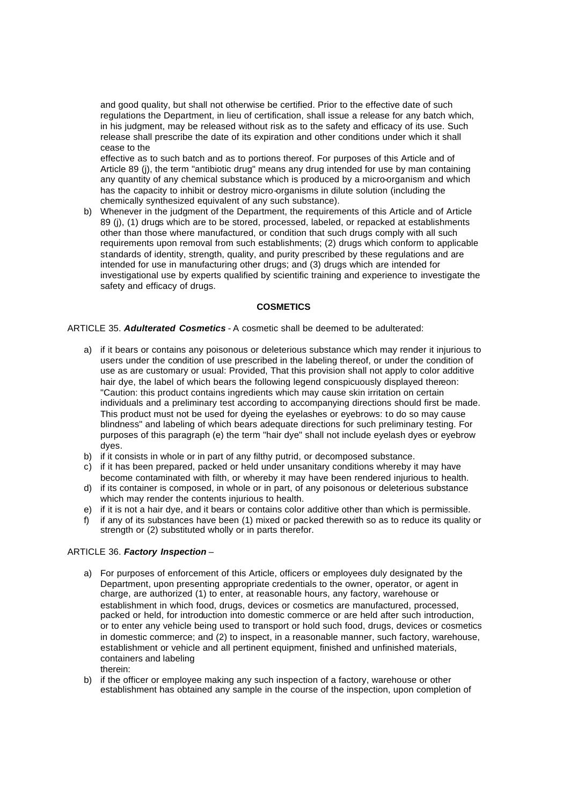and good quality, but shall not otherwise be certified. Prior to the effective date of such regulations the Department, in lieu of certification, shall issue a release for any batch which, in his judgment, may be released without risk as to the safety and efficacy of its use. Such release shall prescribe the date of its expiration and other conditions under which it shall cease to the

effective as to such batch and as to portions thereof. For purposes of this Article and of Article 89 (j), the term "antibiotic drug" means any drug intended for use by man containing any quantity of any chemical substance which is produced by a micro-organism and which has the capacity to inhibit or destroy micro-organisms in dilute solution (including the chemically synthesized equivalent of any such substance).

b) Whenever in the judgment of the Department, the requirements of this Article and of Article 89 (j), (1) drugs which are to be stored, processed, labeled, or repacked at establishments other than those where manufactured, or condition that such drugs comply with all such requirements upon removal from such establishments; (2) drugs which conform to applicable standards of identity, strength, quality, and purity prescribed by these regulations and are intended for use in manufacturing other drugs; and (3) drugs which are intended for investigational use by experts qualified by scientific training and experience to investigate the safety and efficacy of drugs.

#### **COSMETICS**

#### ARTICLE 35. *Adulterated Cosmetics* - A cosmetic shall be deemed to be adulterated:

- a) if it bears or contains any poisonous or deleterious substance which may render it injurious to users under the condition of use prescribed in the labeling thereof, or under the condition of use as are customary or usual: Provided, That this provision shall not apply to color additive hair dye, the label of which bears the following legend conspicuously displayed thereon: "Caution: this product contains ingredients which may cause skin irritation on certain individuals and a preliminary test according to accompanying directions should first be made. This product must not be used for dyeing the eyelashes or eyebrows: to do so may cause blindness" and labeling of which bears adequate directions for such preliminary testing. For purposes of this paragraph (e) the term "hair dye" shall not include eyelash dyes or eyebrow dyes.
- b) if it consists in whole or in part of any filthy putrid, or decomposed substance.
- c) if it has been prepared, packed or held under unsanitary conditions whereby it may have become contaminated with filth, or whereby it may have been rendered injurious to health.
- d) if its container is composed, in whole or in part, of any poisonous or deleterious substance which may render the contents injurious to health.
- e) if it is not a hair dye, and it bears or contains color additive other than which is permissible.
- f) if any of its substances have been (1) mixed or packed therewith so as to reduce its quality or strength or (2) substituted wholly or in parts therefor.

#### ARTICLE 36. *Factory Inspection* –

- a) For purposes of enforcement of this Article, officers or employees duly designated by the Department, upon presenting appropriate credentials to the owner, operator, or agent in charge, are authorized (1) to enter, at reasonable hours, any factory, warehouse or establishment in which food, drugs, devices or cosmetics are manufactured, processed, packed or held, for introduction into domestic commerce or are held after such introduction, or to enter any vehicle being used to transport or hold such food, drugs, devices or cosmetics in domestic commerce; and (2) to inspect, in a reasonable manner, such factory, warehouse, establishment or vehicle and all pertinent equipment, finished and unfinished materials, containers and labeling therein:
- b) if the officer or employee making any such inspection of a factory, warehouse or other establishment has obtained any sample in the course of the inspection, upon completion of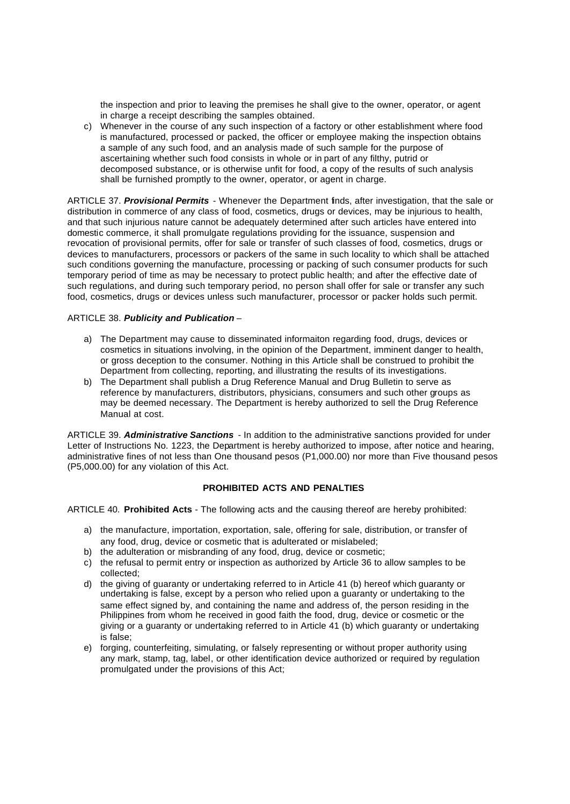the inspection and prior to leaving the premises he shall give to the owner, operator, or agent in charge a receipt describing the samples obtained.

c) Whenever in the course of any such inspection of a factory or other establishment where food is manufactured, processed or packed, the officer or employee making the inspection obtains a sample of any such food, and an analysis made of such sample for the purpose of ascertaining whether such food consists in whole or in part of any filthy, putrid or decomposed substance, or is otherwise unfit for food, a copy of the results of such analysis shall be furnished promptly to the owner, operator, or agent in charge.

ARTICLE 37. *Provisional Permits* - Whenever the Department finds, after investigation, that the sale or distribution in commerce of any class of food, cosmetics, drugs or devices, may be injurious to health, and that such injurious nature cannot be adequately determined after such articles have entered into domestic commerce, it shall promulgate regulations providing for the issuance, suspension and revocation of provisional permits, offer for sale or transfer of such classes of food, cosmetics, drugs or devices to manufacturers, processors or packers of the same in such locality to which shall be attached such conditions governing the manufacture, processing or packing of such consumer products for such temporary period of time as may be necessary to protect public health; and after the effective date of such regulations, and during such temporary period, no person shall offer for sale or transfer any such food, cosmetics, drugs or devices unless such manufacturer, processor or packer holds such permit.

#### ARTICLE 38. *Publicity and Publication* –

- a) The Department may cause to disseminated informaiton regarding food, drugs, devices or cosmetics in situations involving, in the opinion of the Department, imminent danger to health, or gross deception to the consumer. Nothing in this Article shall be construed to prohibit the Department from collecting, reporting, and illustrating the results of its investigations.
- b) The Department shall publish a Drug Reference Manual and Drug Bulletin to serve as reference by manufacturers, distributors, physicians, consumers and such other groups as may be deemed necessary. The Department is hereby authorized to sell the Drug Reference Manual at cost.

ARTICLE 39. *Administrative Sanctions* - In addition to the administrative sanctions provided for under Letter of Instructions No. 1223, the Department is hereby authorized to impose, after notice and hearing, administrative fines of not less than One thousand pesos (P1,000.00) nor more than Five thousand pesos (P5,000.00) for any violation of this Act.

#### **PROHIBITED ACTS AND PENALTIES**

ARTICLE 40. **Prohibited Acts** - The following acts and the causing thereof are hereby prohibited:

- a) the manufacture, importation, exportation, sale, offering for sale, distribution, or transfer of any food, drug, device or cosmetic that is adulterated or mislabeled;
- b) the adulteration or misbranding of any food, drug, device or cosmetic;
- c) the refusal to permit entry or inspection as authorized by Article 36 to allow samples to be collected;
- d) the giving of guaranty or undertaking referred to in Article 41 (b) hereof which guaranty or undertaking is false, except by a person who relied upon a guaranty or undertaking to the same effect signed by, and containing the name and address of, the person residing in the Philippines from whom he received in good faith the food, drug, device or cosmetic or the giving or a guaranty or undertaking referred to in Article 41 (b) which guaranty or undertaking is false;
- e) forging, counterfeiting, simulating, or falsely representing or without proper authority using any mark, stamp, tag, label, or other identification device authorized or required by regulation promulgated under the provisions of this Act;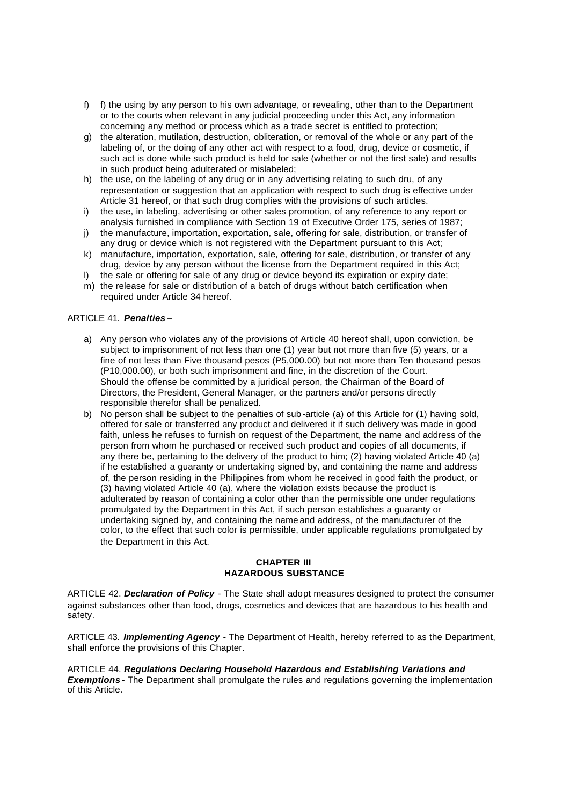- f) f) the using by any person to his own advantage, or revealing, other than to the Department or to the courts when relevant in any judicial proceeding under this Act, any information concerning any method or process which as a trade secret is entitled to protection;
- g) the alteration, mutilation, destruction, obliteration, or removal of the whole or any part of the labeling of, or the doing of any other act with respect to a food, drug, device or cosmetic, if such act is done while such product is held for sale (whether or not the first sale) and results in such product being adulterated or mislabeled;
- h) the use, on the labeling of any drug or in any advertising relating to such dru, of any representation or suggestion that an application with respect to such drug is effective under Article 31 hereof, or that such drug complies with the provisions of such articles.
- i) the use, in labeling, advertising or other sales promotion, of any reference to any report or analysis furnished in compliance with Section 19 of Executive Order 175, series of 1987;
- j) the manufacture, importation, exportation, sale, offering for sale, distribution, or transfer of any drug or device which is not registered with the Department pursuant to this Act;
- k) manufacture, importation, exportation, sale, offering for sale, distribution, or transfer of any drug, device by any person without the license from the Department required in this Act;
- l) the sale or offering for sale of any drug or device beyond its expiration or expiry date;
- m) the release for sale or distribution of a batch of drugs without batch certification when required under Article 34 hereof.

## ARTICLE 41. *Penalties* –

- a) Any person who violates any of the provisions of Article 40 hereof shall, upon conviction, be subject to imprisonment of not less than one (1) year but not more than five (5) years, or a fine of not less than Five thousand pesos (P5,000.00) but not more than Ten thousand pesos (P10,000.00), or both such imprisonment and fine, in the discretion of the Court. Should the offense be committed by a juridical person, the Chairman of the Board of Directors, the President, General Manager, or the partners and/or persons directly responsible therefor shall be penalized.
- b) No person shall be subject to the penalties of sub -article (a) of this Article for (1) having sold, offered for sale or transferred any product and delivered it if such delivery was made in good faith, unless he refuses to furnish on request of the Department, the name and address of the person from whom he purchased or received such product and copies of all documents, if any there be, pertaining to the delivery of the product to him; (2) having violated Article 40 (a) if he established a guaranty or undertaking signed by, and containing the name and address of, the person residing in the Philippines from whom he received in good faith the product, or (3) having violated Article 40 (a), where the violation exists because the product is adulterated by reason of containing a color other than the permissible one under regulations promulgated by the Department in this Act, if such person establishes a guaranty or undertaking signed by, and containing the name and address, of the manufacturer of the color, to the effect that such color is permissible, under applicable regulations promulgated by the Department in this Act.

#### **CHAPTER III HAZARDOUS SUBSTANCE**

ARTICLE 42. *Declaration of Policy* - The State shall adopt measures designed to protect the consumer against substances other than food, drugs, cosmetics and devices that are hazardous to his health and safety.

ARTICLE 43. *Implementing Agency* - The Department of Health, hereby referred to as the Department, shall enforce the provisions of this Chapter.

ARTICLE 44. *Regulations Declaring Household Hazardous and Establishing Variations and Exemptions* - The Department shall promulgate the rules and regulations governing the implementation of this Article.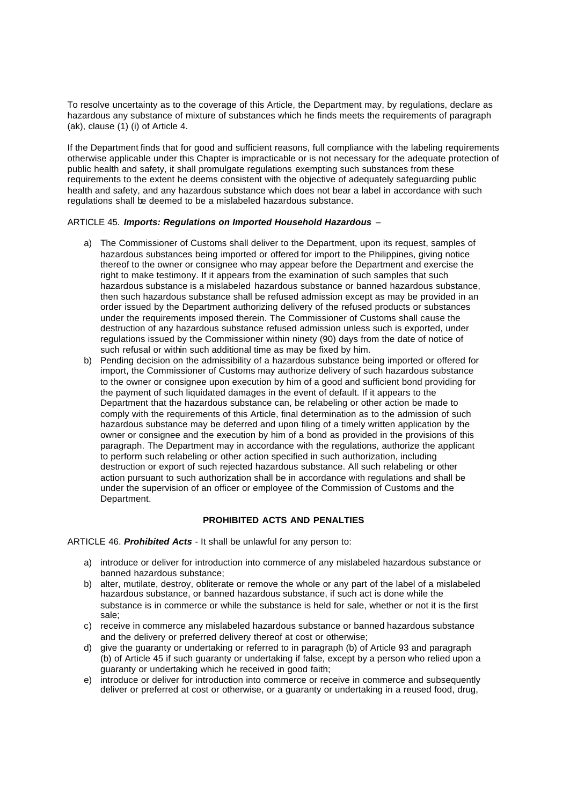To resolve uncertainty as to the coverage of this Article, the Department may, by regulations, declare as hazardous any substance of mixture of substances which he finds meets the requirements of paragraph (ak), clause (1) (i) of Article 4.

If the Department finds that for good and sufficient reasons, full compliance with the labeling requirements otherwise applicable under this Chapter is impracticable or is not necessary for the adequate protection of public health and safety, it shall promulgate regulations exempting such substances from these requirements to the extent he deems consistent with the objective of adequately safeguarding public health and safety, and any hazardous substance which does not bear a label in accordance with such regulations shall be deemed to be a mislabeled hazardous substance.

#### ARTICLE 45. *Imports: Regulations on Imported Household Hazardous –*

- a) The Commissioner of Customs shall deliver to the Department, upon its request, samples of hazardous substances being imported or offered for import to the Philippines, giving notice thereof to the owner or consignee who may appear before the Department and exercise the right to make testimony. If it appears from the examination of such samples that such hazardous substance is a mislabeled hazardous substance or banned hazardous substance, then such hazardous substance shall be refused admission except as may be provided in an order issued by the Department authorizing delivery of the refused products or substances under the requirements imposed therein. The Commissioner of Customs shall cause the destruction of any hazardous substance refused admission unless such is exported, under regulations issued by the Commissioner within ninety (90) days from the date of notice of such refusal or within such additional time as may be fixed by him.
- b) Pending decision on the admissibility of a hazardous substance being imported or offered for import, the Commissioner of Customs may authorize delivery of such hazardous substance to the owner or consignee upon execution by him of a good and sufficient bond providing for the payment of such liquidated damages in the event of default. If it appears to the Department that the hazardous substance can, be relabeling or other action be made to comply with the requirements of this Article, final determination as to the admission of such hazardous substance may be deferred and upon filing of a timely written application by the owner or consignee and the execution by him of a bond as provided in the provisions of this paragraph. The Department may in accordance with the regulations, authorize the applicant to perform such relabeling or other action specified in such authorization, including destruction or export of such rejected hazardous substance. All such relabeling or other action pursuant to such authorization shall be in accordance with regulations and shall be under the supervision of an officer or employee of the Commission of Customs and the Department.

#### **PROHIBITED ACTS AND PENALTIES**

ARTICLE 46. *Prohibited Acts -* It shall be unlawful for any person to:

- a) introduce or deliver for introduction into commerce of any mislabeled hazardous substance or banned hazardous substance;
- b) alter, mutilate, destroy, obliterate or remove the whole or any part of the label of a mislabeled hazardous substance, or banned hazardous substance, if such act is done while the substance is in commerce or while the substance is held for sale, whether or not it is the first sale;
- c) receive in commerce any mislabeled hazardous substance or banned hazardous substance and the delivery or preferred delivery thereof at cost or otherwise;
- d) give the guaranty or undertaking or referred to in paragraph (b) of Article 93 and paragraph (b) of Article 45 if such guaranty or undertaking if false, except by a person who relied upon a guaranty or undertaking which he received in good faith;
- e) introduce or deliver for introduction into commerce or receive in commerce and subsequently deliver or preferred at cost or otherwise, or a guaranty or undertaking in a reused food, drug,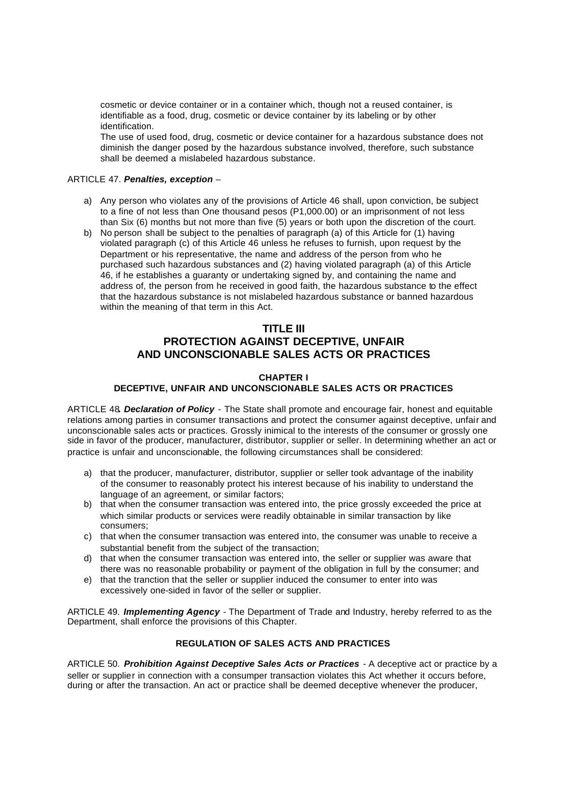cosmetic or device container or in a container which, though not a reused container, is identifiable as a food, drug, cosmetic or device container by its labeling or by other identification.

The use of used food, drug, cosmetic or device container for a hazardous substance does not diminish the danger posed by the hazardous substance involved, therefore, such substance shall be deemed a mislabeled hazardous substance.

#### ARTICLE 47. *Penalties, exception –*

- a) Any person who violates any of the provisions of Article 46 shall, upon conviction, be subject to a fine of not less than One thousand pesos (P1,000.00) or an imprisonment of not less than Six (6) months but not more than five (5) years or both upon the discretion of the court.
- b) No person shall be subject to the penalties of paragraph (a) of this Article for (1) having violated paragraph (c) of this Article 46 unless he refuses to furnish, upon request by the Department or his representative, the name and address of the person from who he purchased such hazardous substances and (2) having violated paragraph (a) of this Article 46, if he establishes a guaranty or undertaking signed by, and containing the name and address of, the person from he received in good faith, the hazardous substance to the effect that the hazardous substance is not mislabeled hazardous substance or banned hazardous within the meaning of that term in this Act.

## **TITLE III**

# **PROTECTION AGAINST DECEPTIVE, UNFAIR AND UNCONSCIONABLE SALES ACTS OR PRACTICES**

## **CHAPTER I**

## **DECEPTIVE, UNFAIR AND UNCONSCIONABLE SALES ACTS OR PRACTICES**

ARTICLE 48**.** *Declaration of Policy -* The State shall promote and encourage fair, honest and equitable relations among parties in consumer transactions and protect the consumer against deceptive, unfair and unconscionable sales acts or practices. Grossly inimical to the interests of the consumer or grossly one side in favor of the producer, manufacturer, distributor, supplier or seller. In determining whether an act or practice is unfair and unconscionable, the following circumstances shall be considered:

- a) that the producer, manufacturer, distributor, supplier or seller took advantage of the inability of the consumer to reasonably protect his interest because of his inability to understand the language of an agreement, or similar factors;
- b) that when the consumer transaction was entered into, the price grossly exceeded the price at which similar products or services were readily obtainable in similar transaction by like consumers;
- c) that when the consumer transaction was entered into, the consumer was unable to receive a substantial benefit from the subject of the transaction;
- d) that when the consumer transaction was entered into, the seller or supplier was aware that there was no reasonable probability or payment of the obligation in full by the consumer; and
- e) that the tranction that the seller or supplier induced the consumer to enter into was excessively one-sided in favor of the seller or supplier.

ARTICLE 49. *Implementing Agency -* The Department of Trade and Industry, hereby referred to as the Department, shall enforce the provisions of this Chapter.

## **REGULATION OF SALES ACTS AND PRACTICES**

ARTICLE 50. *Prohibition Against Deceptive Sales Acts or Practices -* A deceptive act or practice by a seller or supplier in connection with a consumper transaction violates this Act whether it occurs before, during or after the transaction. An act or practice shall be deemed deceptive whenever the producer,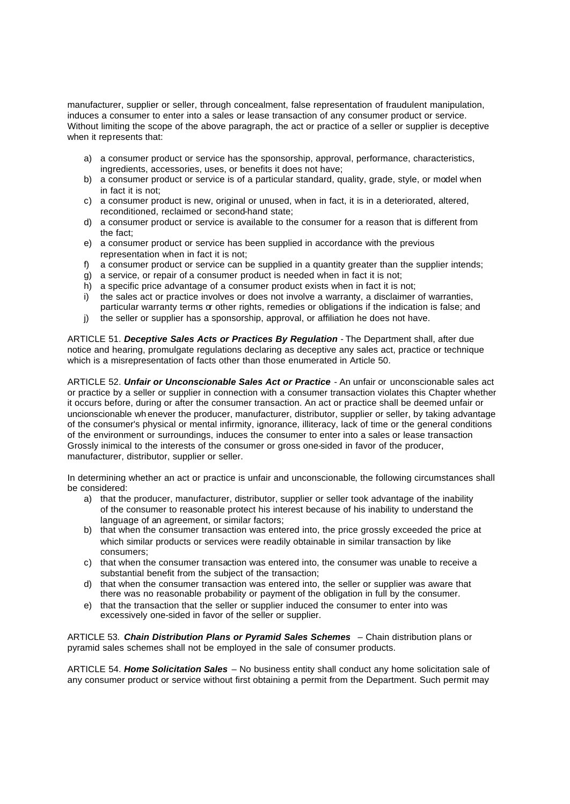manufacturer, supplier or seller, through concealment, false representation of fraudulent manipulation, induces a consumer to enter into a sales or lease transaction of any consumer product or service. Without limiting the scope of the above paragraph, the act or practice of a seller or supplier is deceptive when it represents that:

- a) a consumer product or service has the sponsorship, approval, performance, characteristics, ingredients, accessories, uses, or benefits it does not have;
- b) a consumer product or service is of a particular standard, quality, grade, style, or model when in fact it is not;
- c) a consumer product is new, original or unused, when in fact, it is in a deteriorated, altered, reconditioned, reclaimed or second-hand state;
- d) a consumer product or service is available to the consumer for a reason that is different from the fact;
- e) a consumer product or service has been supplied in accordance with the previous representation when in fact it is not;
- f) a consumer product or service can be supplied in a quantity greater than the supplier intends;
- g) a service, or repair of a consumer product is needed when in fact it is not;
- h) a specific price advantage of a consumer product exists when in fact it is not;
- i) the sales act or practice involves or does not involve a warranty, a disclaimer of warranties, particular warranty terms or other rights, remedies or obligations if the indication is false; and
- j) the seller or supplier has a sponsorship, approval, or affiliation he does not have.

ARTICLE 51. *Deceptive Sales Acts or Practices By Regulation* - The Department shall, after due notice and hearing, promulgate regulations declaring as deceptive any sales act, practice or technique which is a misrepresentation of facts other than those enumerated in Article 50.

ARTICLE 52. *Unfair or Unconscionable Sales Act or Practice* - An unfair or unconscionable sales act or practice by a seller or supplier in connection with a consumer transaction violates this Chapter whether it occurs before, during or after the consumer transaction. An act or practice shall be deemed unfair or uncionscionable wh enever the producer, manufacturer, distributor, supplier or seller, by taking advantage of the consumer's physical or mental infirmity, ignorance, illiteracy, lack of time or the general conditions of the environment or surroundings, induces the consumer to enter into a sales or lease transaction Grossly inimical to the interests of the consumer or gross one-sided in favor of the producer, manufacturer, distributor, supplier or seller.

In determining whether an act or practice is unfair and unconscionable, the following circumstances shall be considered:

- a) that the producer, manufacturer, distributor, supplier or seller took advantage of the inability of the consumer to reasonable protect his interest because of his inability to understand the language of an agreement, or similar factors;
- b) that when the consumer transaction was entered into, the price grossly exceeded the price at which similar products or services were readily obtainable in similar transaction by like consumers;
- c) that when the consumer transaction was entered into, the consumer was unable to receive a substantial benefit from the subject of the transaction;
- d) that when the consumer transaction was entered into, the seller or supplier was aware that there was no reasonable probability or payment of the obligation in full by the consumer.
- e) that the transaction that the seller or supplier induced the consumer to enter into was excessively one-sided in favor of the seller or supplier.

ARTICLE 53. *Chain Distribution Plans or Pyramid Sales Schemes* – Chain distribution plans or pyramid sales schemes shall not be employed in the sale of consumer products.

ARTICLE 54. *Home Solicitation Sales* – No business entity shall conduct any home solicitation sale of any consumer product or service without first obtaining a permit from the Department. Such permit may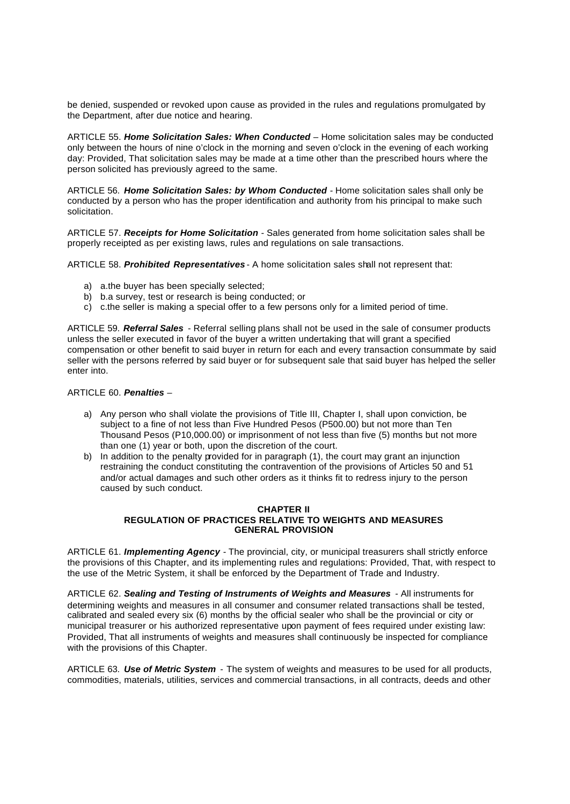be denied, suspended or revoked upon cause as provided in the rules and regulations promulgated by the Department, after due notice and hearing.

ARTICLE 55. *Home Solicitation Sales: When Conducted* – Home solicitation sales may be conducted only between the hours of nine o'clock in the morning and seven o'clock in the evening of each working day: Provided, That solicitation sales may be made at a time other than the prescribed hours where the person solicited has previously agreed to the same.

ARTICLE 56. *Home Solicitation Sales: by Whom Conducted -* Home solicitation sales shall only be conducted by a person who has the proper identification and authority from his principal to make such solicitation.

ARTICLE 57. *Receipts for Home Solicitation -* Sales generated from home solicitation sales shall be properly receipted as per existing laws, rules and regulations on sale transactions.

ARTICLE 58. *Prohibited Representatives* - A home solicitation sales shall not represent that:

- a) a.the buyer has been specially selected;
- b) b.a survey, test or research is being conducted; or
- c) c.the seller is making a special offer to a few persons only for a limited period of time.

ARTICLE 59. *Referral Sales* - Referral selling plans shall not be used in the sale of consumer products unless the seller executed in favor of the buyer a written undertaking that will grant a specified compensation or other benefit to said buyer in return for each and every transaction consummate by said seller with the persons referred by said buyer or for subsequent sale that said buyer has helped the seller enter into.

## ARTICLE 60. *Penalties –*

- a) Any person who shall violate the provisions of Title III, Chapter I, shall upon conviction, be subject to a fine of not less than Five Hundred Pesos (P500.00) but not more than Ten Thousand Pesos (P10,000.00) or imprisonment of not less than five (5) months but not more than one (1) year or both, upon the discretion of the court.
- b) In addition to the penalty provided for in paragraph (1), the court may grant an injunction restraining the conduct constituting the contravention of the provisions of Articles 50 and 51 and/or actual damages and such other orders as it thinks fit to redress injury to the person caused by such conduct.

#### **CHAPTER II REGULATION OF PRACTICES RELATIVE TO WEIGHTS AND MEASURES GENERAL PROVISION**

ARTICLE 61. *Implementing Agency -* The provincial, city, or municipal treasurers shall strictly enforce the provisions of this Chapter, and its implementing rules and regulations: Provided, That, with respect to the use of the Metric System, it shall be enforced by the Department of Trade and Industry.

ARTICLE 62. Sealing and Testing of Instruments of Weights and Measures - All instruments for determining weights and measures in all consumer and consumer related transactions shall be tested, calibrated and sealed every six (6) months by the official sealer who shall be the provincial or city or municipal treasurer or his authorized representative upon payment of fees required under existing law: Provided, That all instruments of weights and measures shall continuously be inspected for compliance with the provisions of this Chapter.

ARTICLE 63. *Use of Metric System -* The system of weights and measures to be used for all products, commodities, materials, utilities, services and commercial transactions, in all contracts, deeds and other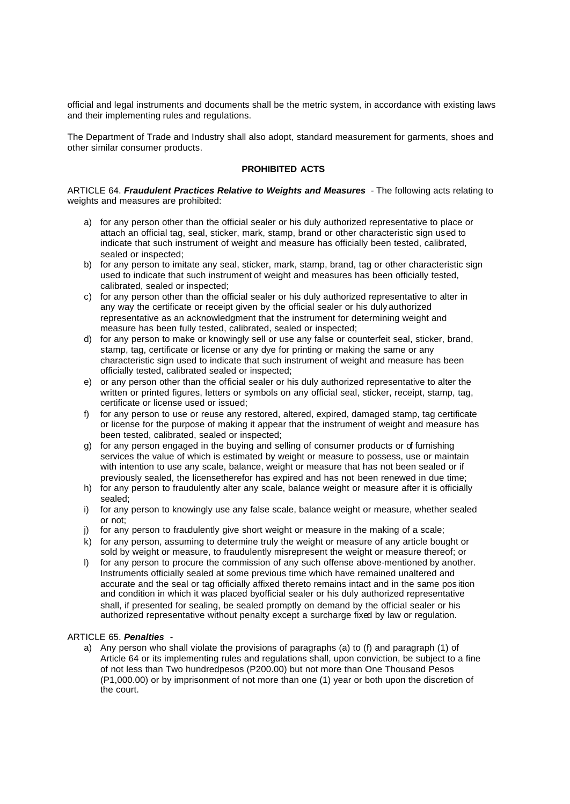official and legal instruments and documents shall be the metric system, in accordance with existing laws and their implementing rules and regulations.

The Department of Trade and Industry shall also adopt, standard measurement for garments, shoes and other similar consumer products.

#### **PROHIBITED ACTS**

ARTICLE 64. *Fraudulent Practices Relative to Weights and Measures -* The following acts relating to weights and measures are prohibited:

- a) for any person other than the official sealer or his duly authorized representative to place or attach an official tag, seal, sticker, mark, stamp, brand or other characteristic sign used to indicate that such instrument of weight and measure has officially been tested, calibrated, sealed or inspected;
- b) for any person to imitate any seal, sticker, mark, stamp, brand, tag or other characteristic sign used to indicate that such instrument of weight and measures has been officially tested, calibrated, sealed or inspected;
- c) for any person other than the official sealer or his duly authorized representative to alter in any way the certificate or receipt given by the official sealer or his duly authorized representative as an acknowledgment that the instrument for determining weight and measure has been fully tested, calibrated, sealed or inspected;
- d) for any person to make or knowingly sell or use any false or counterfeit seal, sticker, brand, stamp, tag, certificate or license or any dye for printing or making the same or any characteristic sign used to indicate that such instrument of weight and measure has been officially tested, calibrated sealed or inspected;
- e) or any person other than the official sealer or his duly authorized representative to alter the written or printed figures, letters or symbols on any official seal, sticker, receipt, stamp, tag, certificate or license used or issued;
- f) for any person to use or reuse any restored, altered, expired, damaged stamp, tag certificate or license for the purpose of making it appear that the instrument of weight and measure has been tested, calibrated, sealed or inspected;
- g) for any person engaged in the buying and selling of consumer products or of furnishing services the value of which is estimated by weight or measure to possess, use or maintain with intention to use any scale, balance, weight or measure that has not been sealed or if previously sealed, the licensetherefor has expired and has not been renewed in due time;
- h) for any person to fraudulently alter any scale, balance weight or measure after it is officially sealed;
- i) for any person to knowingly use any false scale, balance weight or measure, whether sealed or not;
- j) for any person to fraudulently give short weight or measure in the making of a scale;
- k) for any person, assuming to determine truly the weight or measure of any article bought or sold by weight or measure, to fraudulently misrepresent the weight or measure thereof; or
- l) for any person to procure the commission of any such offense above-mentioned by another. Instruments officially sealed at some previous time which have remained unaltered and accurate and the seal or tag officially affixed thereto remains intact and in the same pos ition and condition in which it was placed byofficial sealer or his duly authorized representative shall, if presented for sealing, be sealed promptly on demand by the official sealer or his authorized representative without penalty except a surcharge fixed by law or regulation.

#### ARTICLE 65. *Penalties -*

a) Any person who shall violate the provisions of paragraphs (a) to (f) and paragraph (1) of Article 64 or its implementing rules and regulations shall, upon conviction, be subject to a fine of not less than Two hundredpesos (P200.00) but not more than One Thousand Pesos (P1,000.00) or by imprisonment of not more than one (1) year or both upon the discretion of the court.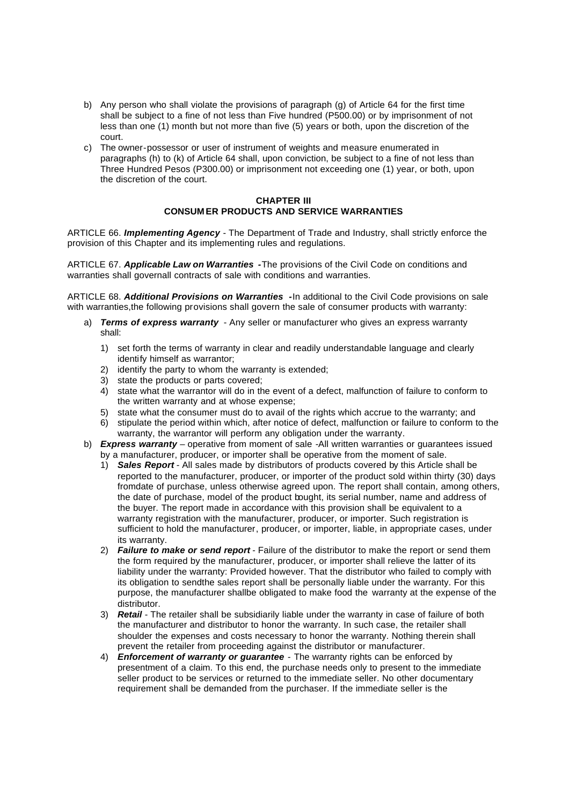- b) Any person who shall violate the provisions of paragraph (g) of Article 64 for the first time shall be subject to a fine of not less than Five hundred (P500.00) or by imprisonment of not less than one (1) month but not more than five (5) years or both, upon the discretion of the court.
- c) The owner-possessor or user of instrument of weights and measure enumerated in paragraphs (h) to (k) of Article 64 shall, upon conviction, be subject to a fine of not less than Three Hundred Pesos (P300.00) or imprisonment not exceeding one (1) year, or both, upon the discretion of the court.

#### **CHAPTER III CONSUM ER PRODUCTS AND SERVICE WARRANTIES**

ARTICLE 66. *Implementing Agency* - The Department of Trade and Industry, shall strictly enforce the provision of this Chapter and its implementing rules and regulations.

ARTICLE 67. *Applicable Law on Warranties -*The provisions of the Civil Code on conditions and warranties shall governall contracts of sale with conditions and warranties.

ARTICLE 68. *Additional Provisions on Warranties -*In additional to the Civil Code provisions on sale with warranties,the following provisions shall govern the sale of consumer products with warranty:

- a) *Terms of express warranty* Any seller or manufacturer who gives an express warranty shall:
	- 1) set forth the terms of warranty in clear and readily understandable language and clearly identify himself as warrantor;
	- 2) identify the party to whom the warranty is extended;
	- 3) state the products or parts covered;
	- 4) state what the warrantor will do in the event of a defect, malfunction of failure to conform to the written warranty and at whose expense;
	- 5) state what the consumer must do to avail of the rights which accrue to the warranty; and
	- 6) stipulate the period within which, after notice of defect, malfunction or failure to conform to the warranty, the warrantor will perform any obligation under the warranty.
- b) *Express warranty* operative from moment of sale -All written warranties or guarantees issued by a manufacturer, producer, or importer shall be operative from the moment of sale.
	- 1) *Sales Report -* All sales made by distributors of products covered by this Article shall be reported to the manufacturer, producer, or importer of the product sold within thirty (30) days fromdate of purchase, unless otherwise agreed upon. The report shall contain, among others, the date of purchase, model of the product bought, its serial number, name and address of the buyer. The report made in accordance with this provision shall be equivalent to a warranty registration with the manufacturer, producer, or importer. Such registration is sufficient to hold the manufacturer, producer, or importer, liable, in appropriate cases, under its warranty.
	- 2) *Failure to make or send report* Failure of the distributor to make the report or send them the form required by the manufacturer, producer, or importer shall relieve the latter of its liability under the warranty: Provided however. That the distributor who failed to comply with its obligation to sendthe sales report shall be personally liable under the warranty. For this purpose, the manufacturer shallbe obligated to make food the warranty at the expense of the distributor.
	- 3) *Retail*  The retailer shall be subsidiarily liable under the warranty in case of failure of both the manufacturer and distributor to honor the warranty. In such case, the retailer shall shoulder the expenses and costs necessary to honor the warranty. Nothing therein shall prevent the retailer from proceeding against the distributor or manufacturer.
	- 4) *Enforcement of warranty or guarantee -* The warranty rights can be enforced by presentment of a claim. To this end, the purchase needs only to present to the immediate seller product to be services or returned to the immediate seller. No other documentary requirement shall be demanded from the purchaser. If the immediate seller is the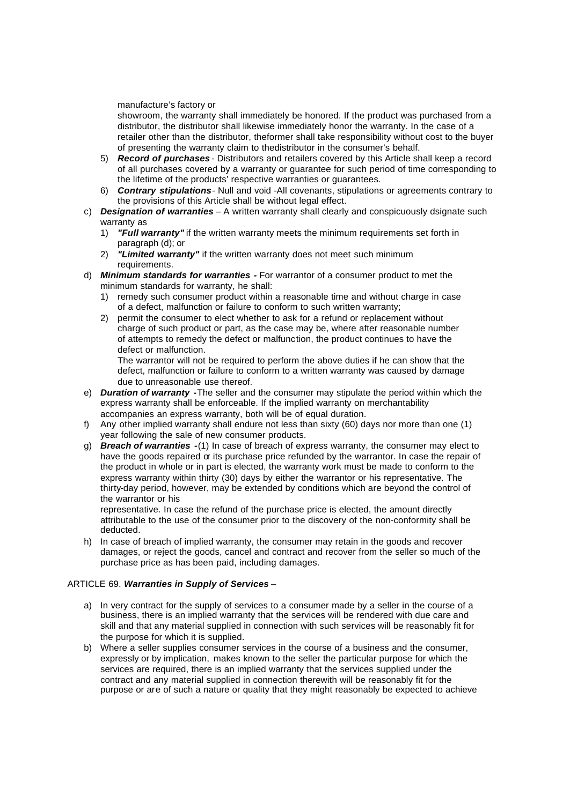#### manufacture's factory or

showroom, the warranty shall immediately be honored. If the product was purchased from a distributor, the distributor shall likewise immediately honor the warranty. In the case of a retailer other than the distributor, theformer shall take responsibility without cost to the buyer of presenting the warranty claim to thedistributor in the consumer's behalf.

- 5) *Record of purchases* Distributors and retailers covered by this Article shall keep a record of all purchases covered by a warranty or guarantee for such period of time corresponding to the lifetime of the products' respective warranties or guarantees.
- 6) *Contrary stipulations* Null and void -All covenants, stipulations or agreements contrary to the provisions of this Article shall be without legal effect.
- c) *Designation of warranties* A written warranty shall clearly and conspicuously dsignate such warranty as
	- 1) *"Full warranty"* if the written warranty meets the minimum requirements set forth in paragraph (d); or
	- 2) *"Limited warranty"* if the written warranty does not meet such minimum requirements.
- d) *Minimum standards for warranties -* For warrantor of a consumer product to met the minimum standards for warranty, he shall:
	- 1) remedy such consumer product within a reasonable time and without charge in case of a defect, malfunction or failure to conform to such written warranty;
	- 2) permit the consumer to elect whether to ask for a refund or replacement without charge of such product or part, as the case may be, where after reasonable number of attempts to remedy the defect or malfunction, the product continues to have the defect or malfunction.

The warrantor will not be required to perform the above duties if he can show that the defect, malfunction or failure to conform to a written warranty was caused by damage due to unreasonable use thereof.

- e) *Duration of warranty -*The seller and the consumer may stipulate the period within which the express warranty shall be enforceable. If the implied warranty on merchantability accompanies an express warranty, both will be of equal duration.
- f) Any other implied warranty shall endure not less than sixty (60) days nor more than one (1) year following the sale of new consumer products.
- g) *Breach of warranties -*(1) In case of breach of express warranty, the consumer may elect to have the goods repaired or its purchase price refunded by the warrantor. In case the repair of the product in whole or in part is elected, the warranty work must be made to conform to the express warranty within thirty (30) days by either the warrantor or his representative. The thirty-day period, however, may be extended by conditions which are beyond the control of the warrantor or his

representative. In case the refund of the purchase price is elected, the amount directly attributable to the use of the consumer prior to the discovery of the non-conformity shall be deducted.

h) In case of breach of implied warranty, the consumer may retain in the goods and recover damages, or reject the goods, cancel and contract and recover from the seller so much of the purchase price as has been paid, including damages.

#### ARTICLE 69. *Warranties in Supply of Services* –

- a) In very contract for the supply of services to a consumer made by a seller in the course of a business, there is an implied warranty that the services will be rendered with due care and skill and that any material supplied in connection with such services will be reasonably fit for the purpose for which it is supplied.
- b) Where a seller supplies consumer services in the course of a business and the consumer, expressly or by implication, makes known to the seller the particular purpose for which the services are required, there is an implied warranty that the services supplied under the contract and any material supplied in connection therewith will be reasonably fit for the purpose or are of such a nature or quality that they might reasonably be expected to achieve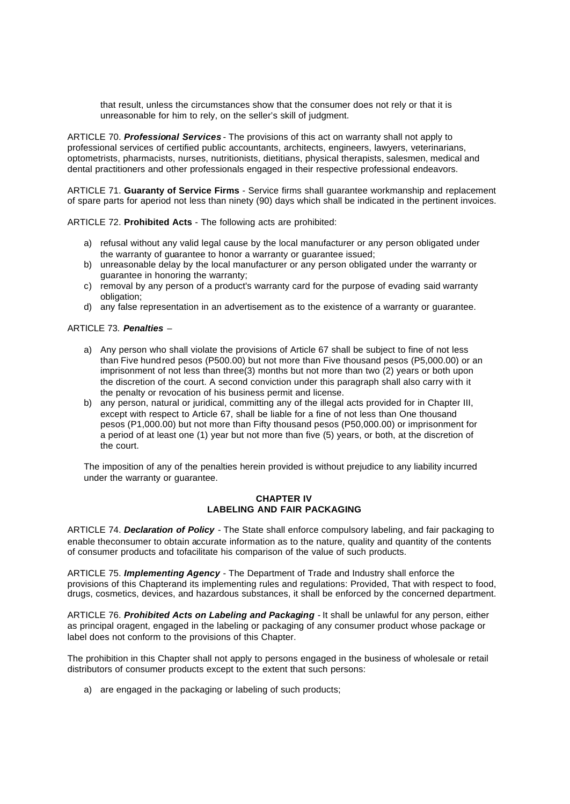that result, unless the circumstances show that the consumer does not rely or that it is unreasonable for him to rely, on the seller's skill of judgment.

ARTICLE 70. *Professional Services* - The provisions of this act on warranty shall not apply to professional services of certified public accountants, architects, engineers, lawyers, veterinarians, optometrists, pharmacists, nurses, nutritionists, dietitians, physical therapists, salesmen, medical and dental practitioners and other professionals engaged in their respective professional endeavors.

ARTICLE 71. **Guaranty of Service Firms** - Service firms shall guarantee workmanship and replacement of spare parts for aperiod not less than ninety (90) days which shall be indicated in the pertinent invoices.

ARTICLE 72. **Prohibited Acts** - The following acts are prohibited:

- a) refusal without any valid legal cause by the local manufacturer or any person obligated under the warranty of guarantee to honor a warranty or guarantee issued;
- b) unreasonable delay by the local manufacturer or any person obligated under the warranty or guarantee in honoring the warranty;
- c) removal by any person of a product's warranty card for the purpose of evading said warranty obligation;
- d) any false representation in an advertisement as to the existence of a warranty or guarantee.

#### ARTICLE 73. *Penalties* –

- a) Any person who shall violate the provisions of Article 67 shall be subject to fine of not less than Five hundred pesos (P500.00) but not more than Five thousand pesos (P5,000.00) or an imprisonment of not less than three(3) months but not more than two (2) years or both upon the discretion of the court. A second conviction under this paragraph shall also carry with it the penalty or revocation of his business permit and license.
- b) any person, natural or juridical, committing any of the illegal acts provided for in Chapter III, except with respect to Article 67, shall be liable for a fine of not less than One thousand pesos (P1,000.00) but not more than Fifty thousand pesos (P50,000.00) or imprisonment for a period of at least one (1) year but not more than five (5) years, or both, at the discretion of the court.

The imposition of any of the penalties herein provided is without prejudice to any liability incurred under the warranty or guarantee.

#### **CHAPTER IV LABELING AND FAIR PACKAGING**

ARTICLE 74. *Declaration of Policy* - The State shall enforce compulsory labeling, and fair packaging to enable theconsumer to obtain accurate information as to the nature, quality and quantity of the contents of consumer products and tofacilitate his comparison of the value of such products.

ARTICLE 75. *Implementing Agency* - The Department of Trade and Industry shall enforce the provisions of this Chapterand its implementing rules and regulations: Provided, That with respect to food, drugs, cosmetics, devices, and hazardous substances, it shall be enforced by the concerned department.

ARTICLE 76. *Prohibited Acts on Labeling and Packaging* - It shall be unlawful for any person, either as principal oragent, engaged in the labeling or packaging of any consumer product whose package or label does not conform to the provisions of this Chapter.

The prohibition in this Chapter shall not apply to persons engaged in the business of wholesale or retail distributors of consumer products except to the extent that such persons:

a) are engaged in the packaging or labeling of such products;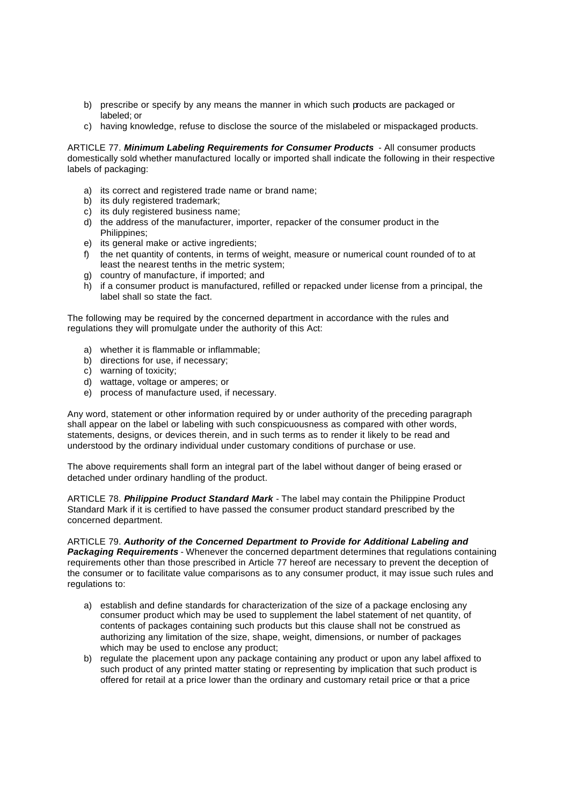- b) prescribe or specify by any means the manner in which such products are packaged or labeled; or
- c) having knowledge, refuse to disclose the source of the mislabeled or mispackaged products.

ARTICLE 77. *Minimum Labeling Requirements for Consumer Products* - All consumer products domestically sold whether manufactured locally or imported shall indicate the following in their respective labels of packaging:

- a) its correct and registered trade name or brand name;
- b) its duly registered trademark;
- c) its duly registered business name;
- d) the address of the manufacturer, importer, repacker of the consumer product in the Philippines;
- e) its general make or active ingredients;
- f) the net quantity of contents, in terms of weight, measure or numerical count rounded of to at least the nearest tenths in the metric system;
- g) country of manufacture, if imported; and
- h) if a consumer product is manufactured, refilled or repacked under license from a principal, the label shall so state the fact.

The following may be required by the concerned department in accordance with the rules and regulations they will promulgate under the authority of this Act:

- a) whether it is flammable or inflammable;
- b) directions for use, if necessary;
- c) warning of toxicity;
- d) wattage, voltage or amperes; or
- e) process of manufacture used, if necessary.

Any word, statement or other information required by or under authority of the preceding paragraph shall appear on the label or labeling with such conspicuousness as compared with other words, statements, designs, or devices therein, and in such terms as to render it likely to be read and understood by the ordinary individual under customary conditions of purchase or use.

The above requirements shall form an integral part of the label without danger of being erased or detached under ordinary handling of the product.

ARTICLE 78. *Philippine Product Standard Mark* - The label may contain the Philippine Product Standard Mark if it is certified to have passed the consumer product standard prescribed by the concerned department.

ARTICLE 79. *Authority of the Concerned Department to Provide for Additional Labeling and Packaging Requirements* - Whenever the concerned department determines that regulations containing requirements other than those prescribed in Article 77 hereof are necessary to prevent the deception of the consumer or to facilitate value comparisons as to any consumer product, it may issue such rules and regulations to:

- a) establish and define standards for characterization of the size of a package enclosing any consumer product which may be used to supplement the label statement of net quantity, of contents of packages containing such products but this clause shall not be construed as authorizing any limitation of the size, shape, weight, dimensions, or number of packages which may be used to enclose any product;
- b) regulate the placement upon any package containing any product or upon any label affixed to such product of any printed matter stating or representing by implication that such product is offered for retail at a price lower than the ordinary and customary retail price or that a price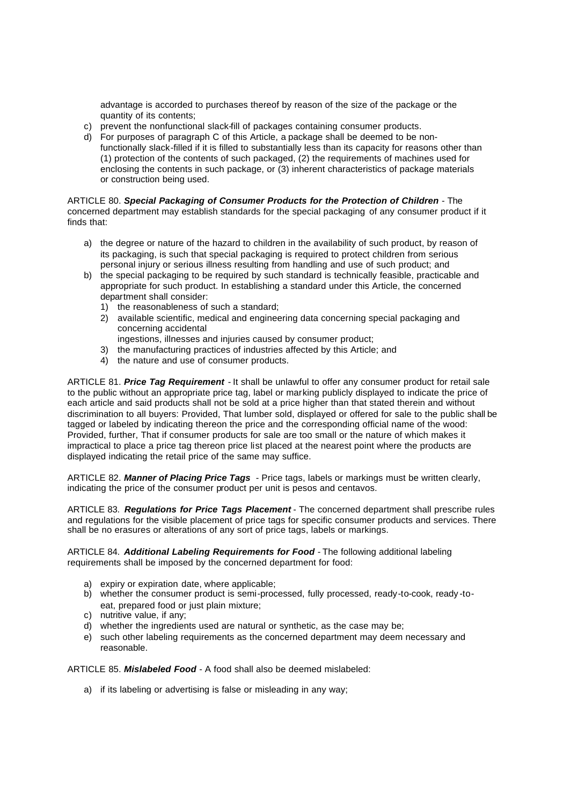advantage is accorded to purchases thereof by reason of the size of the package or the quantity of its contents;

- c) prevent the nonfunctional slack-fill of packages containing consumer products.
- d) For purposes of paragraph C of this Article, a package shall be deemed to be nonfunctionally slack-filled if it is filled to substantially less than its capacity for reasons other than (1) protection of the contents of such packaged, (2) the requirements of machines used for enclosing the contents in such package, or (3) inherent characteristics of package materials or construction being used.

ARTICLE 80. *Special Packaging of Consumer Products for the Protection of Children* - The concerned department may establish standards for the special packaging of any consumer product if it finds that:

- a) the degree or nature of the hazard to children in the availability of such product, by reason of its packaging, is such that special packaging is required to protect children from serious personal injury or serious illness resulting from handling and use of such product; and
- b) the special packaging to be required by such standard is technically feasible, practicable and appropriate for such product. In establishing a standard under this Article, the concerned department shall consider:
	- 1) the reasonableness of such a standard;
	- 2) available scientific, medical and engineering data concerning special packaging and concerning accidental
		- ingestions, illnesses and injuries caused by consumer product;
	- 3) the manufacturing practices of industries affected by this Article; and
	- 4) the nature and use of consumer products.

ARTICLE 81. *Price Tag Requirement* - It shall be unlawful to offer any consumer product for retail sale to the public without an appropriate price tag, label or marking publicly displayed to indicate the price of each article and said products shall not be sold at a price higher than that stated therein and without discrimination to all buyers: Provided, That lumber sold, displayed or offered for sale to the public shall be tagged or labeled by indicating thereon the price and the corresponding official name of the wood: Provided, further, That if consumer products for sale are too small or the nature of which makes it impractical to place a price tag thereon price list placed at the nearest point where the products are displayed indicating the retail price of the same may suffice.

ARTICLE 82. *Manner of Placing Price Tags* - Price tags, labels or markings must be written clearly, indicating the price of the consumer product per unit is pesos and centavos.

ARTICLE 83. *Regulations for Price Tags Placement* - The concerned department shall prescribe rules and regulations for the visible placement of price tags for specific consumer products and services. There shall be no erasures or alterations of any sort of price tags, labels or markings.

ARTICLE 84. *Additional Labeling Requirements for Food* - The following additional labeling requirements shall be imposed by the concerned department for food:

- a) expiry or expiration date, where applicable;
- b) whether the consumer product is semi-processed, fully processed, ready-to-cook, ready -toeat, prepared food or just plain mixture;
- c) nutritive value, if any;
- d) whether the ingredients used are natural or synthetic, as the case may be;
- e) such other labeling requirements as the concerned department may deem necessary and reasonable.

ARTICLE 85. *Mislabeled Food* - A food shall also be deemed mislabeled:

a) if its labeling or advertising is false or misleading in any way;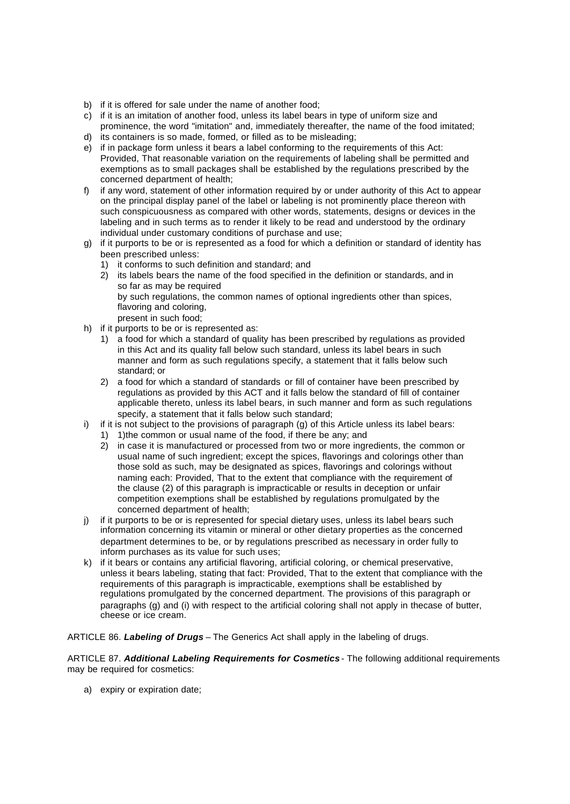- b) if it is offered for sale under the name of another food;
- c) if it is an imitation of another food, unless its label bears in type of uniform size and prominence, the word "imitation" and, immediately thereafter, the name of the food imitated;
- d) its containers is so made, formed, or filled as to be misleading;
- e) if in package form unless it bears a label conforming to the requirements of this Act: Provided, That reasonable variation on the requirements of labeling shall be permitted and exemptions as to small packages shall be established by the regulations prescribed by the concerned department of health;
- f) if any word, statement of other information required by or under authority of this Act to appear on the principal display panel of the label or labeling is not prominently place thereon with such conspicuousness as compared with other words, statements, designs or devices in the labeling and in such terms as to render it likely to be read and understood by the ordinary individual under customary conditions of purchase and use;
- g) if it purports to be or is represented as a food for which a definition or standard of identity has been prescribed unless:
	- 1) it conforms to such definition and standard; and
	- 2) its labels bears the name of the food specified in the definition or standards, and in so far as may be required by such regulations, the common names of optional ingredients other than spices,
		- flavoring and coloring, present in such food;
- h) if it purports to be or is represented as:
	- 1) a food for which a standard of quality has been prescribed by regulations as provided in this Act and its quality fall below such standard, unless its label bears in such manner and form as such regulations specify, a statement that it falls below such standard; or
	- 2) a food for which a standard of standards or fill of container have been prescribed by regulations as provided by this ACT and it falls below the standard of fill of container applicable thereto, unless its label bears, in such manner and form as such regulations specify, a statement that it falls below such standard;
- i) if it is not subject to the provisions of paragraph  $(q)$  of this Article unless its label bears:
	- 1) 1) the common or usual name of the food, if there be any: and
	- 2) in case it is manufactured or processed from two or more ingredients, the common or usual name of such ingredient; except the spices, flavorings and colorings other than those sold as such, may be designated as spices, flavorings and colorings without naming each: Provided, That to the extent that compliance with the requirement of the clause (2) of this paragraph is impracticable or results in deception or unfair competition exemptions shall be established by regulations promulgated by the concerned department of health;
- j) if it purports to be or is represented for special dietary uses, unless its label bears such information concerning its vitamin or mineral or other dietary properties as the concerned department determines to be, or by regulations prescribed as necessary in order fully to inform purchases as its value for such uses;
- k) if it bears or contains any artificial flavoring, artificial coloring, or chemical preservative, unless it bears labeling, stating that fact: Provided, That to the extent that compliance with the requirements of this paragraph is impracticable, exemptions shall be established by regulations promulgated by the concerned department. The provisions of this paragraph or paragraphs (g) and (i) with respect to the artificial coloring shall not apply in thecase of butter, cheese or ice cream.

ARTICLE 86. *Labeling of Drugs* – The Generics Act shall apply in the labeling of drugs.

ARTICLE 87. *Additional Labeling Requirements for Cosmetics* - The following additional requirements may be required for cosmetics:

a) expiry or expiration date;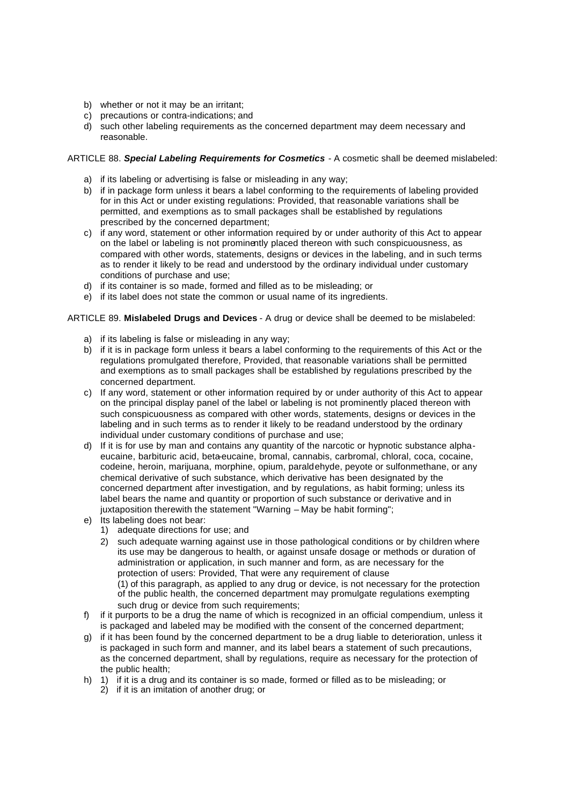- b) whether or not it may be an irritant;
- c) precautions or contra-indications; and
- d) such other labeling requirements as the concerned department may deem necessary and reasonable.

ARTICLE 88. *Special Labeling Requirements for Cosmetics* - A cosmetic shall be deemed mislabeled:

- a) if its labeling or advertising is false or misleading in any way;
- b) if in package form unless it bears a label conforming to the requirements of labeling provided for in this Act or under existing regulations: Provided, that reasonable variations shall be permitted, and exemptions as to small packages shall be established by regulations prescribed by the concerned department;
- c) if any word, statement or other information required by or under authority of this Act to appear on the label or labeling is not prominently placed thereon with such conspicuousness, as compared with other words, statements, designs or devices in the labeling, and in such terms as to render it likely to be read and understood by the ordinary individual under customary conditions of purchase and use;
- d) if its container is so made, formed and filled as to be misleading; or
- e) if its label does not state the common or usual name of its ingredients.

#### ARTICLE 89. **Mislabeled Drugs and Devices** - A drug or device shall be deemed to be mislabeled:

- a) if its labeling is false or misleading in any way;
- b) if it is in package form unless it bears a label conforming to the requirements of this Act or the regulations promulgated therefore, Provided, that reasonable variations shall be permitted and exemptions as to small packages shall be established by regulations prescribed by the concerned department.
- c) If any word, statement or other information required by or under authority of this Act to appear on the principal display panel of the label or labeling is not prominently placed thereon with such conspicuousness as compared with other words, statements, designs or devices in the labeling and in such terms as to render it likely to be readand understood by the ordinary individual under customary conditions of purchase and use;
- d) If it is for use by man and contains any quantity of the narcotic or hypnotic substance alphaeucaine, barbituric acid, beta-eucaine, bromal, cannabis, carbromal, chloral, coca, cocaine, codeine, heroin, marijuana, morphine, opium, paraldehyde, peyote or sulfonmethane, or any chemical derivative of such substance, which derivative has been designated by the concerned department after investigation, and by regulations, as habit forming; unless its label bears the name and quantity or proportion of such substance or derivative and in juxtaposition therewith the statement "Warning – May be habit forming":
- e) Its labeling does not bear:
	- 1) adequate directions for use; and
	- 2) such adequate warning against use in those pathological conditions or by children where its use may be dangerous to health, or against unsafe dosage or methods or duration of administration or application, in such manner and form, as are necessary for the protection of users: Provided, That were any requirement of clause (1) of this paragraph, as applied to any drug or device, is not necessary for the protection of the public health, the concerned department may promulgate regulations exempting such drug or device from such requirements;
- f) if it purports to be a drug the name of which is recognized in an official compendium, unless it is packaged and labeled may be modified with the consent of the concerned department;
- g) if it has been found by the concerned department to be a drug liable to deterioration, unless it is packaged in such form and manner, and its label bears a statement of such precautions, as the concerned department, shall by regulations, require as necessary for the protection of the public health;
- h) 1) if it is a drug and its container is so made, formed or filled as to be misleading; or
	- 2) if it is an imitation of another drug; or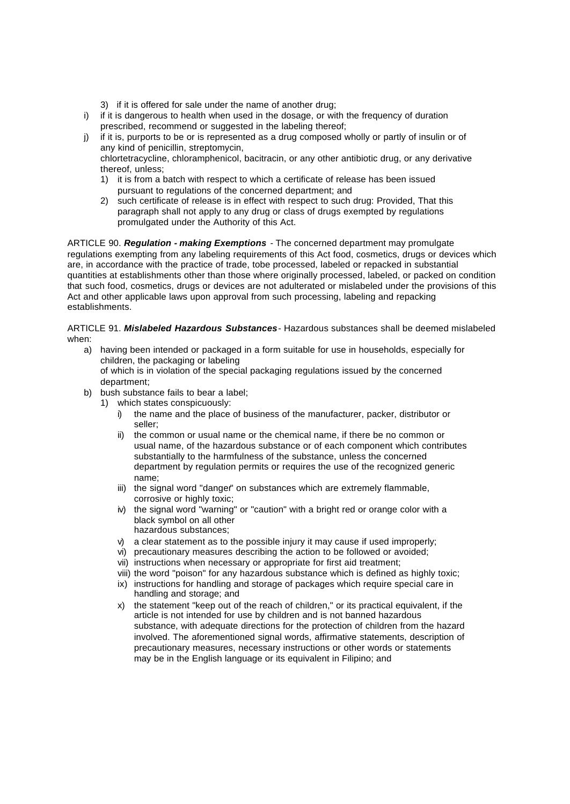- 3) if it is offered for sale under the name of another drug;
- i) if it is dangerous to health when used in the dosage, or with the frequency of duration prescribed, recommend or suggested in the labeling thereof;
- j) if it is, purports to be or is represented as a drug composed wholly or partly of insulin or of any kind of penicillin, streptomycin,

chlortetracycline, chloramphenicol, bacitracin, or any other antibiotic drug, or any derivative thereof, unless;

- 1) it is from a batch with respect to which a certificate of release has been issued pursuant to regulations of the concerned department; and
- 2) such certificate of release is in effect with respect to such drug: Provided, That this paragraph shall not apply to any drug or class of drugs exempted by regulations promulgated under the Authority of this Act.

ARTICLE 90. *Regulation - making Exemptions* - The concerned department may promulgate regulations exempting from any labeling requirements of this Act food, cosmetics, drugs or devices which are, in accordance with the practice of trade, tobe processed, labeled or repacked in substantial quantities at establishments other than those where originally processed, labeled, or packed on condition that such food, cosmetics, drugs or devices are not adulterated or mislabeled under the provisions of this Act and other applicable laws upon approval from such processing, labeling and repacking establishments.

ARTICLE 91. *Mislabeled Hazardous Substances*- Hazardous substances shall be deemed mislabeled when:

- a) having been intended or packaged in a form suitable for use in households, especially for children, the packaging or labeling of which is in violation of the special packaging regulations issued by the concerned department;
- b) bush substance fails to bear a label;
	- 1) which states conspicuously:
		- i) the name and the place of business of the manufacturer, packer, distributor or seller;
		- ii) the common or usual name or the chemical name, if there be no common or usual name, of the hazardous substance or of each component which contributes substantially to the harmfulness of the substance, unless the concerned department by regulation permits or requires the use of the recognized generic name;
		- iii) the signal word "danger" on substances which are extremely flammable, corrosive or highly toxic:
		- iv) the signal word "warning" or "caution" with a bright red or orange color with a black symbol on all other hazardous substances;
		- v) a clear statement as to the possible injury it may cause if used improperly;
		- vi) precautionary measures describing the action to be followed or avoided;
		- vii) instructions when necessary or appropriate for first aid treatment;
		- viii) the word "poison" for any hazardous substance which is defined as highly toxic;
		- ix) instructions for handling and storage of packages which require special care in handling and storage; and
		- x) the statement "keep out of the reach of children," or its practical equivalent, if the article is not intended for use by children and is not banned hazardous substance, with adequate directions for the protection of children from the hazard involved. The aforementioned signal words, affirmative statements, description of precautionary measures, necessary instructions or other words or statements may be in the English language or its equivalent in Filipino; and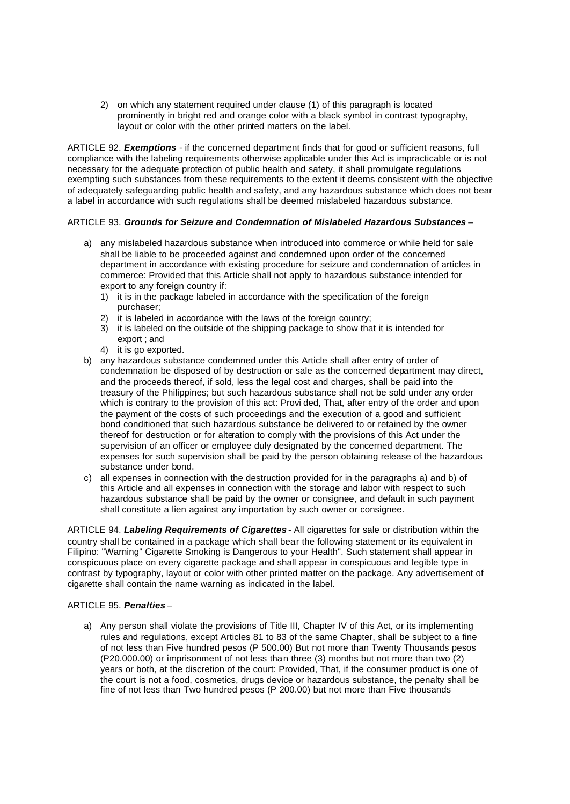2) on which any statement required under clause (1) of this paragraph is located prominently in bright red and orange color with a black symbol in contrast typography, layout or color with the other printed matters on the label.

ARTICLE 92. *Exemptions* - if the concerned department finds that for good or sufficient reasons, full compliance with the labeling requirements otherwise applicable under this Act is impracticable or is not necessary for the adequate protection of public health and safety, it shall promulgate regulations exempting such substances from these requirements to the extent it deems consistent with the objective of adequately safeguarding public health and safety, and any hazardous substance which does not bear a label in accordance with such regulations shall be deemed mislabeled hazardous substance.

#### ARTICLE 93. *Grounds for Seizure and Condemnation of Mislabeled Hazardous Substances* –

- a) any mislabeled hazardous substance when introduced into commerce or while held for sale shall be liable to be proceeded against and condemned upon order of the concerned department in accordance with existing procedure for seizure and condemnation of articles in commerce: Provided that this Article shall not apply to hazardous substance intended for export to any foreign country if:
	- 1) it is in the package labeled in accordance with the specification of the foreign purchaser;
	- 2) it is labeled in accordance with the laws of the foreign country;
	- 3) it is labeled on the outside of the shipping package to show that it is intended for export ; and
	- 4) it is go exported.
- b) any hazardous substance condemned under this Article shall after entry of order of condemnation be disposed of by destruction or sale as the concerned department may direct, and the proceeds thereof, if sold, less the legal cost and charges, shall be paid into the treasury of the Philippines; but such hazardous substance shall not be sold under any order which is contrary to the provision of this act: Provi ded, That, after entry of the order and upon the payment of the costs of such proceedings and the execution of a good and sufficient bond conditioned that such hazardous substance be delivered to or retained by the owner thereof for destruction or for alteration to comply with the provisions of this Act under the supervision of an officer or employee duly designated by the concerned department. The expenses for such supervision shall be paid by the person obtaining release of the hazardous substance under bond.
- c) all expenses in connection with the destruction provided for in the paragraphs a) and b) of this Article and all expenses in connection with the storage and labor with respect to such hazardous substance shall be paid by the owner or consignee, and default in such payment shall constitute a lien against any importation by such owner or consignee.

ARTICLE 94. *Labeling Requirements of Cigarettes* - All cigarettes for sale or distribution within the country shall be contained in a package which shall bear the following statement or its equivalent in Filipino: "Warning" Cigarette Smoking is Dangerous to your Health". Such statement shall appear in conspicuous place on every cigarette package and shall appear in conspicuous and legible type in contrast by typography, layout or color with other printed matter on the package. Any advertisement of cigarette shall contain the name warning as indicated in the label.

#### ARTICLE 95. *Penalties* –

a) Any person shall violate the provisions of Title III, Chapter IV of this Act, or its implementing rules and regulations, except Articles 81 to 83 of the same Chapter, shall be subject to a fine of not less than Five hundred pesos (P 500.00) But not more than Twenty Thousands pesos (P20.000.00) or imprisonment of not less than three (3) months but not more than two (2) years or both, at the discretion of the court: Provided, That, if the consumer product is one of the court is not a food, cosmetics, drugs device or hazardous substance, the penalty shall be fine of not less than Two hundred pesos (P 200.00) but not more than Five thousands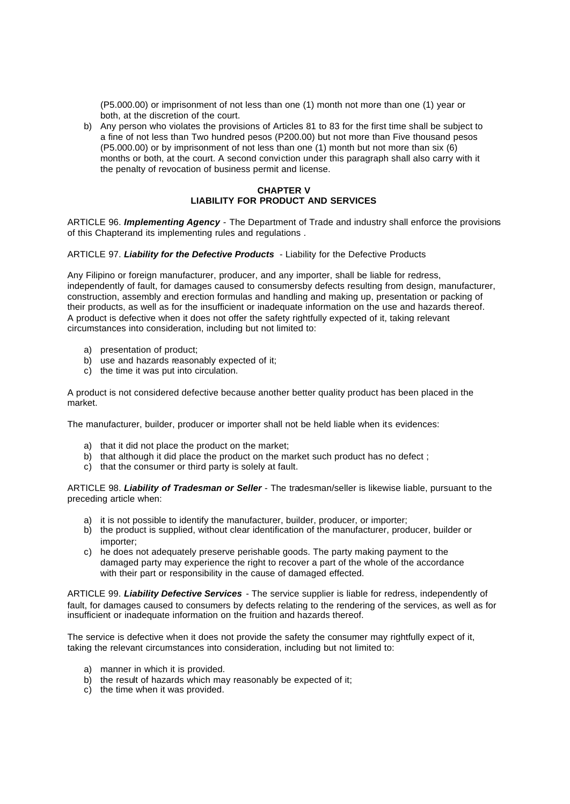(P5.000.00) or imprisonment of not less than one (1) month not more than one (1) year or both, at the discretion of the court.

b) Any person who violates the provisions of Articles 81 to 83 for the first time shall be subject to a fine of not less than Two hundred pesos (P200.00) but not more than Five thousand pesos (P5.000.00) or by imprisonment of not less than one (1) month but not more than six (6) months or both, at the court. A second conviction under this paragraph shall also carry with it the penalty of revocation of business permit and license.

## **CHAPTER V LIABILITY FOR PRODUCT AND SERVICES**

ARTICLE 96. *Implementing Agency -* The Department of Trade and industry shall enforce the provisions of this Chapterand its implementing rules and regulations .

#### ARTICLE 97. *Liability for the Defective Products* - Liability for the Defective Products

Any Filipino or foreign manufacturer, producer, and any importer, shall be liable for redress, independently of fault, for damages caused to consumersby defects resulting from design, manufacturer, construction, assembly and erection formulas and handling and making up, presentation or packing of their products, as well as for the insufficient or inadequate information on the use and hazards thereof. A product is defective when it does not offer the safety rightfully expected of it, taking relevant circumstances into consideration, including but not limited to:

- a) presentation of product;
- b) use and hazards reasonably expected of it;
- c) the time it was put into circulation.

A product is not considered defective because another better quality product has been placed in the market.

The manufacturer, builder, producer or importer shall not be held liable when its evidences:

- a) that it did not place the product on the market;
- b) that although it did place the product on the market such product has no defect :
- c) that the consumer or third party is solely at fault.

ARTICLE 98. *Liability of Tradesman or Seller* - The tradesman/seller is likewise liable, pursuant to the preceding article when:

- a) it is not possible to identify the manufacturer, builder, producer, or importer;
- b) the product is supplied, without clear identification of the manufacturer, producer, builder or importer;
- c) he does not adequately preserve perishable goods. The party making payment to the damaged party may experience the right to recover a part of the whole of the accordance with their part or responsibility in the cause of damaged effected.

ARTICLE 99. *Liability Defective Services* - The service supplier is liable for redress, independently of fault, for damages caused to consumers by defects relating to the rendering of the services, as well as for insufficient or inadequate information on the fruition and hazards thereof.

The service is defective when it does not provide the safety the consumer may rightfully expect of it, taking the relevant circumstances into consideration, including but not limited to:

- a) manner in which it is provided.
- b) the result of hazards which may reasonably be expected of it;
- c) the time when it was provided.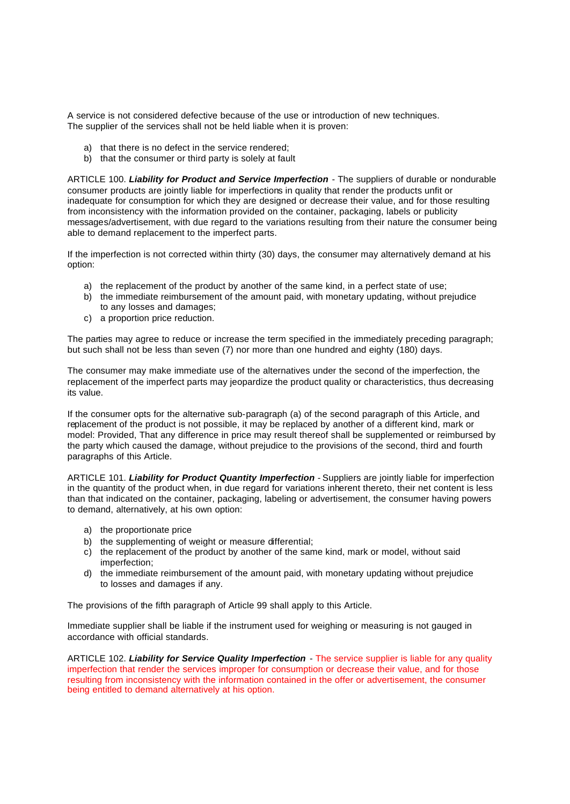A service is not considered defective because of the use or introduction of new techniques. The supplier of the services shall not be held liable when it is proven:

- a) that there is no defect in the service rendered;
- b) that the consumer or third party is solely at fault

ARTICLE 100. *Liability for Product and Service Imperfection* - The suppliers of durable or nondurable consumer products are jointly liable for imperfections in quality that render the products unfit or inadequate for consumption for which they are designed or decrease their value, and for those resulting from inconsistency with the information provided on the container, packaging, labels or publicity messages/advertisement, with due regard to the variations resulting from their nature the consumer being able to demand replacement to the imperfect parts.

If the imperfection is not corrected within thirty (30) days, the consumer may alternatively demand at his option:

- a) the replacement of the product by another of the same kind, in a perfect state of use;
- b) the immediate reimbursement of the amount paid, with monetary updating, without prejudice to any losses and damages;
- c) a proportion price reduction.

The parties may agree to reduce or increase the term specified in the immediately preceding paragraph; but such shall not be less than seven (7) nor more than one hundred and eighty (180) days.

The consumer may make immediate use of the alternatives under the second of the imperfection, the replacement of the imperfect parts may jeopardize the product quality or characteristics, thus decreasing its value.

If the consumer opts for the alternative sub-paragraph (a) of the second paragraph of this Article, and replacement of the product is not possible, it may be replaced by another of a different kind, mark or model: Provided, That any difference in price may result thereof shall be supplemented or reimbursed by the party which caused the damage, without prejudice to the provisions of the second, third and fourth paragraphs of this Article.

ARTICLE 101. *Liability for Product Quantity Imperfection* - Suppliers are jointly liable for imperfection in the quantity of the product when, in due regard for variations inherent thereto, their net content is less than that indicated on the container, packaging, labeling or advertisement, the consumer having powers to demand, alternatively, at his own option:

- a) the proportionate price
- b) the supplementing of weight or measure differential:
- c) the replacement of the product by another of the same kind, mark or model, without said imperfection;
- d) the immediate reimbursement of the amount paid, with monetary updating without prejudice to losses and damages if any.

The provisions of the fifth paragraph of Article 99 shall apply to this Article.

Immediate supplier shall be liable if the instrument used for weighing or measuring is not gauged in accordance with official standards.

ARTICLE 102. *Liability for Service Quality Imperfection* - The service supplier is liable for any quality imperfection that render the services improper for consumption or decrease their value, and for those resulting from inconsistency with the information contained in the offer or advertisement, the consumer being entitled to demand alternatively at his option.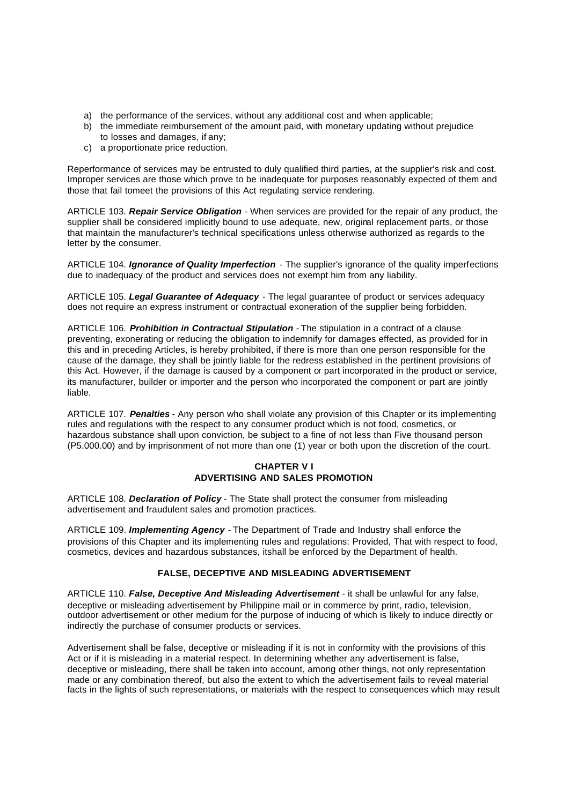- a) the performance of the services, without any additional cost and when applicable;
- b) the immediate reimbursement of the amount paid, with monetary updating without prejudice to losses and damages, if any;
- c) a proportionate price reduction.

Reperformance of services may be entrusted to duly qualified third parties, at the supplier's risk and cost. Improper services are those which prove to be inadequate for purposes reasonably expected of them and those that fail tomeet the provisions of this Act regulating service rendering.

ARTICLE 103. *Repair Service Obligation* - When services are provided for the repair of any product, the supplier shall be considered implicitly bound to use adequate, new, original replacement parts, or those that maintain the manufacturer's technical specifications unless otherwise authorized as regards to the letter by the consumer.

ARTICLE 104. *Ignorance of Quality Imperfection* - The supplier's ignorance of the quality imperfections due to inadequacy of the product and services does not exempt him from any liability.

ARTICLE 105. *Legal Guarantee of Adequacy* - The legal guarantee of product or services adequacy does not require an express instrument or contractual exoneration of the supplier being forbidden.

ARTICLE 106. *Prohibition in Contractual Stipulation* - The stipulation in a contract of a clause preventing, exonerating or reducing the obligation to indemnify for damages effected, as provided for in this and in preceding Articles, is hereby prohibited, if there is more than one person responsible for the cause of the damage, they shall be jointly liable for the redress established in the pertinent provisions of this Act. However, if the damage is caused by a component or part incorporated in the product or service, its manufacturer, builder or importer and the person who incorporated the component or part are jointly liable.

ARTICLE 107. *Penalties* - Any person who shall violate any provision of this Chapter or its implementing rules and regulations with the respect to any consumer product which is not food, cosmetics, or hazardous substance shall upon conviction, be subject to a fine of not less than Five thousand person (P5.000.00) and by imprisonment of not more than one (1) year or both upon the discretion of the court.

## **CHAPTER V I ADVERTISING AND SALES PROMOTION**

ARTICLE 108. *Declaration of Policy* - The State shall protect the consumer from misleading advertisement and fraudulent sales and promotion practices.

ARTICLE 109. *Implementing Agency* - The Department of Trade and Industry shall enforce the provisions of this Chapter and its implementing rules and regulations: Provided, That with respect to food, cosmetics, devices and hazardous substances, itshall be enforced by the Department of health.

## **FALSE, DECEPTIVE AND MISLEADING ADVERTISEMENT**

ARTICLE 110. *False, Deceptive And Misleading Advertisement* - it shall be unlawful for any false, deceptive or misleading advertisement by Philippine mail or in commerce by print, radio, television, outdoor advertisement or other medium for the purpose of inducing of which is likely to induce directly or indirectly the purchase of consumer products or services.

Advertisement shall be false, deceptive or misleading if it is not in conformity with the provisions of this Act or if it is misleading in a material respect. In determining whether any advertisement is false, deceptive or misleading, there shall be taken into account, among other things, not only representation made or any combination thereof, but also the extent to which the advertisement fails to reveal material facts in the lights of such representations, or materials with the respect to consequences which may result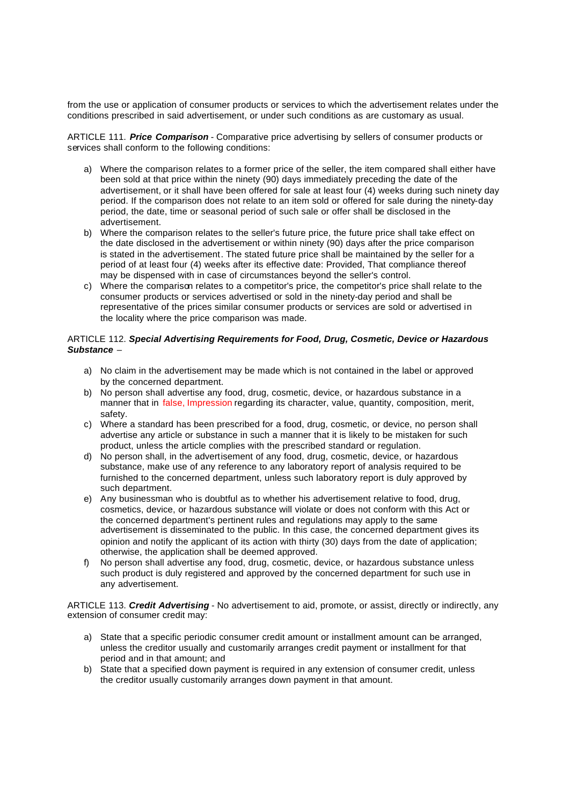from the use or application of consumer products or services to which the advertisement relates under the conditions prescribed in said advertisement, or under such conditions as are customary as usual.

ARTICLE 111. *Price Comparison* - Comparative price advertising by sellers of consumer products or services shall conform to the following conditions:

- a) Where the comparison relates to a former price of the seller, the item compared shall either have been sold at that price within the ninety (90) days immediately preceding the date of the advertisement, or it shall have been offered for sale at least four (4) weeks during such ninety day period. If the comparison does not relate to an item sold or offered for sale during the ninety-day period, the date, time or seasonal period of such sale or offer shall be disclosed in the advertisement.
- b) Where the comparison relates to the seller's future price, the future price shall take effect on the date disclosed in the advertisement or within ninety (90) days after the price comparison is stated in the advertisement. The stated future price shall be maintained by the seller for a period of at least four (4) weeks after its effective date: Provided, That compliance thereof may be dispensed with in case of circumstances beyond the seller's control.
- c) Where the comparison relates to a competitor's price, the competitor's price shall relate to the consumer products or services advertised or sold in the ninety-day period and shall be representative of the prices similar consumer products or services are sold or advertised in the locality where the price comparison was made.

#### ARTICLE 112. *Special Advertising Requirements for Food, Drug, Cosmetic, Device or Hazardous Substance –*

- a) No claim in the advertisement may be made which is not contained in the label or approved by the concerned department.
- b) No person shall advertise any food, drug, cosmetic, device, or hazardous substance in a manner that in false, Impression regarding its character, value, quantity, composition, merit, safety.
- c) Where a standard has been prescribed for a food, drug, cosmetic, or device, no person shall advertise any article or substance in such a manner that it is likely to be mistaken for such product, unless the article complies with the prescribed standard or regulation.
- d) No person shall, in the advertisement of any food, drug, cosmetic, device, or hazardous substance, make use of any reference to any laboratory report of analysis required to be furnished to the concerned department, unless such laboratory report is duly approved by such department.
- e) Any businessman who is doubtful as to whether his advertisement relative to food, drug, cosmetics, device, or hazardous substance will violate or does not conform with this Act or the concerned department's pertinent rules and regulations may apply to the same advertisement is disseminated to the public. In this case, the concerned department gives its opinion and notify the applicant of its action with thirty (30) days from the date of application; otherwise, the application shall be deemed approved.
- f) No person shall advertise any food, drug, cosmetic, device, or hazardous substance unless such product is duly registered and approved by the concerned department for such use in any advertisement.

ARTICLE 113. *Credit Advertising* - No advertisement to aid, promote, or assist, directly or indirectly, any extension of consumer credit may:

- a) State that a specific periodic consumer credit amount or installment amount can be arranged, unless the creditor usually and customarily arranges credit payment or installment for that period and in that amount; and
- b) State that a specified down payment is required in any extension of consumer credit, unless the creditor usually customarily arranges down payment in that amount.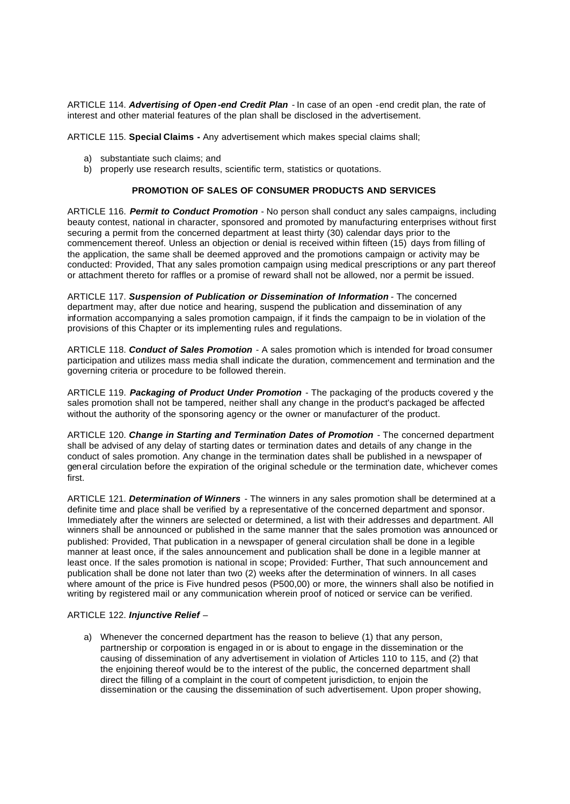ARTICLE 114. *Advertising of Open -end Credit Plan* - In case of an open -end credit plan, the rate of interest and other material features of the plan shall be disclosed in the advertisement.

ARTICLE 115. **Special Claims -** Any advertisement which makes special claims shall;

- a) substantiate such claims; and
- b) properly use research results, scientific term, statistics or quotations.

#### **PROMOTION OF SALES OF CONSUMER PRODUCTS AND SERVICES**

ARTICLE 116. *Permit to Conduct Promotion* - No person shall conduct any sales campaigns, including beauty contest, national in character, sponsored and promoted by manufacturing enterprises without first securing a permit from the concerned department at least thirty (30) calendar days prior to the commencement thereof. Unless an objection or denial is received within fifteen (15) days from filling of the application, the same shall be deemed approved and the promotions campaign or activity may be conducted: Provided, That any sales promotion campaign using medical prescriptions or any part thereof or attachment thereto for raffles or a promise of reward shall not be allowed, nor a permit be issued.

ARTICLE 117. *Suspension of Publication or Dissemination of Information* - The concerned department may, after due notice and hearing, suspend the publication and dissemination of any information accompanying a sales promotion campaign, if it finds the campaign to be in violation of the provisions of this Chapter or its implementing rules and regulations.

ARTICLE 118. *Conduct of Sales Promotion* - A sales promotion which is intended for broad consumer participation and utilizes mass media shall indicate the duration, commencement and termination and the governing criteria or procedure to be followed therein.

ARTICLE 119. *Packaging of Product Under Promotion* - The packaging of the products covered y the sales promotion shall not be tampered, neither shall any change in the product's packaged be affected without the authority of the sponsoring agency or the owner or manufacturer of the product.

ARTICLE 120. *Change in Starting and Termination Dates of Promotion* - The concerned department shall be advised of any delay of starting dates or termination dates and details of any change in the conduct of sales promotion. Any change in the termination dates shall be published in a newspaper of general circulation before the expiration of the original schedule or the termination date, whichever comes first.

ARTICLE 121. *Determination of Winners* - The winners in any sales promotion shall be determined at a definite time and place shall be verified by a representative of the concerned department and sponsor. Immediately after the winners are selected or determined, a list with their addresses and department. All winners shall be announced or published in the same manner that the sales promotion was announced or published: Provided, That publication in a newspaper of general circulation shall be done in a legible manner at least once, if the sales announcement and publication shall be done in a legible manner at least once. If the sales promotion is national in scope; Provided: Further, That such announcement and publication shall be done not later than two (2) weeks after the determination of winners. In all cases where amount of the price is Five hundred pesos (P500,00) or more, the winners shall also be notified in writing by registered mail or any communication wherein proof of noticed or service can be verified.

#### ARTICLE 122. *Injunctive Relief –*

a) Whenever the concerned department has the reason to believe (1) that any person, partnership or corporation is engaged in or is about to engage in the dissemination or the causing of dissemination of any advertisement in violation of Articles 110 to 115, and (2) that the enjoining thereof would be to the interest of the public, the concerned department shall direct the filling of a complaint in the court of competent jurisdiction, to enjoin the dissemination or the causing the dissemination of such advertisement. Upon proper showing,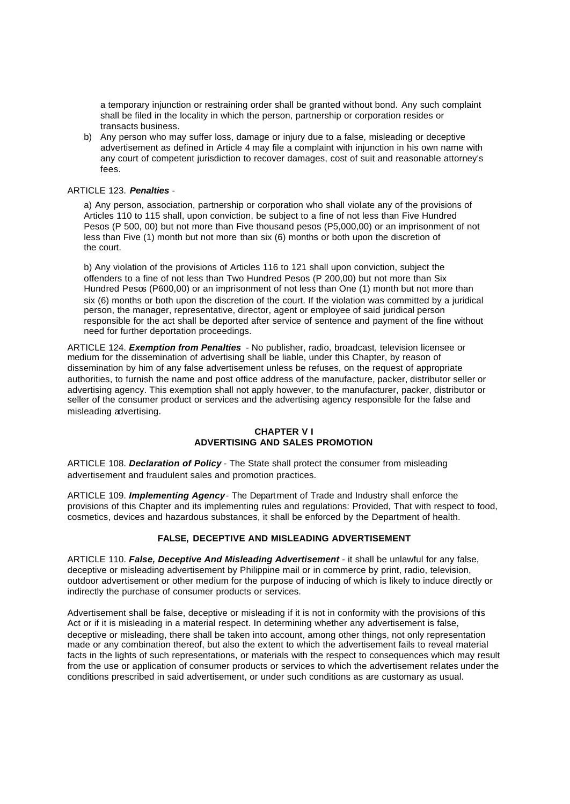a temporary injunction or restraining order shall be granted without bond. Any such complaint shall be filed in the locality in which the person, partnership or corporation resides or transacts business.

b) Any person who may suffer loss, damage or injury due to a false, misleading or deceptive advertisement as defined in Article 4 may file a complaint with injunction in his own name with any court of competent jurisdiction to recover damages, cost of suit and reasonable attorney's fees.

#### ARTICLE 123. *Penalties* -

a) Any person, association, partnership or corporation who shall violate any of the provisions of Articles 110 to 115 shall, upon conviction, be subject to a fine of not less than Five Hundred Pesos (P 500, 00) but not more than Five thousand pesos (P5,000,00) or an imprisonment of not less than Five (1) month but not more than six (6) months or both upon the discretion of the court.

b) Any violation of the provisions of Articles 116 to 121 shall upon conviction, subject the offenders to a fine of not less than Two Hundred Pesos (P 200,00) but not more than Six Hundred Pesos (P600,00) or an imprisonment of not less than One (1) month but not more than six (6) months or both upon the discretion of the court. If the violation was committed by a juridical person, the manager, representative, director, agent or employee of said juridical person responsible for the act shall be deported after service of sentence and payment of the fine without need for further deportation proceedings.

ARTICLE 124. *Exemption from Penalties* - No publisher, radio, broadcast, television licensee or medium for the dissemination of advertising shall be liable, under this Chapter, by reason of dissemination by him of any false advertisement unless be refuses, on the request of appropriate authorities, to furnish the name and post office address of the manufacture, packer, distributor seller or advertising agency. This exemption shall not apply however, to the manufacturer, packer, distributor or seller of the consumer product or services and the advertising agency responsible for the false and misleading advertising.

## **CHAPTER V I ADVERTISING AND SALES PROMOTION**

ARTICLE 108. *Declaration of Policy* - The State shall protect the consumer from misleading advertisement and fraudulent sales and promotion practices.

ARTICLE 109. *Implementing Agency*- The Department of Trade and Industry shall enforce the provisions of this Chapter and its implementing rules and regulations: Provided, That with respect to food, cosmetics, devices and hazardous substances, it shall be enforced by the Department of health.

#### **FALSE, DECEPTIVE AND MISLEADING ADVERTISEMENT**

ARTICLE 110. *False, Deceptive And Misleading Advertisement* - it shall be unlawful for any false, deceptive or misleading advertisement by Philippine mail or in commerce by print, radio, television, outdoor advertisement or other medium for the purpose of inducing of which is likely to induce directly or indirectly the purchase of consumer products or services.

Advertisement shall be false, deceptive or misleading if it is not in conformity with the provisions of this Act or if it is misleading in a material respect. In determining whether any advertisement is false, deceptive or misleading, there shall be taken into account, among other things, not only representation made or any combination thereof, but also the extent to which the advertisement fails to reveal material facts in the lights of such representations, or materials with the respect to consequences which may result from the use or application of consumer products or services to which the advertisement relates under the conditions prescribed in said advertisement, or under such conditions as are customary as usual.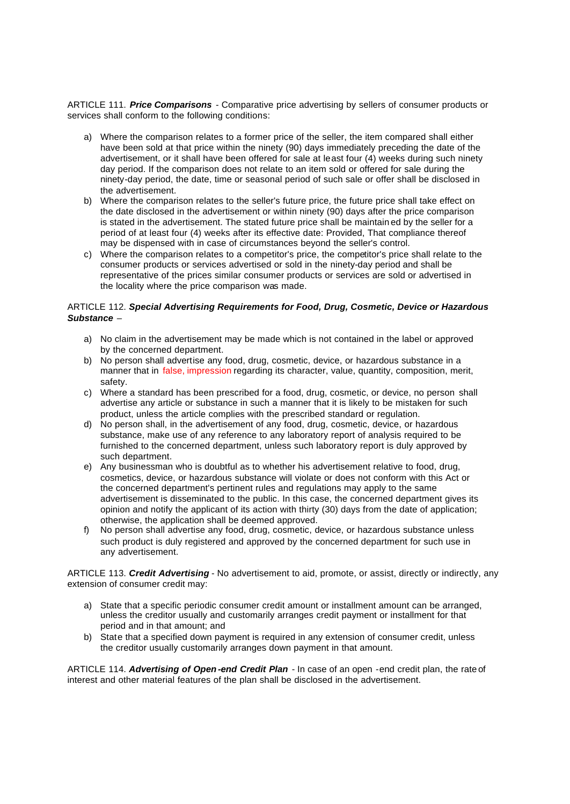ARTICLE 111. *Price Comparisons* - Comparative price advertising by sellers of consumer products or services shall conform to the following conditions:

- a) Where the comparison relates to a former price of the seller, the item compared shall either have been sold at that price within the ninety (90) days immediately preceding the date of the advertisement, or it shall have been offered for sale at least four (4) weeks during such ninety day period. If the comparison does not relate to an item sold or offered for sale during the ninety-day period, the date, time or seasonal period of such sale or offer shall be disclosed in the advertisement.
- b) Where the comparison relates to the seller's future price, the future price shall take effect on the date disclosed in the advertisement or within ninety (90) days after the price comparison is stated in the advertisement. The stated future price shall be maintain ed by the seller for a period of at least four (4) weeks after its effective date: Provided, That compliance thereof may be dispensed with in case of circumstances beyond the seller's control.
- c) Where the comparison relates to a competitor's price, the competitor's price shall relate to the consumer products or services advertised or sold in the ninety-day period and shall be representative of the prices similar consumer products or services are sold or advertised in the locality where the price comparison was made.

#### ARTICLE 112. *Special Advertising Requirements for Food, Drug, Cosmetic, Device or Hazardous Substance –*

- a) No claim in the advertisement may be made which is not contained in the label or approved by the concerned department.
- b) No person shall advertise any food, drug, cosmetic, device, or hazardous substance in a manner that in false, impression regarding its character, value, quantity, composition, merit, safety.
- c) Where a standard has been prescribed for a food, drug, cosmetic, or device, no person shall advertise any article or substance in such a manner that it is likely to be mistaken for such product, unless the article complies with the prescribed standard or regulation.
- d) No person shall, in the advertisement of any food, drug, cosmetic, device, or hazardous substance, make use of any reference to any laboratory report of analysis required to be furnished to the concerned department, unless such laboratory report is duly approved by such department.
- e) Any businessman who is doubtful as to whether his advertisement relative to food, drug, cosmetics, device, or hazardous substance will violate or does not conform with this Act or the concerned department's pertinent rules and regulations may apply to the same advertisement is disseminated to the public. In this case, the concerned department gives its opinion and notify the applicant of its action with thirty (30) days from the date of application; otherwise, the application shall be deemed approved.
- f) No person shall advertise any food, drug, cosmetic, device, or hazardous substance unless such product is duly registered and approved by the concerned department for such use in any advertisement.

ARTICLE 113. *Credit Advertising* - No advertisement to aid, promote, or assist, directly or indirectly, any extension of consumer credit may:

- a) State that a specific periodic consumer credit amount or installment amount can be arranged, unless the creditor usually and customarily arranges credit payment or installment for that period and in that amount; and
- b) State that a specified down payment is required in any extension of consumer credit, unless the creditor usually customarily arranges down payment in that amount.

ARTICLE 114. *Advertising of Open -end Credit Plan* - In case of an open -end credit plan, the rate of interest and other material features of the plan shall be disclosed in the advertisement.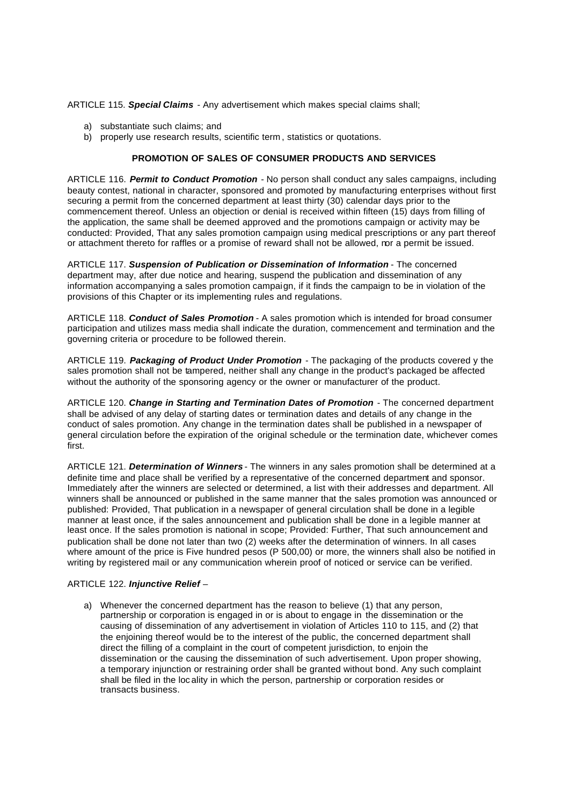ARTICLE 115. *Special Claims -* Any advertisement which makes special claims shall;

- a) substantiate such claims; and
- b) properly use research results, scientific term , statistics or quotations.

#### **PROMOTION OF SALES OF CONSUMER PRODUCTS AND SERVICES**

ARTICLE 116. *Permit to Conduct Promotion* - No person shall conduct any sales campaigns, including beauty contest, national in character, sponsored and promoted by manufacturing enterprises without first securing a permit from the concerned department at least thirty (30) calendar days prior to the commencement thereof. Unless an objection or denial is received within fifteen (15) days from filling of the application, the same shall be deemed approved and the promotions campaign or activity may be conducted: Provided, That any sales promotion campaign using medical prescriptions or any part thereof or attachment thereto for raffles or a promise of reward shall not be allowed, nor a permit be issued.

ARTICLE 117. *Suspension of Publication or Dissemination of Information* - The concerned department may, after due notice and hearing, suspend the publication and dissemination of any information accompanying a sales promotion campaign, if it finds the campaign to be in violation of the provisions of this Chapter or its implementing rules and regulations.

ARTICLE 118. *Conduct of Sales Promotion* - A sales promotion which is intended for broad consumer participation and utilizes mass media shall indicate the duration, commencement and termination and the governing criteria or procedure to be followed therein.

ARTICLE 119. *Packaging of Product Under Promotion* - The packaging of the products covered y the sales promotion shall not be tampered, neither shall any change in the product's packaged be affected without the authority of the sponsoring agency or the owner or manufacturer of the product.

ARTICLE 120. **Change in Starting and Termination Dates of Promotion** - The concerned department shall be advised of any delay of starting dates or termination dates and details of any change in the conduct of sales promotion. Any change in the termination dates shall be published in a newspaper of general circulation before the expiration of the original schedule or the termination date, whichever comes first.

ARTICLE 121. *Determination of Winners* - The winners in any sales promotion shall be determined at a definite time and place shall be verified by a representative of the concerned department and sponsor. Immediately after the winners are selected or determined, a list with their addresses and department. All winners shall be announced or published in the same manner that the sales promotion was announced or published: Provided, That publication in a newspaper of general circulation shall be done in a legible manner at least once, if the sales announcement and publication shall be done in a legible manner at least once. If the sales promotion is national in scope; Provided: Further, That such announcement and publication shall be done not later than two (2) weeks after the determination of winners. In all cases where amount of the price is Five hundred pesos (P 500,00) or more, the winners shall also be notified in writing by registered mail or any communication wherein proof of noticed or service can be verified.

#### ARTICLE 122. *Injunctive Relief* –

a) Whenever the concerned department has the reason to believe (1) that any person, partnership or corporation is engaged in or is about to engage in the dissemination or the causing of dissemination of any advertisement in violation of Articles 110 to 115, and (2) that the enjoining thereof would be to the interest of the public, the concerned department shall direct the filling of a complaint in the court of competent jurisdiction, to enjoin the dissemination or the causing the dissemination of such advertisement. Upon proper showing, a temporary injunction or restraining order shall be granted without bond. Any such complaint shall be filed in the loc ality in which the person, partnership or corporation resides or transacts business.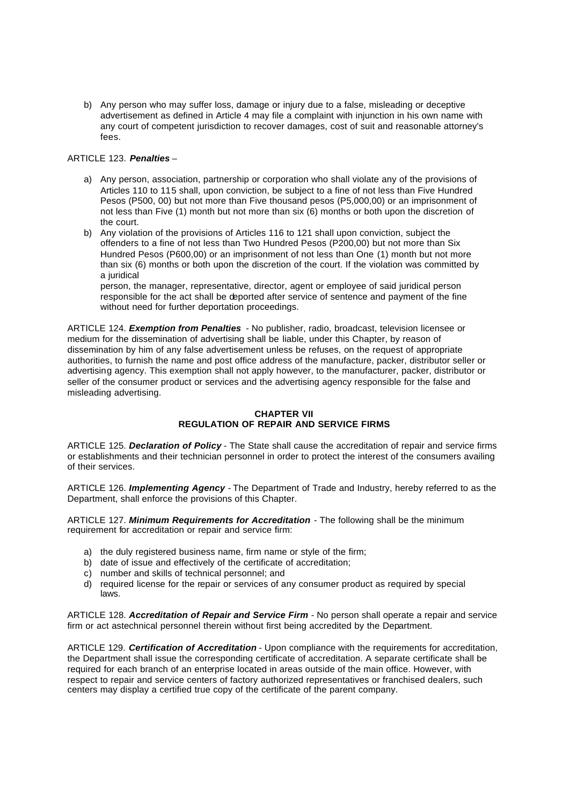b) Any person who may suffer loss, damage or injury due to a false, misleading or deceptive advertisement as defined in Article 4 may file a complaint with injunction in his own name with any court of competent jurisdiction to recover damages, cost of suit and reasonable attorney's fees.

#### ARTICLE 123. *Penalties* –

- a) Any person, association, partnership or corporation who shall violate any of the provisions of Articles 110 to 115 shall, upon conviction, be subject to a fine of not less than Five Hundred Pesos (P500, 00) but not more than Five thousand pesos (P5,000,00) or an imprisonment of not less than Five (1) month but not more than six (6) months or both upon the discretion of the court.
- b) Any violation of the provisions of Articles 116 to 121 shall upon conviction, subject the offenders to a fine of not less than Two Hundred Pesos (P200,00) but not more than Six Hundred Pesos (P600,00) or an imprisonment of not less than One (1) month but not more than six (6) months or both upon the discretion of the court. If the violation was committed by a juridical

person, the manager, representative, director, agent or employee of said juridical person responsible for the act shall be deported after service of sentence and payment of the fine without need for further deportation proceedings.

ARTICLE 124. *Exemption from Penalties* - No publisher, radio, broadcast, television licensee or medium for the dissemination of advertising shall be liable, under this Chapter, by reason of dissemination by him of any false advertisement unless be refuses, on the request of appropriate authorities, to furnish the name and post office address of the manufacture, packer, distributor seller or advertising agency. This exemption shall not apply however, to the manufacturer, packer, distributor or seller of the consumer product or services and the advertising agency responsible for the false and misleading advertising.

#### **CHAPTER VII REGULATION OF REPAIR AND SERVICE FIRMS**

ARTICLE 125. *Declaration of Policy* - The State shall cause the accreditation of repair and service firms or establishments and their technician personnel in order to protect the interest of the consumers availing of their services.

ARTICLE 126. *Implementing Agency* - The Department of Trade and Industry, hereby referred to as the Department, shall enforce the provisions of this Chapter.

ARTICLE 127. *Minimum Requirements for Accreditation* - The following shall be the minimum requirement for accreditation or repair and service firm:

- a) the duly registered business name, firm name or style of the firm;
- b) date of issue and effectively of the certificate of accreditation;
- c) number and skills of technical personnel; and
- d) required license for the repair or services of any consumer product as required by special laws.

ARTICLE 128. *Accreditation of Repair and Service Firm* - No person shall operate a repair and service firm or act astechnical personnel therein without first being accredited by the Department.

ARTICLE 129. *Certification of Accreditation* - Upon compliance with the requirements for accreditation, the Department shall issue the corresponding certificate of accreditation. A separate certificate shall be required for each branch of an enterprise located in areas outside of the main office. However, with respect to repair and service centers of factory authorized representatives or franchised dealers, such centers may display a certified true copy of the certificate of the parent company.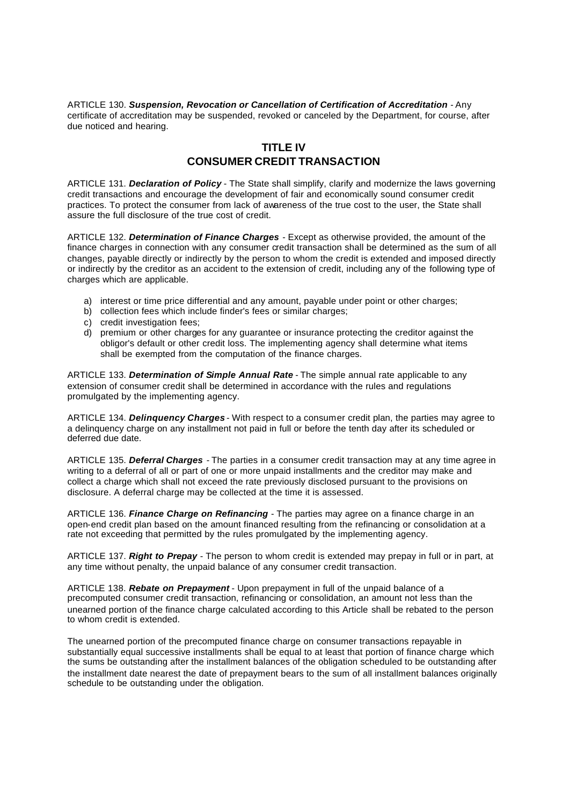ARTICLE 130. *Suspension, Revocation or Cancellation of Certification of Accreditation -* Any certificate of accreditation may be suspended, revoked or canceled by the Department, for course, after due noticed and hearing.

# **TITLE IV CONSUMER CREDIT TRANSACTION**

ARTICLE 131. *Declaration of Policy* - The State shall simplify, clarify and modernize the laws governing credit transactions and encourage the development of fair and economically sound consumer credit practices. To protect the consumer from lack of awareness of the true cost to the user, the State shall assure the full disclosure of the true cost of credit.

ARTICLE 132. *Determination of Finance Charges* - Except as otherwise provided, the amount of the finance charges in connection with any consumer credit transaction shall be determined as the sum of all changes, payable directly or indirectly by the person to whom the credit is extended and imposed directly or indirectly by the creditor as an accident to the extension of credit, including any of the following type of charges which are applicable.

- a) interest or time price differential and any amount, payable under point or other charges;
- b) collection fees which include finder's fees or similar charges;
- c) credit investigation fees;
- d) premium or other charges for any guarantee or insurance protecting the creditor against the obligor's default or other credit loss. The implementing agency shall determine what items shall be exempted from the computation of the finance charges.

ARTICLE 133. *Determination of Simple Annual Rate* - The simple annual rate applicable to any extension of consumer credit shall be determined in accordance with the rules and regulations promulgated by the implementing agency.

ARTICLE 134. *Delinquency Charges* - With respect to a consumer credit plan, the parties may agree to a delinquency charge on any installment not paid in full or before the tenth day after its scheduled or deferred due date.

ARTICLE 135. *Deferral Charges* - The parties in a consumer credit transaction may at any time agree in writing to a deferral of all or part of one or more unpaid installments and the creditor may make and collect a charge which shall not exceed the rate previously disclosed pursuant to the provisions on disclosure. A deferral charge may be collected at the time it is assessed.

ARTICLE 136. *Finance Charge on Refinancing* - The parties may agree on a finance charge in an open-end credit plan based on the amount financed resulting from the refinancing or consolidation at a rate not exceeding that permitted by the rules promulgated by the implementing agency.

ARTICLE 137. *Right to Prepay* - The person to whom credit is extended may prepay in full or in part, at any time without penalty, the unpaid balance of any consumer credit transaction.

ARTICLE 138. *Rebate on Prepayment* - Upon prepayment in full of the unpaid balance of a precomputed consumer credit transaction, refinancing or consolidation, an amount not less than the unearned portion of the finance charge calculated according to this Article shall be rebated to the person to whom credit is extended.

The unearned portion of the precomputed finance charge on consumer transactions repayable in substantially equal successive installments shall be equal to at least that portion of finance charge which the sums be outstanding after the installment balances of the obligation scheduled to be outstanding after the installment date nearest the date of prepayment bears to the sum of all installment balances originally schedule to be outstanding under the obligation.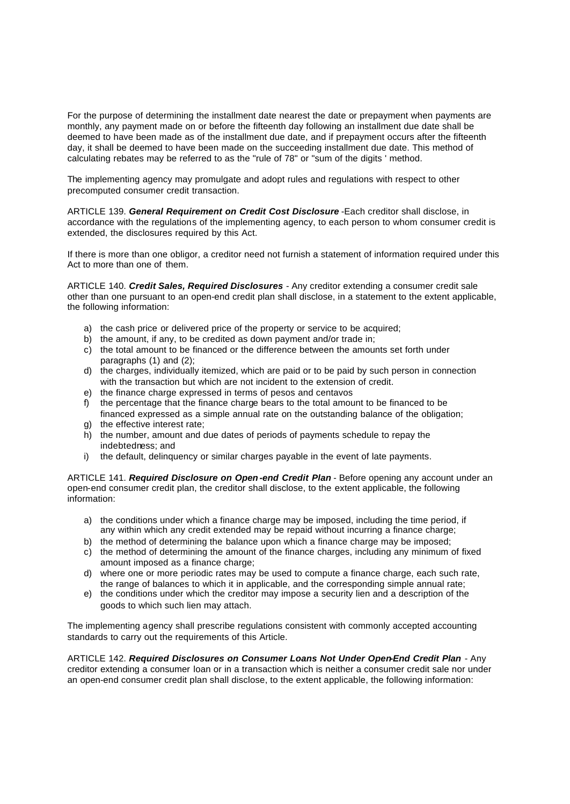For the purpose of determining the installment date nearest the date or prepayment when payments are monthly, any payment made on or before the fifteenth day following an installment due date shall be deemed to have been made as of the installment due date, and if prepayment occurs after the fifteenth day, it shall be deemed to have been made on the succeeding installment due date. This method of calculating rebates may be referred to as the "rule of 78" or "sum of the digits ' method.

The implementing agency may promulgate and adopt rules and regulations with respect to other precomputed consumer credit transaction.

ARTICLE 139. *General Requirement on Credit Cost Disclosure* -Each creditor shall disclose, in accordance with the regulations of the implementing agency, to each person to whom consumer credit is extended, the disclosures required by this Act.

If there is more than one obligor, a creditor need not furnish a statement of information required under this Act to more than one of them.

ARTICLE 140. *Credit Sales, Required Disclosures* - Any creditor extending a consumer credit sale other than one pursuant to an open-end credit plan shall disclose, in a statement to the extent applicable, the following information:

- a) the cash price or delivered price of the property or service to be acquired;
- b) the amount, if any, to be credited as down payment and/or trade in;
- c) the total amount to be financed or the difference between the amounts set forth under paragraphs (1) and (2);
- d) the charges, individually itemized, which are paid or to be paid by such person in connection with the transaction but which are not incident to the extension of credit.
- 
- e) the finance charge expressed in terms of pesos and centavos<br>f) the percentage that the finance charge bears to the total amou the percentage that the finance charge bears to the total amount to be financed to be financed expressed as a simple annual rate on the outstanding balance of the obligation;
- g) the effective interest rate;
- h) the number, amount and due dates of periods of payments schedule to repay the indebtedness; and
- i) the default, delinquency or similar charges payable in the event of late payments.

ARTICLE 141. *Required Disclosure on Open -end Credit Plan* - Before opening any account under an open-end consumer credit plan, the creditor shall disclose, to the extent applicable, the following information:

- a) the conditions under which a finance charge may be imposed, including the time period, if any within which any credit extended may be repaid without incurring a finance charge;
- b) the method of determining the balance upon which a finance charge may be imposed;
- c) the method of determining the amount of the finance charges, including any minimum of fixed amount imposed as a finance charge;
- d) where one or more periodic rates may be used to compute a finance charge, each such rate, the range of balances to which it in applicable, and the corresponding simple annual rate;
- e) the conditions under which the creditor may impose a security lien and a description of the goods to which such lien may attach.

The implementing agency shall prescribe regulations consistent with commonly accepted accounting standards to carry out the requirements of this Article.

ARTICLE 142. *Required Disclosures on Consumer Loans Not Under Open-End Credit Plan* - Any creditor extending a consumer loan or in a transaction which is neither a consumer credit sale nor under an open-end consumer credit plan shall disclose, to the extent applicable, the following information: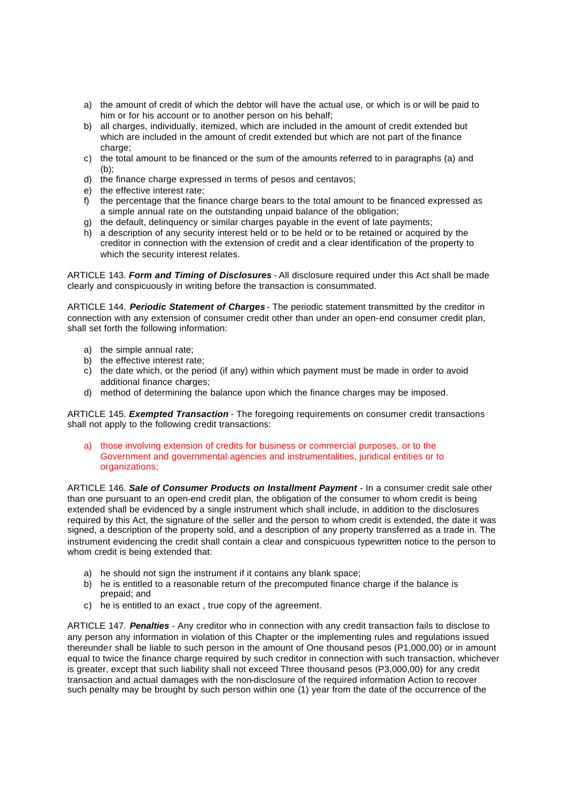- a) the amount of credit of which the debtor will have the actual use, or which is or will be paid to him or for his account or to another person on his behalf;
- b) all charges, individually, itemized, which are included in the amount of credit extended but which are included in the amount of credit extended but which are not part of the finance charge:
- c) the total amount to be financed or the sum of the amounts referred to in paragraphs (a) and  $(b)$ :
- d) the finance charge expressed in terms of pesos and centavos;
- e) the effective interest rate;
- f) the percentage that the finance charge bears to the total amount to be financed expressed as a simple annual rate on the outstanding unpaid balance of the obligation;
- g) the default, delinquency or similar charges payable in the event of late payments;
- h) a description of any security interest held or to be held or to be retained or acquired by the creditor in connection with the extension of credit and a clear identification of the property to which the security interest relates.

ARTICLE 143. *Form and Timing of Disclosures* - All disclosure required under this Act shall be made clearly and conspicuously in writing before the transaction is consummated.

ARTICLE 144. *Periodic Statement of Charges* - The periodic statement transmitted by the creditor in connection with any extension of consumer credit other than under an open-end consumer credit plan, shall set forth the following information:

- a) the simple annual rate;
- b) the effective interest rate;
- c) the date which, or the period (if any) within which payment must be made in order to avoid additional finance charges;
- d) method of determining the balance upon which the finance charges may be imposed.

ARTICLE 145. *Exempted Transaction* - The foregoing requirements on consumer credit transactions shall not apply to the following credit transactions:

a) those involving extension of credits for business or commercial purposes, or to the Government and governmental agencies and instrumentalities, juridical entities or to organizations;

ARTICLE 146. *Sale of Consumer Products on Installment Payment* - In a consumer credit sale other than one pursuant to an open-end credit plan, the obligation of the consumer to whom credit is being extended shall be evidenced by a single instrument which shall include, in addition to the disclosures required by this Act, the signature of the seller and the person to whom credit is extended, the date it was signed, a description of the property sold, and a description of any property transferred as a trade in. The instrument evidencing the credit shall contain a clear and conspicuous typewritten notice to the person to whom credit is being extended that:

- a) he should not sign the instrument if it contains any blank space;
- b) he is entitled to a reasonable return of the precomputed finance charge if the balance is prepaid; and
- c) he is entitled to an exact , true copy of the agreement.

ARTICLE 147. *Penalties* - Any creditor who in connection with any credit transaction fails to disclose to any person any information in violation of this Chapter or the implementing rules and regulations issued thereunder shall be liable to such person in the amount of One thousand pesos (P1,000,00) or in amount equal to twice the finance charge required by such creditor in connection with such transaction, whichever is greater, except that such liability shall not exceed Three thousand pesos (P3,000,00) for any credit transaction and actual damages with the non-disclosure of the required information Action to recover such penalty may be brought by such person within one (1) year from the date of the occurrence of the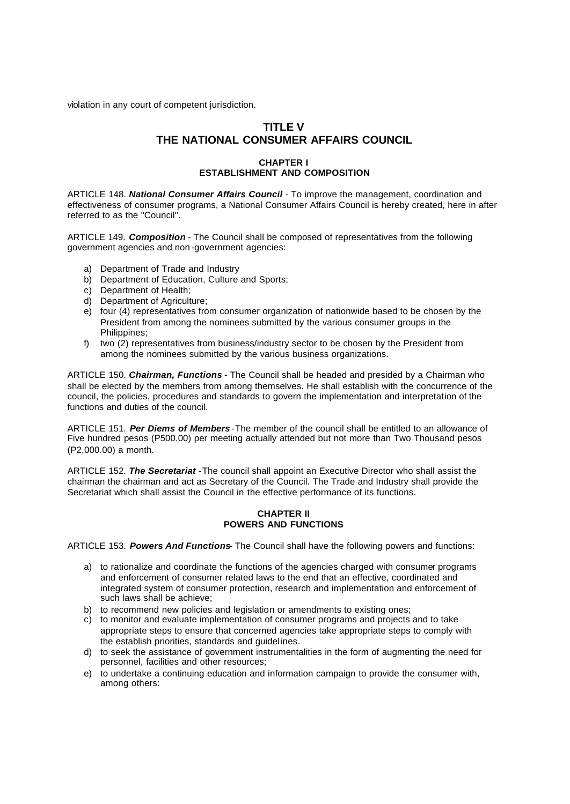violation in any court of competent jurisdiction.

# **TITLE V THE NATIONAL CONSUMER AFFAIRS COUNCIL**

### **CHAPTER I ESTABLISHMENT AND COMPOSITION**

ARTICLE 148. *National Consumer Affairs Council* - To improve the management, coordination and effectiveness of consumer programs, a National Consumer Affairs Council is hereby created, here in after referred to as the "Council".

ARTICLE 149. *Composition* - The Council shall be composed of representatives from the following government agencies and non -government agencies:

- a) Department of Trade and Industry
- b) Department of Education, Culture and Sports;
- c) Department of Health;
- d) Department of Agriculture:
- e) four (4) representatives from consumer organization of nationwide based to be chosen by the President from among the nominees submitted by the various consumer groups in the Philippines;
- f) two (2) representatives from business/industry sector to be chosen by the President from among the nominees submitted by the various business organizations.

ARTICLE 150. *Chairman, Functions* - The Council shall be headed and presided by a Chairman who shall be elected by the members from among themselves. He shall establish with the concurrence of the council, the policies, procedures and standards to govern the implementation and interpretation of the functions and duties of the council.

ARTICLE 151. *Per Diems of Members* -The member of the council shall be entitled to an allowance of Five hundred pesos (P500.00) per meeting actually attended but not more than Two Thousand pesos (P2,000.00) a month.

ARTICLE 152. *The Secretariat* -The council shall appoint an Executive Director who shall assist the chairman the chairman and act as Secretary of the Council. The Trade and Industry shall provide the Secretariat which shall assist the Council in the effective performance of its functions.

#### **CHAPTER II POWERS AND FUNCTIONS**

ARTICLE 153. *Powers And Functions*- The Council shall have the following powers and functions:

- a) to rationalize and coordinate the functions of the agencies charged with consumer programs and enforcement of consumer related laws to the end that an effective, coordinated and integrated system of consumer protection, research and implementation and enforcement of such laws shall be achieve;
- b) to recommend new policies and legislation or amendments to existing ones;
- c) to monitor and evaluate implementation of consumer programs and projects and to take appropriate steps to ensure that concerned agencies take appropriate steps to comply with the establish priorities, standards and guidelines.
- d) to seek the assistance of government instrumentalities in the form of augmenting the need for personnel, facilities and other resources;
- e) to undertake a continuing education and information campaign to provide the consumer with, among others: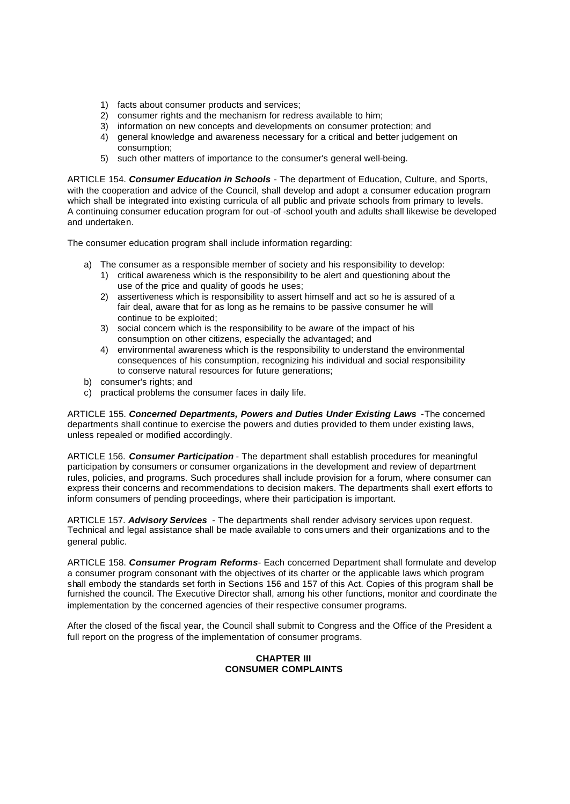- 1) facts about consumer products and services;
- 2) consumer rights and the mechanism for redress available to him;
- 3) information on new concepts and developments on consumer protection; and
- 4) general knowledge and awareness necessary for a critical and better judgement on consumption;
- 5) such other matters of importance to the consumer's general well-being.

ARTICLE 154. *Consumer Education in Schools* - The department of Education, Culture, and Sports, with the cooperation and advice of the Council, shall develop and adopt a consumer education program which shall be integrated into existing curricula of all public and private schools from primary to levels. A continuing consumer education program for out -of -school youth and adults shall likewise be developed and undertaken.

The consumer education program shall include information regarding:

- a) The consumer as a responsible member of society and his responsibility to develop:
	- 1) critical awareness which is the responsibility to be alert and questioning about the use of the price and quality of goods he uses;
	- 2) assertiveness which is responsibility to assert himself and act so he is assured of a fair deal, aware that for as long as he remains to be passive consumer he will continue to be exploited;
	- 3) social concern which is the responsibility to be aware of the impact of his consumption on other citizens, especially the advantaged; and
	- 4) environmental awareness which is the responsibility to understand the environmental consequences of his consumption, recognizing his individual and social responsibility to conserve natural resources for future generations;
- b) consumer's rights; and
- c) practical problems the consumer faces in daily life.

ARTICLE 155. *Concerned Departments, Powers and Duties Under Existing Laws* -The concerned departments shall continue to exercise the powers and duties provided to them under existing laws, unless repealed or modified accordingly.

ARTICLE 156. *Consumer Participation* - The department shall establish procedures for meaningful participation by consumers or consumer organizations in the development and review of department rules, policies, and programs. Such procedures shall include provision for a forum, where consumer can express their concerns and recommendations to decision makers. The departments shall exert efforts to inform consumers of pending proceedings, where their participation is important.

ARTICLE 157. *Advisory Services* - The departments shall render advisory services upon request. Technical and legal assistance shall be made available to cons umers and their organizations and to the general public.

ARTICLE 158. *Consumer Program Reforms*- Each concerned Department shall formulate and develop a consumer program consonant with the objectives of its charter or the applicable laws which program shall embody the standards set forth in Sections 156 and 157 of this Act. Copies of this program shall be furnished the council. The Executive Director shall, among his other functions, monitor and coordinate the implementation by the concerned agencies of their respective consumer programs.

After the closed of the fiscal year, the Council shall submit to Congress and the Office of the President a full report on the progress of the implementation of consumer programs.

#### **CHAPTER III CONSUMER COMPLAINTS**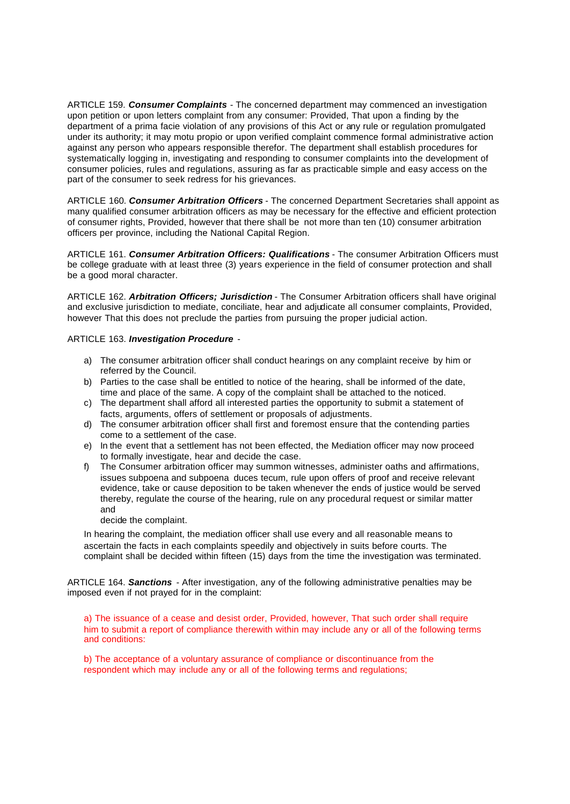ARTICLE 159. *Consumer Complaints* - The concerned department may commenced an investigation upon petition or upon letters complaint from any consumer: Provided, That upon a finding by the department of a prima facie violation of any provisions of this Act or any rule or regulation promulgated under its authority; it may motu propio or upon verified complaint commence formal administrative action against any person who appears responsible therefor. The department shall establish procedures for systematically logging in, investigating and responding to consumer complaints into the development of consumer policies, rules and regulations, assuring as far as practicable simple and easy access on the part of the consumer to seek redress for his grievances.

ARTICLE 160. *Consumer Arbitration Officers* - The concerned Department Secretaries shall appoint as many qualified consumer arbitration officers as may be necessary for the effective and efficient protection of consumer rights, Provided, however that there shall be not more than ten (10) consumer arbitration officers per province, including the National Capital Region.

ARTICLE 161. *Consumer Arbitration Officers: Qualifications* - The consumer Arbitration Officers must be college graduate with at least three (3) years experience in the field of consumer protection and shall be a good moral character.

ARTICLE 162. *Arbitration Officers; Jurisdiction* - The Consumer Arbitration officers shall have original and exclusive jurisdiction to mediate, conciliate, hear and adjudicate all consumer complaints, Provided, however That this does not preclude the parties from pursuing the proper judicial action.

#### ARTICLE 163. *Investigation Procedure* -

- a) The consumer arbitration officer shall conduct hearings on any complaint receive by him or referred by the Council.
- b) Parties to the case shall be entitled to notice of the hearing, shall be informed of the date, time and place of the same. A copy of the complaint shall be attached to the noticed.
- c) The department shall afford all interested parties the opportunity to submit a statement of facts, arguments, offers of settlement or proposals of adjustments.
- d) The consumer arbitration officer shall first and foremost ensure that the contending parties come to a settlement of the case.
- e) In the event that a settlement has not been effected, the Mediation officer may now proceed to formally investigate, hear and decide the case.
- f) The Consumer arbitration officer may summon witnesses, administer oaths and affirmations, issues subpoena and subpoena duces tecum, rule upon offers of proof and receive relevant evidence, take or cause deposition to be taken whenever the ends of justice would be served thereby, regulate the course of the hearing, rule on any procedural request or similar matter and
	- decide the complaint.

In hearing the complaint, the mediation officer shall use every and all reasonable means to ascertain the facts in each complaints speedily and objectively in suits before courts. The complaint shall be decided within fifteen (15) days from the time the investigation was terminated.

ARTICLE 164. *Sanctions* - After investigation, any of the following administrative penalties may be imposed even if not prayed for in the complaint:

a) The issuance of a cease and desist order, Provided, however, That such order shall require him to submit a report of compliance therewith within may include any or all of the following terms and conditions:

b) The acceptance of a voluntary assurance of compliance or discontinuance from the respondent which may include any or all of the following terms and regulations;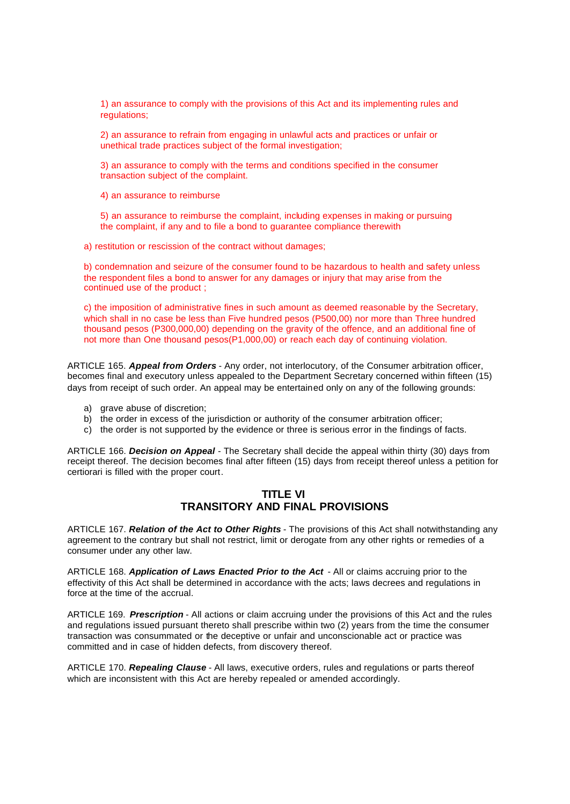1) an assurance to comply with the provisions of this Act and its implementing rules and regulations;

2) an assurance to refrain from engaging in unlawful acts and practices or unfair or unethical trade practices subject of the formal investigation;

3) an assurance to comply with the terms and conditions specified in the consumer transaction subject of the complaint.

4) an assurance to reimburse

5) an assurance to reimburse the complaint, including expenses in making or pursuing the complaint, if any and to file a bond to guarantee compliance therewith

a) restitution or rescission of the contract without damages;

b) condemnation and seizure of the consumer found to be hazardous to health and safety unless the respondent files a bond to answer for any damages or injury that may arise from the continued use of the product ;

c) the imposition of administrative fines in such amount as deemed reasonable by the Secretary, which shall in no case be less than Five hundred pesos (P500,00) nor more than Three hundred thousand pesos (P300,000,00) depending on the gravity of the offence, and an additional fine of not more than One thousand pesos(P1,000,00) or reach each day of continuing violation.

ARTICLE 165. *Appeal from Orders* - Any order, not interlocutory, of the Consumer arbitration officer, becomes final and executory unless appealed to the Department Secretary concerned within fifteen (15) days from receipt of such order. An appeal may be entertained only on any of the following grounds:

- a) grave abuse of discretion;
- b) the order in excess of the jurisdiction or authority of the consumer arbitration officer;
- c) the order is not supported by the evidence or three is serious error in the findings of facts.

ARTICLE 166. *Decision on Appeal* - The Secretary shall decide the appeal within thirty (30) days from receipt thereof. The decision becomes final after fifteen (15) days from receipt thereof unless a petition for certiorari is filled with the proper court.

## **TITLE VI TRANSITORY AND FINAL PROVISIONS**

ARTICLE 167. *Relation of the Act to Other Rights* - The provisions of this Act shall notwithstanding any agreement to the contrary but shall not restrict, limit or derogate from any other rights or remedies of a consumer under any other law.

ARTICLE 168. *Application of Laws Enacted Prior to the Act* - All or claims accruing prior to the effectivity of this Act shall be determined in accordance with the acts; laws decrees and regulations in force at the time of the accrual.

ARTICLE 169. *Prescription* - All actions or claim accruing under the provisions of this Act and the rules and regulations issued pursuant thereto shall prescribe within two (2) years from the time the consumer transaction was consummated or the deceptive or unfair and unconscionable act or practice was committed and in case of hidden defects, from discovery thereof.

ARTICLE 170. *Repealing Clause* - All laws, executive orders, rules and regulations or parts thereof which are inconsistent with this Act are hereby repealed or amended accordingly.